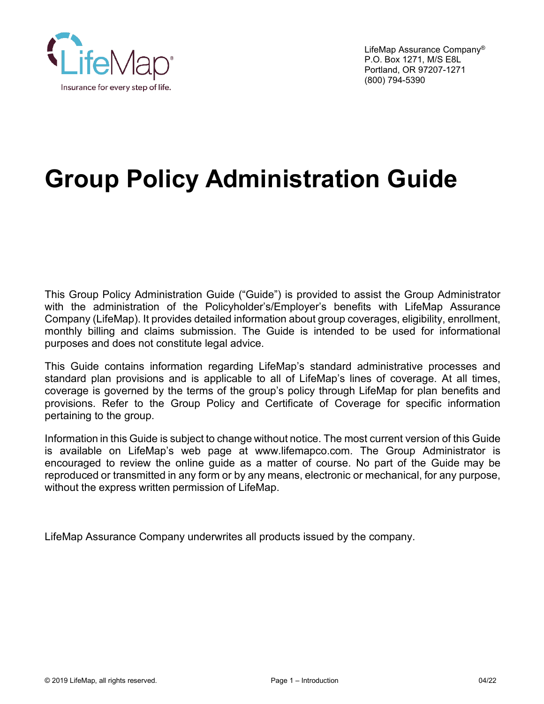<span id="page-0-0"></span>

LifeMap Assurance Company® P.O. Box 1271, M/S E8L Portland, OR 97207-1271 (800) 794-5390

# **Group Policy Administration Guide**

This Group Policy Administration Guide ("Guide") is provided to assist the Group Administrator with the administration of the Policyholder's/Employer's benefits with LifeMap Assurance Company (LifeMap). It provides detailed information about group coverages, eligibility, enrollment, monthly billing and claims submission. The Guide is intended to be used for informational purposes and does not constitute legal advice.

This Guide contains information regarding LifeMap's standard administrative processes and standard plan provisions and is applicable to all of LifeMap's lines of coverage. At all times, coverage is governed by the terms of the group's policy through LifeMap for plan benefits and provisions. Refer to the Group Policy and Certificate of Coverage for specific information pertaining to the group.

Information in this Guide is subject to change without notice. The most current version of this Guide is available on LifeMap's web page at www.lifemapco.com. The Group Administrator is encouraged to review the online guide as a matter of course. No part of the Guide may be reproduced or transmitted in any form or by any means, electronic or mechanical, for any purpose, without the express written permission of LifeMap.

LifeMap Assurance Company underwrites all products issued by the company.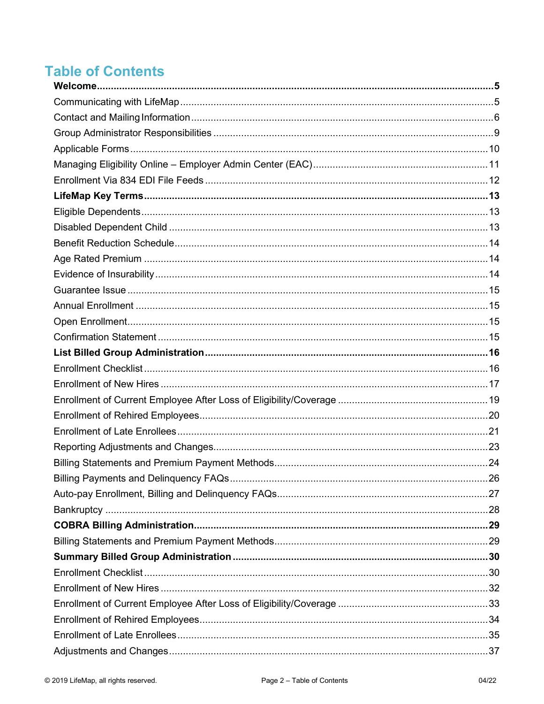# **Table of Contents**

| 26 |
|----|
|    |
|    |
|    |
|    |
|    |
|    |
|    |
|    |
|    |
|    |
|    |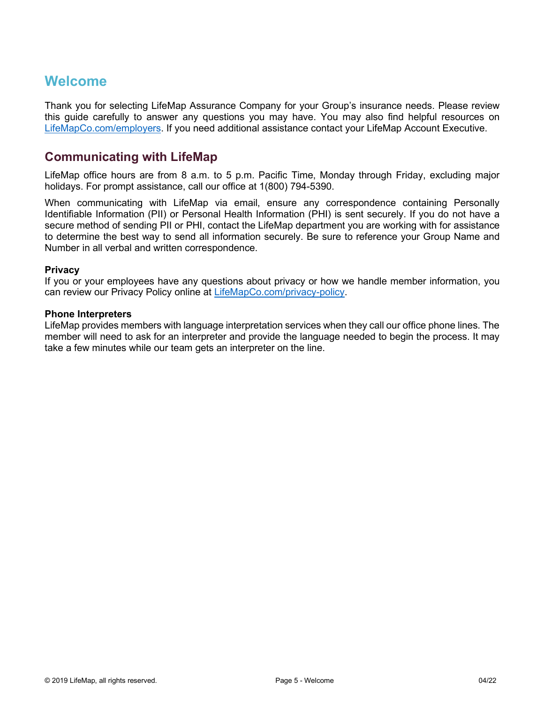# <span id="page-4-0"></span>**Welcome**

Thank you for selecting LifeMap Assurance Company for your Group's insurance needs. Please review this guide carefully to answer any questions you may have. You may also find helpful resources on [LifeMapCo.com/](https://www.lifemapco.com/employers)employers. If you need additional assistance contact your LifeMap Account Executive.

# <span id="page-4-1"></span>**Communicating with LifeMap**

LifeMap office hours are from 8 a.m. to 5 p.m. Pacific Time, Monday through Friday, excluding major holidays. For prompt assistance, call our office at 1(800) 794-5390.

When communicating with LifeMap via email, ensure any correspondence containing Personally Identifiable Information (PII) or Personal Health Information (PHI) is sent securely. If you do not have a secure method of sending PII or PHI, contact the LifeMap department you are working with for assistance to determine the best way to send all information securely. Be sure to reference your Group Name and Number in all verbal and written correspondence.

#### **Privacy**

If you or your employees have any questions about privacy or how we handle member information, you can review our Privacy Policy online at [LifeMapCo.com/privacy-policy.](https://lifemapco.com/privacy-policy)

#### **Phone Interpreters**

LifeMap provides members with language interpretation services when they call our office phone lines. The member will need to ask for an interpreter and provide the language needed to begin the process. It may take a few minutes while our team gets an interpreter on the line.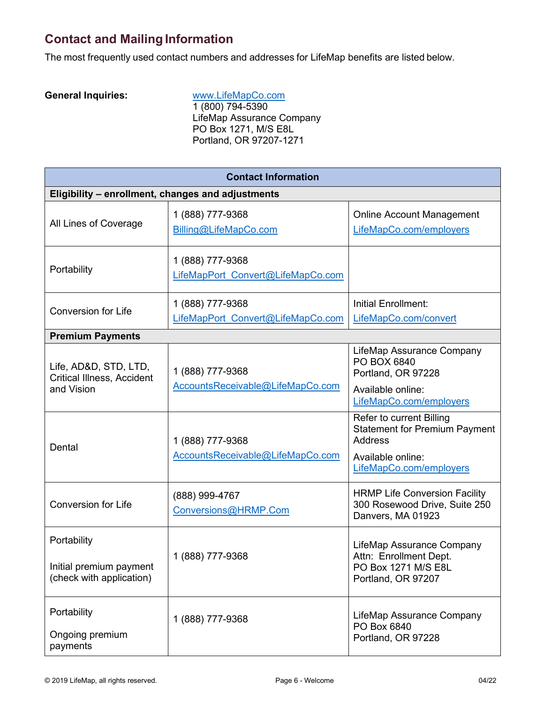# <span id="page-5-0"></span>**Contact and Mailing Information**

The most frequently used contact numbers and addresses for LifeMap benefits are listed below.

**General Inquiries:** [www.LifeMapCo.com](http://www.lifemapco.com/) 1 (800) 794-5390 LifeMap Assurance Company PO Box 1271, M/S E8L Portland, OR 97207-1271

| <b>Contact Information</b>                                         |                                                       |                                                                                                         |  |  |
|--------------------------------------------------------------------|-------------------------------------------------------|---------------------------------------------------------------------------------------------------------|--|--|
| Eligibility - enrollment, changes and adjustments                  |                                                       |                                                                                                         |  |  |
| All Lines of Coverage                                              | 1 (888) 777-9368<br>Billing@LifeMapCo.com             | <b>Online Account Management</b><br>LifeMapCo.com/employers                                             |  |  |
| Portability                                                        | 1 (888) 777-9368<br>LifeMapPort Convert@LifeMapCo.com |                                                                                                         |  |  |
| <b>Conversion for Life</b>                                         | 1 (888) 777-9368<br>LifeMapPort Convert@LifeMapCo.com | <b>Initial Enrollment:</b><br>LifeMapCo.com/convert                                                     |  |  |
| <b>Premium Payments</b>                                            |                                                       |                                                                                                         |  |  |
| Life, AD&D, STD, LTD,<br><b>Critical Illness, Accident</b>         | 1 (888) 777-9368                                      | LifeMap Assurance Company<br>PO BOX 6840<br>Portland, OR 97228                                          |  |  |
| and Vision                                                         | AccountsReceivable@LifeMapCo.com                      | Available online:<br>LifeMapCo.com/employers                                                            |  |  |
| Dental                                                             | 1 (888) 777-9368<br>AccountsReceivable@LifeMapCo.com  | Refer to current Billing<br><b>Statement for Premium Payment</b><br><b>Address</b><br>Available online: |  |  |
|                                                                    |                                                       | LifeMapCo.com/employers                                                                                 |  |  |
| <b>Conversion for Life</b>                                         | (888) 999-4767<br>Conversions@HRMP.Com                | <b>HRMP Life Conversion Facility</b><br>300 Rosewood Drive, Suite 250<br>Danvers, MA 01923              |  |  |
| Portability<br>Initial premium payment<br>(check with application) | 1 (888) 777-9368                                      | LifeMap Assurance Company<br>Attn: Enrollment Dept.<br>PO Box 1271 M/S E8L<br>Portland, OR 97207        |  |  |
| Portability<br>Ongoing premium<br>payments                         | 1 (888) 777-9368                                      | LifeMap Assurance Company<br>PO Box 6840<br>Portland, OR 97228                                          |  |  |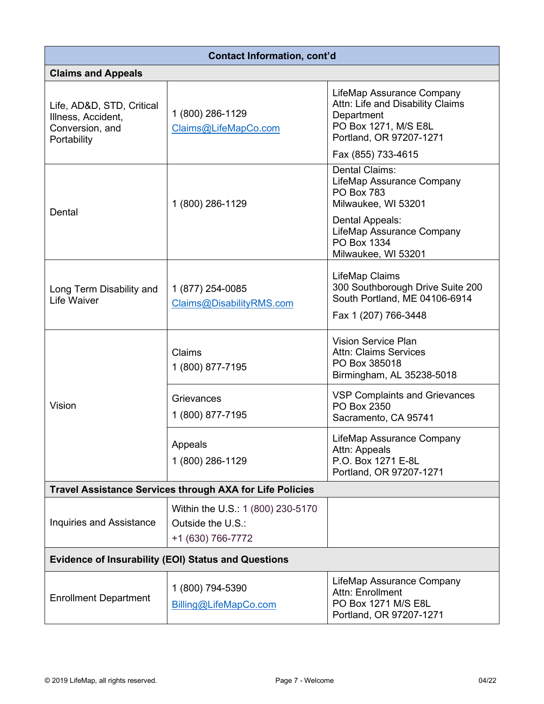| <b>Contact Information, cont'd</b>                                                |                                                                             |                                                                                                                                |  |  |
|-----------------------------------------------------------------------------------|-----------------------------------------------------------------------------|--------------------------------------------------------------------------------------------------------------------------------|--|--|
| <b>Claims and Appeals</b>                                                         |                                                                             |                                                                                                                                |  |  |
| Life, AD&D, STD, Critical<br>Illness, Accident,<br>Conversion, and<br>Portability | 1 (800) 286-1129<br>Claims@LifeMapCo.com                                    | LifeMap Assurance Company<br>Attn: Life and Disability Claims<br>Department<br>PO Box 1271, M/S E8L<br>Portland, OR 97207-1271 |  |  |
|                                                                                   |                                                                             | Fax (855) 733-4615                                                                                                             |  |  |
| Dental                                                                            | 1 (800) 286-1129                                                            | Dental Claims:<br>LifeMap Assurance Company<br><b>PO Box 783</b><br>Milwaukee, WI 53201                                        |  |  |
|                                                                                   |                                                                             | Dental Appeals:<br>LifeMap Assurance Company<br>PO Box 1334<br>Milwaukee, WI 53201                                             |  |  |
| Long Term Disability and<br>Life Waiver                                           | 1 (877) 254-0085<br>Claims@DisabilityRMS.com                                | LifeMap Claims<br>300 Southborough Drive Suite 200<br>South Portland, ME 04106-6914<br>Fax 1 (207) 766-3448                    |  |  |
|                                                                                   | Claims<br>1 (800) 877-7195                                                  | <b>Vision Service Plan</b><br><b>Attn: Claims Services</b><br>PO Box 385018<br>Birmingham, AL 35238-5018                       |  |  |
| Vision                                                                            | Grievances<br>1 (800) 877-7195                                              | <b>VSP Complaints and Grievances</b><br>PO Box 2350<br>Sacramento, CA 95741                                                    |  |  |
|                                                                                   | Appeals<br>1 (800) 286-1129                                                 | LifeMap Assurance Company<br>Attn: Appeals<br>P.O. Box 1271 E-8L<br>Portland, OR 97207-1271                                    |  |  |
| <b>Travel Assistance Services through AXA for Life Policies</b>                   |                                                                             |                                                                                                                                |  |  |
| <b>Inquiries and Assistance</b>                                                   | Within the U.S.: 1 (800) 230-5170<br>Outside the U.S.:<br>+1 (630) 766-7772 |                                                                                                                                |  |  |
| <b>Evidence of Insurability (EOI) Status and Questions</b>                        |                                                                             |                                                                                                                                |  |  |
| <b>Enrollment Department</b>                                                      | 1 (800) 794-5390<br>Billing@LifeMapCo.com                                   | LifeMap Assurance Company<br>Attn: Enrollment<br>PO Box 1271 M/S E8L<br>Portland, OR 97207-1271                                |  |  |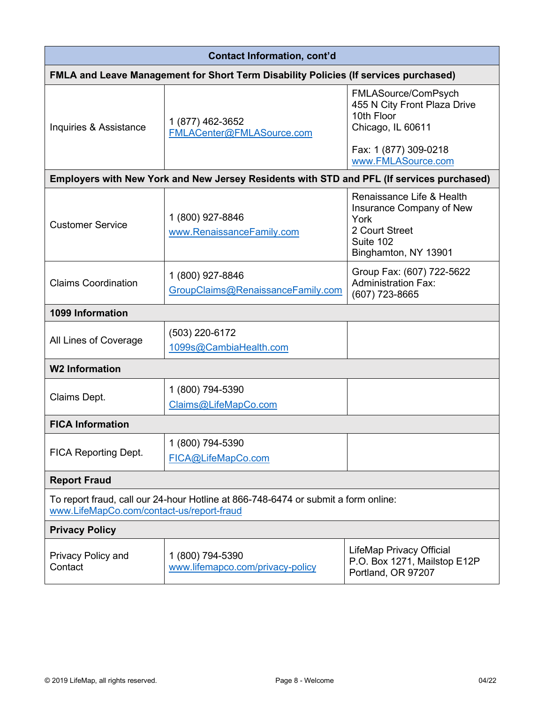| <b>Contact Information, cont'd</b>                                                                                              |                                                                                           |                                                                                                                      |  |  |
|---------------------------------------------------------------------------------------------------------------------------------|-------------------------------------------------------------------------------------------|----------------------------------------------------------------------------------------------------------------------|--|--|
| <b>FMLA and Leave Management for Short Term Disability Policies (If services purchased)</b>                                     |                                                                                           |                                                                                                                      |  |  |
| Inquiries & Assistance                                                                                                          | 1 (877) 462-3652<br>FMLACenter@FMLASource.com                                             | FMLASource/ComPsych<br>455 N City Front Plaza Drive<br>10th Floor<br>Chicago, IL 60611                               |  |  |
|                                                                                                                                 |                                                                                           | Fax: 1 (877) 309-0218<br>www.FMLASource.com                                                                          |  |  |
|                                                                                                                                 | Employers with New York and New Jersey Residents with STD and PFL (If services purchased) |                                                                                                                      |  |  |
| <b>Customer Service</b>                                                                                                         | 1 (800) 927-8846<br>www.RenaissanceFamily.com                                             | Renaissance Life & Health<br>Insurance Company of New<br>York<br>2 Court Street<br>Suite 102<br>Binghamton, NY 13901 |  |  |
| <b>Claims Coordination</b>                                                                                                      | 1 (800) 927-8846<br>GroupClaims@RenaissanceFamily.com                                     | Group Fax: (607) 722-5622<br><b>Administration Fax:</b><br>(607) 723-8665                                            |  |  |
| 1099 Information                                                                                                                |                                                                                           |                                                                                                                      |  |  |
| All Lines of Coverage                                                                                                           | (503) 220-6172<br>1099s@CambiaHealth.com                                                  |                                                                                                                      |  |  |
| <b>W2 Information</b>                                                                                                           |                                                                                           |                                                                                                                      |  |  |
| Claims Dept.                                                                                                                    | 1 (800) 794-5390<br>Claims@LifeMapCo.com                                                  |                                                                                                                      |  |  |
| <b>FICA Information</b>                                                                                                         |                                                                                           |                                                                                                                      |  |  |
| <b>FICA Reporting Dept.</b>                                                                                                     | 1 (800) 794-5390<br>FICA@LifeMapCo.com                                                    |                                                                                                                      |  |  |
| <b>Report Fraud</b>                                                                                                             |                                                                                           |                                                                                                                      |  |  |
| To report fraud, call our 24-hour Hotline at 866-748-6474 or submit a form online:<br>www.LifeMapCo.com/contact-us/report-fraud |                                                                                           |                                                                                                                      |  |  |
| <b>Privacy Policy</b>                                                                                                           |                                                                                           |                                                                                                                      |  |  |
| Privacy Policy and<br>Contact                                                                                                   | 1 (800) 794-5390<br>www.lifemapco.com/privacy-policy                                      | <b>LifeMap Privacy Official</b><br>P.O. Box 1271, Mailstop E12P<br>Portland, OR 97207                                |  |  |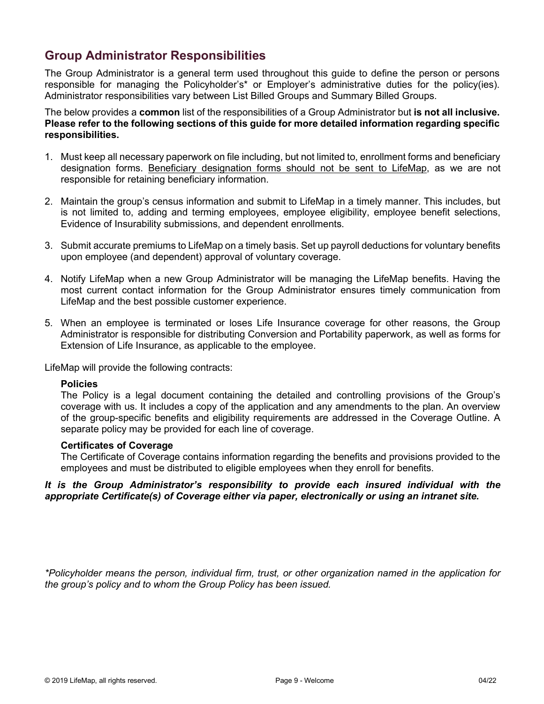# <span id="page-8-0"></span>**Group Administrator Responsibilities**

The Group Administrator is a general term used throughout this guide to define the person or persons responsible for managing the Policyholder's\* or Employer's administrative duties for the policy(ies). Administrator responsibilities vary between List Billed Groups and Summary Billed Groups.

The below provides a **common** list of the responsibilities of a Group Administrator but **is not all inclusive. Please refer to the following sections of this guide for more detailed information regarding specific responsibilities.**

- 1. Must keep all necessary paperwork on file including, but not limited to, enrollment forms and beneficiary designation forms. Beneficiary designation forms should not be sent to LifeMap, as we are not responsible for retaining beneficiary information.
- 2. Maintain the group's census information and submit to LifeMap in a timely manner. This includes, but is not limited to, adding and terming employees, employee eligibility, employee benefit selections, Evidence of Insurability submissions, and dependent enrollments.
- 3. Submit accurate premiums to LifeMap on a timely basis. Set up payroll deductions for voluntary benefits upon employee (and dependent) approval of voluntary coverage.
- 4. Notify LifeMap when a new Group Administrator will be managing the LifeMap benefits. Having the most current contact information for the Group Administrator ensures timely communication from LifeMap and the best possible customer experience.
- 5. When an employee is terminated or loses Life Insurance coverage for other reasons, the Group Administrator is responsible for distributing Conversion and Portability paperwork, as well as forms for Extension of Life Insurance, as applicable to the employee.

LifeMap will provide the following contracts:

#### **Policies**

The Policy is a legal document containing the detailed and controlling provisions of the Group's coverage with us. It includes a copy of the application and any amendments to the plan. An overview of the group-specific benefits and eligibility requirements are addressed in the Coverage Outline. A separate policy may be provided for each line of coverage.

#### **Certificates of Coverage**

The Certificate of Coverage contains information regarding the benefits and provisions provided to the employees and must be distributed to eligible employees when they enroll for benefits.

#### *It is the Group Administrator's responsibility to provide each insured individual with the appropriate Certificate(s) of Coverage either via paper, electronically or using an intranet site.*

*\*Policyholder means the person, individual firm, trust, or other organization named in the application for the group's policy and to whom the Group Policy has been issued.*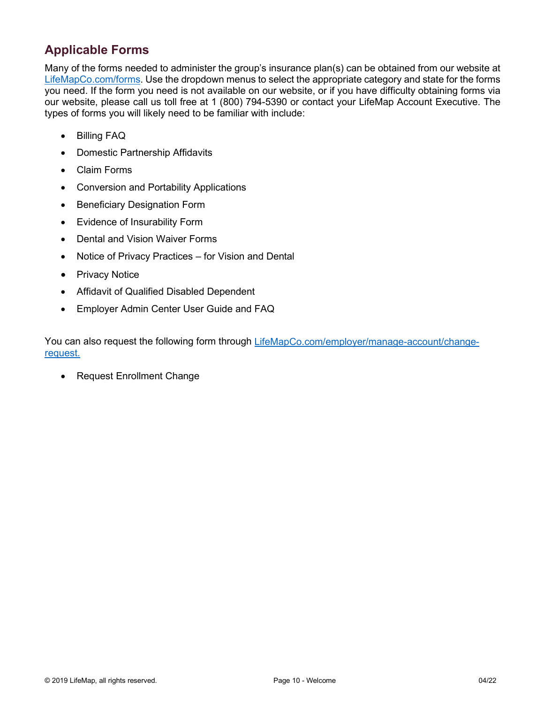# <span id="page-9-0"></span>**Applicable Forms**

Many of the forms needed to administer the group's insurance plan(s) can be obtained from our website at [LifeMapCo.com/forms.](https://www.lifemapco.com/forms) Use the dropdown menus to select the appropriate category and state for the forms you need. If the form you need is not available on our website, or if you have difficulty obtaining forms via our website, please call us toll free at 1 (800) 794-5390 or contact your LifeMap Account Executive. The types of forms you will likely need to be familiar with include:

- Billing FAQ
- Domestic Partnership Affidavits
- Claim Forms
- Conversion and Portability Applications
- Beneficiary Designation Form
- Evidence of Insurability Form
- Dental and Vision Waiver Forms
- Notice of Privacy Practices for Vision and Dental
- Privacy Notice
- Affidavit of Qualified Disabled Dependent
- Employer Admin Center User Guide and FAQ

You can also request the following form through [LifeMapCo.com/employer/manage-account/change](https://www.lifemapco.com/employer/manage-account/change-request)[request.](https://www.lifemapco.com/employer/manage-account/change-request)

• Request Enrollment Change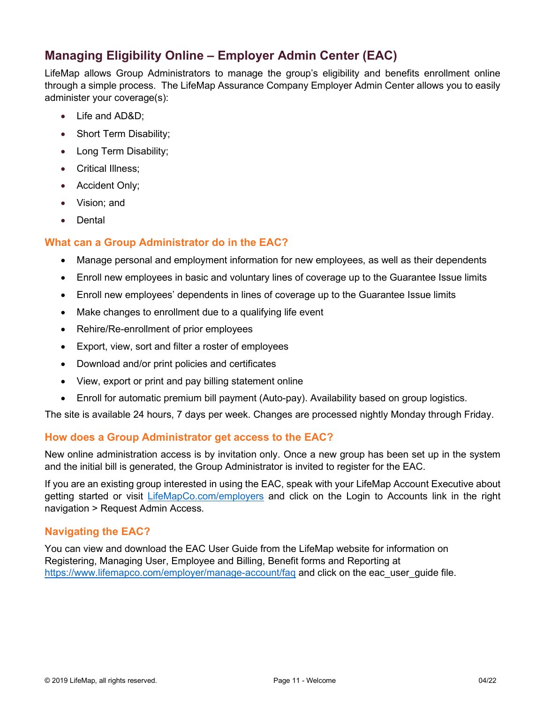# <span id="page-10-0"></span>**Managing Eligibility Online – Employer Admin Center (EAC)**

LifeMap allows Group Administrators to manage the group's eligibility and benefits enrollment online through a simple process. The LifeMap Assurance Company Employer Admin Center allows you to easily administer your coverage(s):

- Life and AD&D;
- Short Term Disability;
- Long Term Disability;
- Critical Illness;
- Accident Only;
- Vision; and
- Dental

# **What can a Group Administrator do in the EAC?**

- Manage personal and employment information for new employees, as well as their dependents
- Enroll new employees in basic and voluntary lines of coverage up to the Guarantee Issue limits
- Enroll new employees' dependents in lines of coverage up to the Guarantee Issue limits
- Make changes to enrollment due to a qualifying life event
- Rehire/Re-enrollment of prior employees
- Export, view, sort and filter a roster of employees
- Download and/or print policies and certificates
- View, export or print and pay billing statement online
- Enroll for automatic premium bill payment (Auto-pay). Availability based on group logistics.

The site is available 24 hours, 7 days per week. Changes are processed nightly Monday through Friday.

### **How does a Group Administrator get access to the EAC?**

New online administration access is by invitation only. Once a new group has been set up in the system and the initial bill is generated, the Group Administrator is invited to register for the EAC.

If you are an existing group interested in using the EAC, speak with your LifeMap Account Executive about getting started or visit [LifeMapCo.com/employers](http://lifemapco.com/employers) and click on the Login to Accounts link in the right navigation > Request Admin Access.

# **Navigating the EAC?**

You can view and download the EAC User Guide from the LifeMap website for information on Registering, Managing User, Employee and Billing, Benefit forms and Reporting at https://www.lifemapco.com/employer/manage-account/fag and click on the eac user quide file.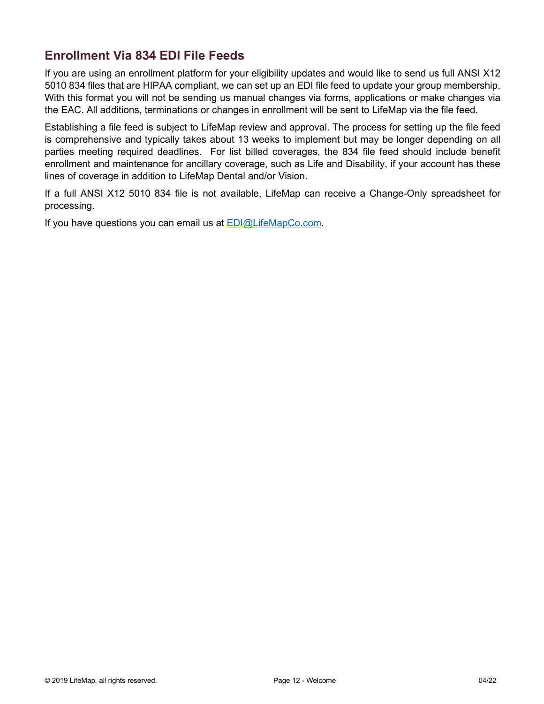# <span id="page-11-0"></span>**Enrollment Via 834 EDI File Feeds**

If you are using an enrollment platform for your eligibility updates and would like to send us full ANSI X12 5010 834 files that are HIPAA compliant, we can set up an EDI file feed to update your group membership. With this format you will not be sending us manual changes via forms, applications or make changes via the EAC. All additions, terminations or changes in enrollment will be sent to LifeMap via the file feed.

Establishing a file feed is subject to LifeMap review and approval. The process for setting up the file feed is comprehensive and typically takes about 13 weeks to implement but may be longer depending on all parties meeting required deadlines. For list billed coverages, the 834 file feed should include benefit enrollment and maintenance for ancillary coverage, such as Life and Disability, if your account has these lines of coverage in addition to LifeMap Dental and/or Vision.

If a full ANSI X12 5010 834 file is not available, LifeMap can receive a Change-Only spreadsheet for processing.

If you have questions you can email us at **EDI@LifeMapCo.com**.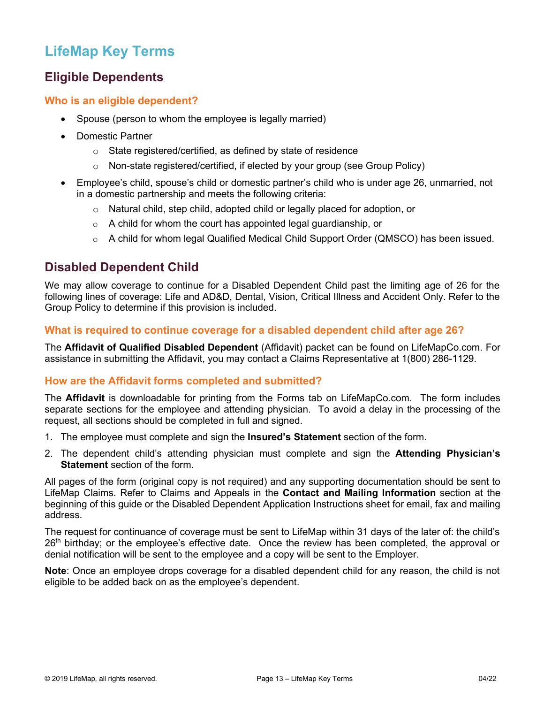# <span id="page-12-0"></span>**LifeMap Key Terms**

# <span id="page-12-1"></span>**Eligible Dependents**

### **Who is an eligible dependent?**

- Spouse (person to whom the employee is legally married)
- Domestic Partner
	- o State registered/certified, as defined by state of residence
	- o Non-state registered/certified, if elected by your group (see Group Policy)
- Employee's child, spouse's child or domestic partner's child who is under age 26, unmarried, not in a domestic partnership and meets the following criteria:
	- $\circ$  Natural child, step child, adopted child or legally placed for adoption, or
	- $\circ$  A child for whom the court has appointed legal guardianship, or
	- $\circ$  A child for whom legal Qualified Medical Child Support Order (QMSCO) has been issued.

# <span id="page-12-2"></span>**Disabled Dependent Child**

We may allow coverage to continue for a Disabled Dependent Child past the limiting age of 26 for the following lines of coverage: Life and AD&D, Dental, Vision, Critical Illness and Accident Only. Refer to the Group Policy to determine if this provision is included.

# **What is required to continue coverage for a disabled dependent child after age 26?**

The **Affidavit of Qualified Disabled Dependent** (Affidavit) packet can be found on LifeMapCo.com. For assistance in submitting the Affidavit, you may contact a Claims Representative at 1(800) 286-1129.

# **How are the Affidavit forms completed and submitted?**

The **Affidavit** is downloadable for printing from the Forms tab on LifeMapCo.com. The form includes separate sections for the employee and attending physician. To avoid a delay in the processing of the request, all sections should be completed in full and signed.

- 1. The employee must complete and sign the **Insured's Statement** section of the form.
- 2. The dependent child's attending physician must complete and sign the **Attending Physician's Statement** section of the form.

All pages of the form (original copy is not required) and any supporting documentation should be sent to LifeMap Claims. Refer to Claims and Appeals in the **Contact and Mailing Information** section at the beginning of this guide or the Disabled Dependent Application Instructions sheet for email, fax and mailing address.

The request for continuance of coverage must be sent to LifeMap within 31 days of the later of: the child's 26<sup>th</sup> birthday; or the employee's effective date. Once the review has been completed, the approval or denial notification will be sent to the employee and a copy will be sent to the Employer.

**Note**: Once an employee drops coverage for a disabled dependent child for any reason, the child is not eligible to be added back on as the employee's dependent.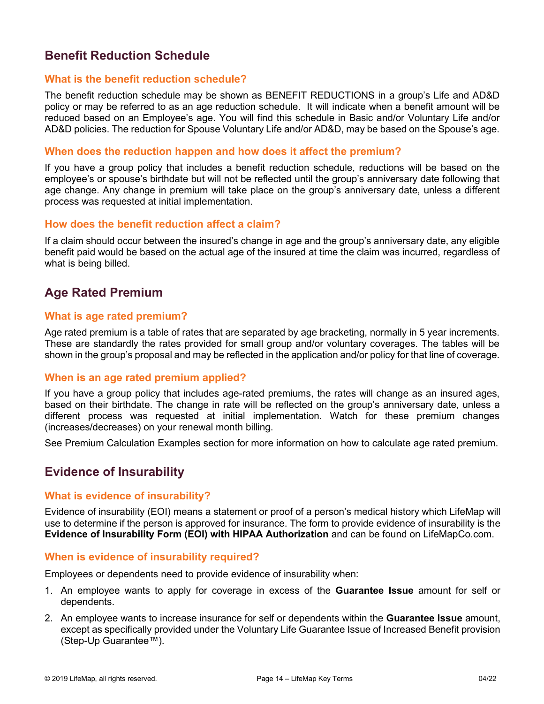# <span id="page-13-0"></span>**Benefit Reduction Schedule**

#### **What is the benefit reduction schedule?**

The benefit reduction schedule may be shown as BENEFIT REDUCTIONS in a group's Life and AD&D policy or may be referred to as an age reduction schedule. It will indicate when a benefit amount will be reduced based on an Employee's age. You will find this schedule in Basic and/or Voluntary Life and/or AD&D policies. The reduction for Spouse Voluntary Life and/or AD&D, may be based on the Spouse's age.

#### **When does the reduction happen and how does it affect the premium?**

If you have a group policy that includes a benefit reduction schedule, reductions will be based on the employee's or spouse's birthdate but will not be reflected until the group's anniversary date following that age change. Any change in premium will take place on the group's anniversary date, unless a different process was requested at initial implementation.

#### **How does the benefit reduction affect a claim?**

If a claim should occur between the insured's change in age and the group's anniversary date, any eligible benefit paid would be based on the actual age of the insured at time the claim was incurred, regardless of what is being billed.

# <span id="page-13-1"></span>**Age Rated Premium**

#### **What is age rated premium?**

Age rated premium is a table of rates that are separated by age bracketing, normally in 5 year increments. These are standardly the rates provided for small group and/or voluntary coverages. The tables will be shown in the group's proposal and may be reflected in the application and/or policy for that line of coverage.

### **When is an age rated premium applied?**

If you have a group policy that includes age-rated premiums, the rates will change as an insured ages, based on their birthdate. The change in rate will be reflected on the group's anniversary date, unless a different process was requested at initial implementation. Watch for these premium changes (increases/decreases) on your renewal month billing.

<span id="page-13-2"></span>See Premium Calculation Examples section for more information on how to calculate age rated premium.

# **Evidence of Insurability**

#### **What is evidence of insurability?**

Evidence of insurability (EOI) means a statement or proof of a person's medical history which LifeMap will use to determine if the person is approved for insurance. The form to provide evidence of insurability is the **Evidence of Insurability Form (EOI) with HIPAA Authorization** and can be found on LifeMapCo.com.

#### **When is evidence of insurability required?**

Employees or dependents need to provide evidence of insurability when:

- 1. An employee wants to apply for coverage in excess of the **Guarantee Issue** amount for self or dependents.
- 2. An employee wants to increase insurance for self or dependents within the **Guarantee Issue** amount, except as specifically provided under the Voluntary Life Guarantee Issue of Increased Benefit provision (Step-Up Guarantee™).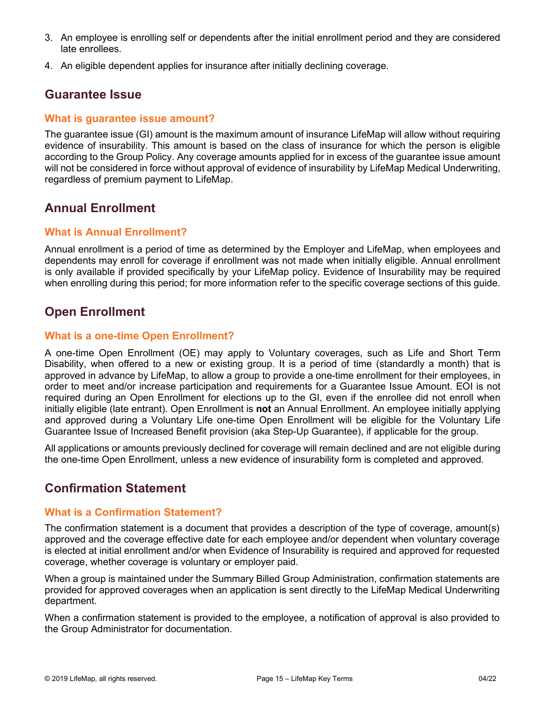- 3. An employee is enrolling self or dependents after the initial enrollment period and they are considered late enrollees.
- <span id="page-14-0"></span>4. An eligible dependent applies for insurance after initially declining coverage.

# **Guarantee Issue**

### **What is guarantee issue amount?**

The guarantee issue (GI) amount is the maximum amount of insurance LifeMap will allow without requiring evidence of insurability. This amount is based on the class of insurance for which the person is eligible according to the Group Policy. Any coverage amounts applied for in excess of the guarantee issue amount will not be considered in force without approval of evidence of insurability by LifeMap Medical Underwriting, regardless of premium payment to LifeMap.

# <span id="page-14-1"></span>**Annual Enrollment**

### **What is Annual Enrollment?**

Annual enrollment is a period of time as determined by the Employer and LifeMap, when employees and dependents may enroll for coverage if enrollment was not made when initially eligible. Annual enrollment is only available if provided specifically by your LifeMap policy. Evidence of Insurability may be required when enrolling during this period; for more information refer to the specific coverage sections of this guide.

# <span id="page-14-2"></span>**Open Enrollment**

### **What is a one-time Open Enrollment?**

A one-time Open Enrollment (OE) may apply to Voluntary coverages, such as Life and Short Term Disability, when offered to a new or existing group. It is a period of time (standardly a month) that is approved in advance by LifeMap, to allow a group to provide a one-time enrollment for their employees, in order to meet and/or increase participation and requirements for a Guarantee Issue Amount. EOI is not required during an Open Enrollment for elections up to the GI, even if the enrollee did not enroll when initially eligible (late entrant). Open Enrollment is **not** an Annual Enrollment. An employee initially applying and approved during a Voluntary Life one-time Open Enrollment will be eligible for the Voluntary Life Guarantee Issue of Increased Benefit provision (aka Step-Up Guarantee), if applicable for the group.

All applications or amounts previously declined for coverage will remain declined and are not eligible during the one-time Open Enrollment, unless a new evidence of insurability form is completed and approved.

# <span id="page-14-3"></span>**Confirmation Statement**

# **What is a Confirmation Statement?**

The confirmation statement is a document that provides a description of the type of coverage, amount(s) approved and the coverage effective date for each employee and/or dependent when voluntary coverage is elected at initial enrollment and/or when Evidence of Insurability is required and approved for requested coverage, whether coverage is voluntary or employer paid.

When a group is maintained under the Summary Billed Group Administration, confirmation statements are provided for approved coverages when an application is sent directly to the LifeMap Medical Underwriting department.

When a confirmation statement is provided to the employee, a notification of approval is also provided to the Group Administrator for documentation.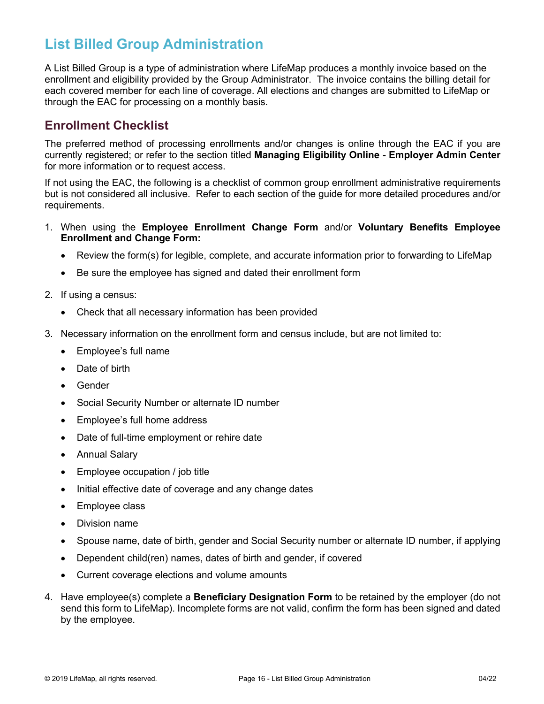# <span id="page-15-0"></span>**List Billed Group Administration**

A List Billed Group is a type of administration where LifeMap produces a monthly invoice based on the enrollment and eligibility provided by the Group Administrator. The invoice contains the billing detail for each covered member for each line of coverage. All elections and changes are submitted to LifeMap or through the EAC for processing on a monthly basis.

# <span id="page-15-1"></span>**Enrollment Checklist**

The preferred method of processing enrollments and/or changes is online through the EAC if you are currently registered; or refer to the section titled **Managing Eligibility Online - Employer Admin Center**  for more information or to request access.

If not using the EAC, the following is a checklist of common group enrollment administrative requirements but is not considered all inclusive. Refer to each section of the guide for more detailed procedures and/or requirements.

- 1. When using the **Employee Enrollment Change Form** and/or **Voluntary Benefits Employee Enrollment and Change Form:**
	- Review the form(s) for legible, complete, and accurate information prior to forwarding to LifeMap
	- Be sure the employee has signed and dated their enrollment form
- 2. If using a census:
	- Check that all necessary information has been provided
- 3. Necessary information on the enrollment form and census include, but are not limited to:
	- Employee's full name
	- Date of birth
	- **Gender**
	- Social Security Number or alternate ID number
	- Employee's full home address
	- Date of full-time employment or rehire date
	- Annual Salary
	- Employee occupation / job title
	- Initial effective date of coverage and any change dates
	- Employee class
	- Division name
	- Spouse name, date of birth, gender and Social Security number or alternate ID number, if applying
	- Dependent child(ren) names, dates of birth and gender, if covered
	- Current coverage elections and volume amounts
- 4. Have employee(s) complete a **Beneficiary Designation Form** to be retained by the employer (do not send this form to LifeMap). Incomplete forms are not valid, confirm the form has been signed and dated by the employee.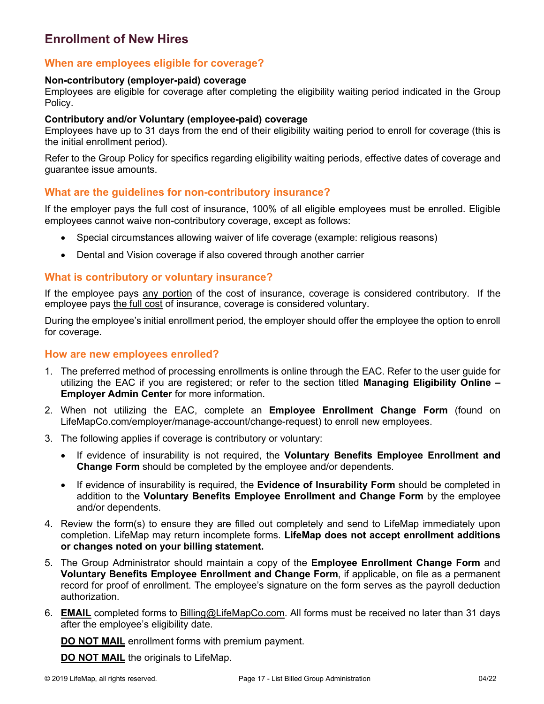# <span id="page-16-0"></span>**Enrollment of New Hires**

## **When are employees eligible for coverage?**

#### **Non-contributory (employer-paid) coverage**

Employees are eligible for coverage after completing the eligibility waiting period indicated in the Group Policy.

#### **Contributory and/or Voluntary (employee-paid) coverage**

Employees have up to 31 days from the end of their eligibility waiting period to enroll for coverage (this is the initial enrollment period).

Refer to the Group Policy for specifics regarding eligibility waiting periods, effective dates of coverage and guarantee issue amounts.

### **What are the guidelines for non-contributory insurance?**

If the employer pays the full cost of insurance, 100% of all eligible employees must be enrolled. Eligible employees cannot waive non-contributory coverage, except as follows:

- Special circumstances allowing waiver of life coverage (example: religious reasons)
- Dental and Vision coverage if also covered through another carrier

### **What is contributory or voluntary insurance?**

If the employee pays any portion of the cost of insurance, coverage is considered contributory. If the employee pays the full cost of insurance, coverage is considered voluntary.

During the employee's initial enrollment period, the employer should offer the employee the option to enroll for coverage.

### **How are new employees enrolled?**

- 1. The preferred method of processing enrollments is online through the EAC. Refer to the user guide for utilizing the EAC if you are registered; or refer to the section titled **Managing Eligibility Online – Employer Admin Center** for more information.
- 2. When not utilizing the EAC, complete an **Employee Enrollment Change Form** (found on LifeMapCo.com/employer/manage-account/change-request) to enroll new employees.
- 3. The following applies if coverage is contributory or voluntary:
	- If evidence of insurability is not required, the **Voluntary Benefits Employee Enrollment and Change Form** should be completed by the employee and/or dependents.
	- If evidence of insurability is required, the **Evidence of Insurability Form** should be completed in addition to the **Voluntary Benefits Employee Enrollment and Change Form** by the employee and/or dependents.
- 4. Review the form(s) to ensure they are filled out completely and send to LifeMap immediately upon completion. LifeMap may return incomplete forms. **LifeMap does not accept enrollment additions or changes noted on your billing statement.**
- 5. The Group Administrator should maintain a copy of the **Employee Enrollment Change Form** and **Voluntary Benefits Employee Enrollment and Change Form**, if applicable, on file as a permanent record for proof of enrollment. The employee's signature on the form serves as the payroll deduction authorization.
- 6. **EMAIL** completed forms to [Billing@LifeMapCo.com.](mailto:Billing@LifeMapCo.com) All forms must be received no later than 31 days after the employee's eligibility date.

**DO NOT MAIL** enrollment forms with premium payment.

**DO NOT MAIL** the originals to LifeMap.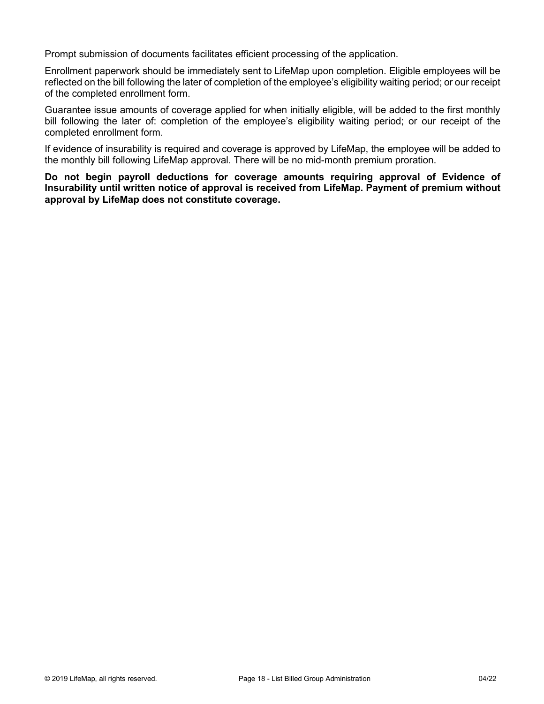Prompt submission of documents facilitates efficient processing of the application.

Enrollment paperwork should be immediately sent to LifeMap upon completion. Eligible employees will be reflected on the bill following the later of completion of the employee's eligibility waiting period; or our receipt of the completed enrollment form.

Guarantee issue amounts of coverage applied for when initially eligible, will be added to the first monthly bill following the later of: completion of the employee's eligibility waiting period; or our receipt of the completed enrollment form.

If evidence of insurability is required and coverage is approved by LifeMap, the employee will be added to the monthly bill following LifeMap approval. There will be no mid-month premium proration.

**Do not begin payroll deductions for coverage amounts requiring approval of Evidence of Insurability until written notice of approval is received from LifeMap. Payment of premium without approval by LifeMap does not constitute coverage.**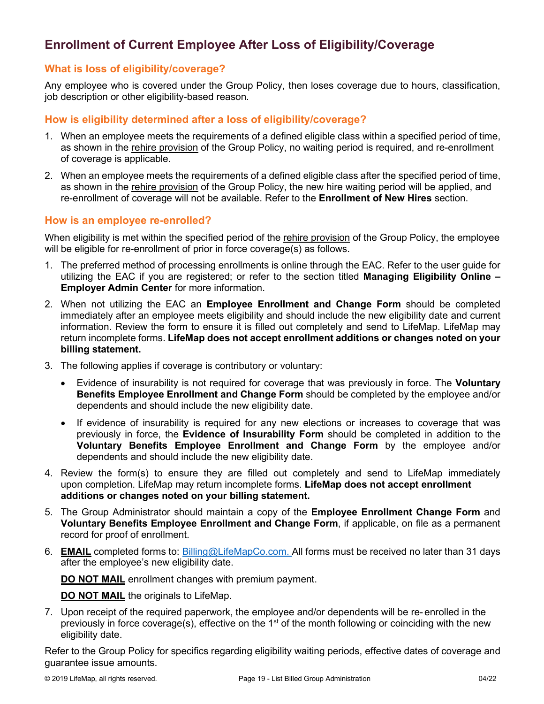# <span id="page-18-0"></span>**Enrollment of Current Employee After Loss of Eligibility/Coverage**

# **What is loss of eligibility/coverage?**

Any employee who is covered under the Group Policy, then loses coverage due to hours, classification, job description or other eligibility-based reason.

# **How is eligibility determined after a loss of eligibility/coverage?**

- 1. When an employee meets the requirements of a defined eligible class within a specified period of time, as shown in the rehire provision of the Group Policy, no waiting period is required, and re-enrollment of coverage is applicable.
- 2. When an employee meets the requirements of a defined eligible class after the specified period of time, as shown in the rehire provision of the Group Policy, the new hire waiting period will be applied, and re-enrollment of coverage will not be available. Refer to the **Enrollment of New Hires** section.

# **How is an employee re-enrolled?**

When eligibility is met within the specified period of the rehire provision of the Group Policy, the employee will be eligible for re-enrollment of prior in force coverage(s) as follows.

- 1. The preferred method of processing enrollments is online through the EAC. Refer to the user guide for utilizing the EAC if you are registered; or refer to the section titled **Managing Eligibility Online – Employer Admin Center** for more information.
- 2. When not utilizing the EAC an **Employee Enrollment and Change Form** should be completed immediately after an employee meets eligibility and should include the new eligibility date and current information. Review the form to ensure it is filled out completely and send to LifeMap. LifeMap may return incomplete forms. **LifeMap does not accept enrollment additions or changes noted on your billing statement.**
- 3. The following applies if coverage is contributory or voluntary:
	- Evidence of insurability is not required for coverage that was previously in force. The **Voluntary Benefits Employee Enrollment and Change Form** should be completed by the employee and/or dependents and should include the new eligibility date.
	- If evidence of insurability is required for any new elections or increases to coverage that was previously in force, the **Evidence of Insurability Form** should be completed in addition to the **Voluntary Benefits Employee Enrollment and Change Form** by the employee and/or dependents and should include the new eligibility date.
- 4. Review the form(s) to ensure they are filled out completely and send to LifeMap immediately upon completion. LifeMap may return incomplete forms. **LifeMap does not accept enrollment additions or changes noted on your billing statement.**
- 5. The Group Administrator should maintain a copy of the **Employee Enrollment Change Form** and **Voluntary Benefits Employee Enrollment and Change Form**, if applicable, on file as a permanent record for proof of enrollment.
- 6. **EMAIL** completed forms to: [Billing@LifeMapCo.com.](mailto:Billing@LifeMapCo.com) All forms must be received no later than 31 days after the employee's new eligibility date.

**DO NOT MAIL** enrollment changes with premium payment.

**DO NOT MAIL** the originals to LifeMap.

7. Upon receipt of the required paperwork, the employee and/or dependents will be re- enrolled in the previously in force coverage(s), effective on the 1<sup>st</sup> of the month following or coinciding with the new eligibility date.

Refer to the Group Policy for specifics regarding eligibility waiting periods, effective dates of coverage and guarantee issue amounts.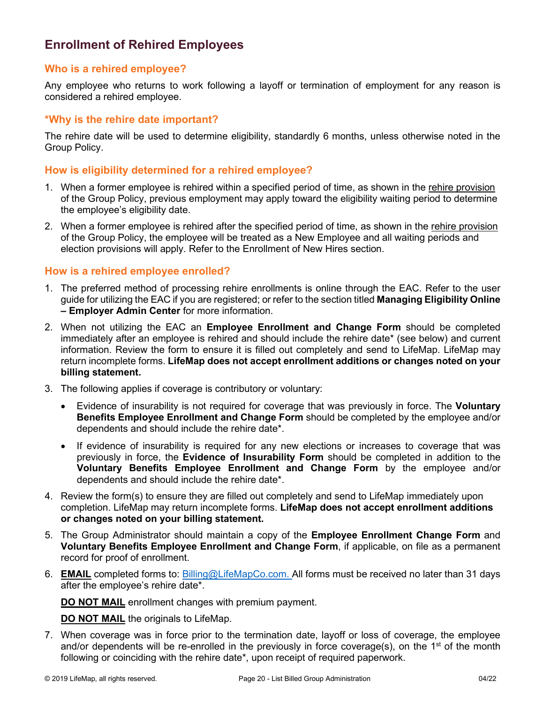# <span id="page-19-0"></span>**Enrollment of Rehired Employees**

## **Who is a rehired employee?**

Any employee who returns to work following a layoff or termination of employment for any reason is considered a rehired employee.

## **\*Why is the rehire date important?**

The rehire date will be used to determine eligibility, standardly 6 months, unless otherwise noted in the Group Policy.

### **How is eligibility determined for a rehired employee?**

- 1. When a former employee is rehired within a specified period of time, as shown in the rehire provision of the Group Policy, previous employment may apply toward the eligibility waiting period to determine the employee's eligibility date.
- 2. When a former employee is rehired after the specified period of time, as shown in the rehire provision of the Group Policy, the employee will be treated as a New Employee and all waiting periods and election provisions will apply. Refer to the Enrollment of New Hires section.

### **How is a rehired employee enrolled?**

- 1. The preferred method of processing rehire enrollments is online through the EAC. Refer to the user guide for utilizing the EAC if you are registered; or refer to the section titled **Managing Eligibility Online – Employer Admin Center** for more information.
- 2. When not utilizing the EAC an **Employee Enrollment and Change Form** should be completed immediately after an employee is rehired and should include the rehire date\* (see below) and current information. Review the form to ensure it is filled out completely and send to LifeMap. LifeMap may return incomplete forms. **LifeMap does not accept enrollment additions or changes noted on your billing statement.**
- 3. The following applies if coverage is contributory or voluntary:
	- Evidence of insurability is not required for coverage that was previously in force. The **Voluntary Benefits Employee Enrollment and Change Form** should be completed by the employee and/or dependents and should include the rehire date\*.
	- If evidence of insurability is required for any new elections or increases to coverage that was previously in force, the **Evidence of Insurability Form** should be completed in addition to the **Voluntary Benefits Employee Enrollment and Change Form** by the employee and/or dependents and should include the rehire date\*.
- 4. Review the form(s) to ensure they are filled out completely and send to LifeMap immediately upon completion. LifeMap may return incomplete forms. **LifeMap does not accept enrollment additions or changes noted on your billing statement.**
- 5. The Group Administrator should maintain a copy of the **Employee Enrollment Change Form** and **Voluntary Benefits Employee Enrollment and Change Form**, if applicable, on file as a permanent record for proof of enrollment.
- 6. **EMAIL** completed forms to: [Billing@LifeMapCo.com.](mailto:Billing@LifeMapCo.com) All forms must be received no later than 31 days after the employee's rehire date\*.

**DO NOT MAIL** enrollment changes with premium payment.

**DO NOT MAIL** the originals to LifeMap.

7. When coverage was in force prior to the termination date, layoff or loss of coverage, the employee and/or dependents will be re-enrolled in the previously in force coverage(s), on the  $1<sup>st</sup>$  of the month following or coinciding with the rehire date\*, upon receipt of required paperwork.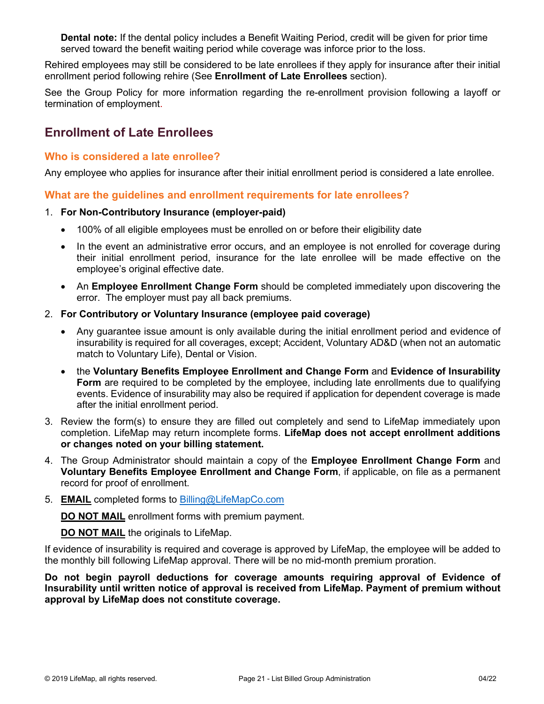**Dental note:** If the dental policy includes a Benefit Waiting Period, credit will be given for prior time served toward the benefit waiting period while coverage was inforce prior to the loss.

Rehired employees may still be considered to be late enrollees if they apply for insurance after their initial enrollment period following rehire (See **Enrollment of Late Enrollees** section).

See the Group Policy for more information regarding the re-enrollment provision following a layoff or termination of employment.

# <span id="page-20-0"></span>**Enrollment of Late Enrollees**

### **Who is considered a late enrollee?**

Any employee who applies for insurance after their initial enrollment period is considered a late enrollee.

### **What are the guidelines and enrollment requirements for late enrollees?**

#### 1. **For Non-Contributory Insurance (employer-paid)**

- 100% of all eligible employees must be enrolled on or before their eligibility date
- In the event an administrative error occurs, and an employee is not enrolled for coverage during their initial enrollment period, insurance for the late enrollee will be made effective on the employee's original effective date.
- An **Employee Enrollment Change Form** should be completed immediately upon discovering the error. The employer must pay all back premiums.
- 2. **For Contributory or Voluntary Insurance (employee paid coverage)**
	- Any guarantee issue amount is only available during the initial enrollment period and evidence of insurability is required for all coverages, except; Accident, Voluntary AD&D (when not an automatic match to Voluntary Life), Dental or Vision.
	- the **Voluntary Benefits Employee Enrollment and Change Form** and **Evidence of Insurability Form** are required to be completed by the employee, including late enrollments due to qualifying events. Evidence of insurability may also be required if application for dependent coverage is made after the initial enrollment period.
- 3. Review the form(s) to ensure they are filled out completely and send to LifeMap immediately upon completion. LifeMap may return incomplete forms. **LifeMap does not accept enrollment additions or changes noted on your billing statement.**
- 4. The Group Administrator should maintain a copy of the **Employee Enrollment Change Form** and **Voluntary Benefits Employee Enrollment and Change Form**, if applicable, on file as a permanent record for proof of enrollment.
- 5. **EMAIL** completed forms to [Billing@LifeMapCo.com](mailto:Billing@LifeMapCo.com)

**DO NOT MAIL** enrollment forms with premium payment.

### **DO NOT MAIL** the originals to LifeMap.

If evidence of insurability is required and coverage is approved by LifeMap, the employee will be added to the monthly bill following LifeMap approval. There will be no mid-month premium proration.

**Do not begin payroll deductions for coverage amounts requiring approval of Evidence of Insurability until written notice of approval is received from LifeMap. Payment of premium without approval by LifeMap does not constitute coverage.**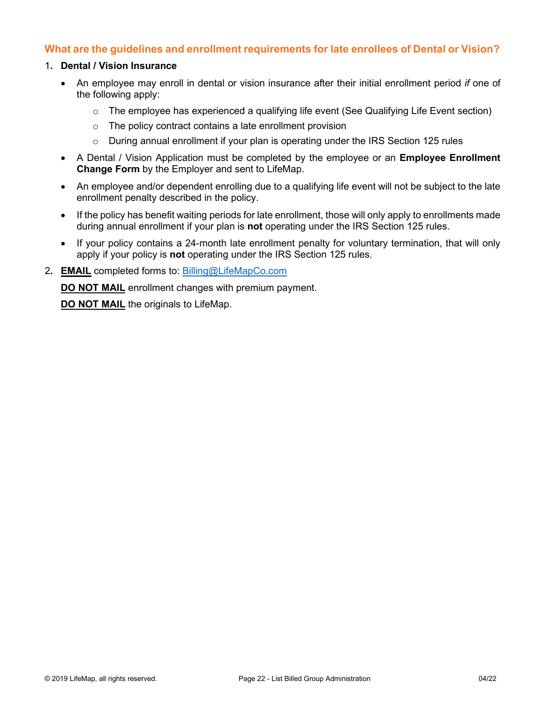## **What are the guidelines and enrollment requirements for late enrollees of Dental or Vision?**

#### 1**. Dental / Vision Insurance**

- An employee may enroll in dental or vision insurance after their initial enrollment period *if* one of the following apply:
	- $\circ$  The employee has experienced a qualifying life event (See Qualifying Life Event section)
	- o The policy contract contains a late enrollment provision
	- $\circ$  During annual enrollment if your plan is operating under the IRS Section 125 rules
- A Dental / Vision Application must be completed by the employee or an **Employee Enrollment Change Form** by the Employer and sent to LifeMap.
- An employee and/or dependent enrolling due to a qualifying life event will not be subject to the late enrollment penalty described in the policy.
- If the policy has benefit waiting periods for late enrollment, those will only apply to enrollments made during annual enrollment if your plan is **not** operating under the IRS Section 125 rules.
- If your policy contains a 24-month late enrollment penalty for voluntary termination, that will only apply if your policy is **not** operating under the IRS Section 125 rules.
- 2**. EMAIL** completed forms to: [Billing@LifeMapCo.com](mailto:Billing@LifeMapCo.com)

**DO NOT MAIL** enrollment changes with premium payment.

**DO NOT MAIL** the originals to LifeMap.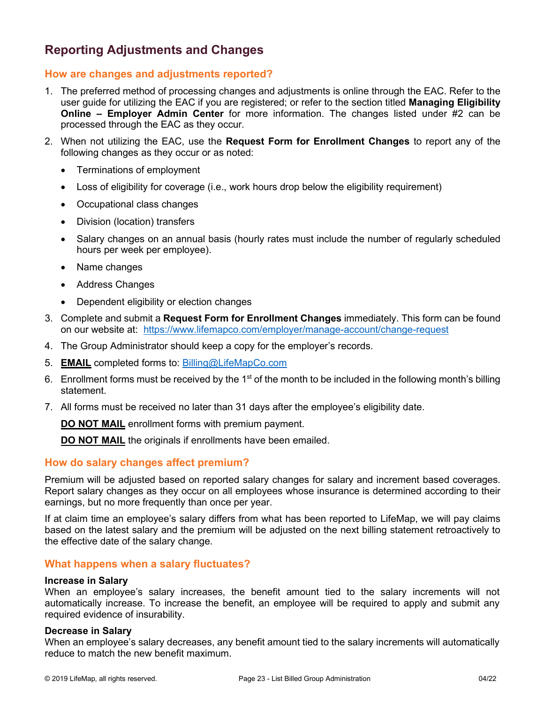# <span id="page-22-0"></span>**Reporting Adjustments and Changes**

## **How are changes and adjustments reported?**

- 1. The preferred method of processing changes and adjustments is online through the EAC. Refer to the user guide for utilizing the EAC if you are registered; or refer to the section titled **Managing Eligibility Online – Employer Admin Center** for more information. The changes listed under #2 can be processed through the EAC as they occur.
- 2. When not utilizing the EAC, use the **Request Form for Enrollment Changes** to report any of the following changes as they occur or as noted:
	- Terminations of employment
	- Loss of eligibility for coverage (i.e., work hours drop below the eligibility requirement)
	- Occupational class changes
	- Division (location) transfers
	- Salary changes on an annual basis (hourly rates must include the number of regularly scheduled hours per week per employee).
	- Name changes
	- Address Changes
	- Dependent eligibility or election changes
- 3. Complete and submit a **Request Form for Enrollment Changes** immediately. This form can be found on our website at: <https://www.lifemapco.com/employer/manage-account/change-request>
- 4. The Group Administrator should keep a copy for the employer's records.
- 5. **EMAIL** completed forms to: [Billing@LifeMapCo.com](mailto:Billing@LifeMapCo.com)
- 6. Enrollment forms must be received by the 1<sup>st</sup> of the month to be included in the following month's billing statement.
- 7. All forms must be received no later than 31 days after the employee's eligibility date.

**DO NOT MAIL** enrollment forms with premium payment.

**DO NOT MAIL** the originals if enrollments have been emailed.

### **How do salary changes affect premium?**

Premium will be adjusted based on reported salary changes for salary and increment based coverages. Report salary changes as they occur on all employees whose insurance is determined according to their earnings, but no more frequently than once per year.

If at claim time an employee's salary differs from what has been reported to LifeMap, we will pay claims based on the latest salary and the premium will be adjusted on the next billing statement retroactively to the effective date of the salary change.

### **What happens when a salary fluctuates?**

#### **Increase in Salary**

When an employee's salary increases, the benefit amount tied to the salary increments will not automatically increase. To increase the benefit, an employee will be required to apply and submit any required evidence of insurability.

#### **Decrease in Salary**

When an employee's salary decreases, any benefit amount tied to the salary increments will automatically reduce to match the new benefit maximum.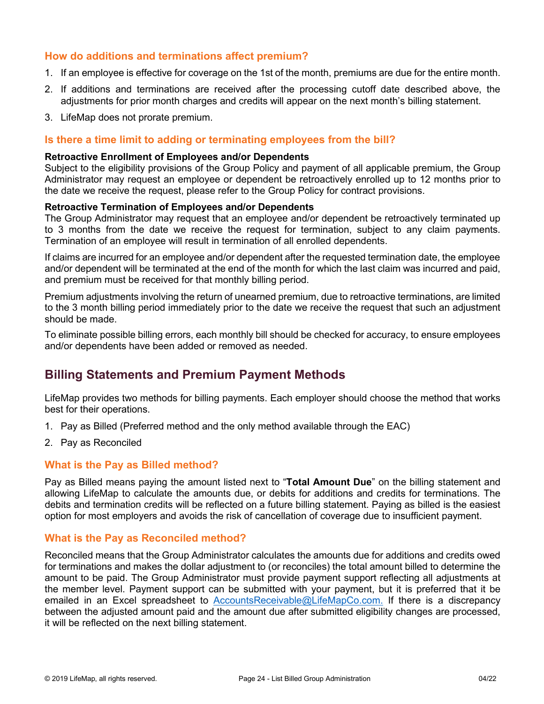## **How do additions and terminations affect premium?**

- 1. If an employee is effective for coverage on the 1st of the month, premiums are due for the entire month.
- 2. If additions and terminations are received after the processing cutoff date described above, the adjustments for prior month charges and credits will appear on the next month's billing statement.
- 3. LifeMap does not prorate premium.

#### **Is there a time limit to adding or terminating employees from the bill?**

#### **Retroactive Enrollment of Employees and/or Dependents**

Subject to the eligibility provisions of the Group Policy and payment of all applicable premium, the Group Administrator may request an employee or dependent be retroactively enrolled up to 12 months prior to the date we receive the request, please refer to the Group Policy for contract provisions.

#### **Retroactive Termination of Employees and/or Dependents**

The Group Administrator may request that an employee and/or dependent be retroactively terminated up to 3 months from the date we receive the request for termination, subject to any claim payments. Termination of an employee will result in termination of all enrolled dependents.

If claims are incurred for an employee and/or dependent after the requested termination date, the employee and/or dependent will be terminated at the end of the month for which the last claim was incurred and paid, and premium must be received for that monthly billing period.

Premium adjustments involving the return of unearned premium, due to retroactive terminations, are limited to the 3 month billing period immediately prior to the date we receive the request that such an adjustment should be made.

To eliminate possible billing errors, each monthly bill should be checked for accuracy, to ensure employees and/or dependents have been added or removed as needed.

# <span id="page-23-0"></span>**Billing Statements and Premium Payment Methods**

LifeMap provides two methods for billing payments. Each employer should choose the method that works best for their operations.

- 1. Pay as Billed (Preferred method and the only method available through the EAC)
- 2. Pay as Reconciled

#### **What is the Pay as Billed method?**

Pay as Billed means paying the amount listed next to "**Total Amount Due**" on the billing statement and allowing LifeMap to calculate the amounts due, or debits for additions and credits for terminations. The debits and termination credits will be reflected on a future billing statement. Paying as billed is the easiest option for most employers and avoids the risk of cancellation of coverage due to insufficient payment.

#### **What is the Pay as Reconciled method?**

Reconciled means that the Group Administrator calculates the amounts due for additions and credits owed for terminations and makes the dollar adjustment to (or reconciles) the total amount billed to determine the amount to be paid. The Group Administrator must provide payment support reflecting all adjustments at the member level. Payment support can be submitted with your payment, but it is preferred that it be emailed in an Excel spreadsheet to [AccountsReceivable@LifeMapCo.com.](mailto:AccountsReceivable@LifeMapCo.com) If there is a discrepancy between the adjusted amount paid and the amount due after submitted eligibility changes are processed, it will be reflected on the next billing statement.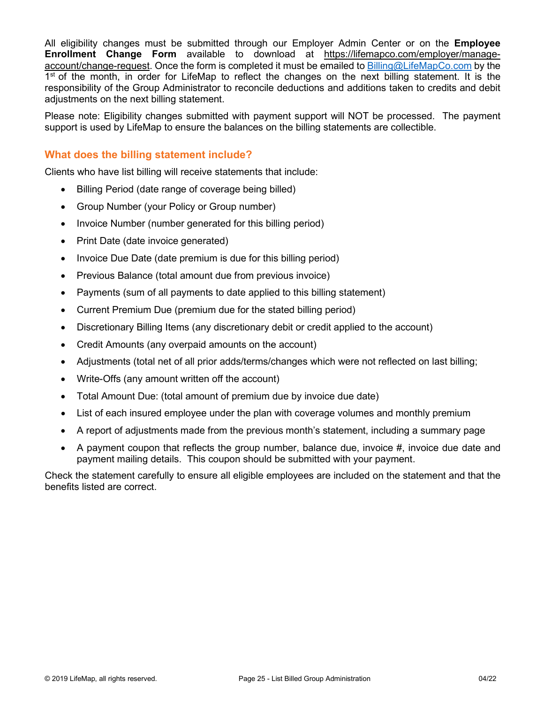All eligibility changes must be submitted through our Employer Admin Center or on the **Employee Enrollment Change Form** available to download at [https://lifemapco.com/employer/manage](#page-0-0)[account/change-request.](#page-0-0) Once the form is completed it must be emailed to [Billing@LifeMapCo.com](mailto:Billing@LifeMapCo.com) by the 1<sup>st</sup> of the month, in order for LifeMap to reflect the changes on the next billing statement. It is the responsibility of the Group Administrator to reconcile deductions and additions taken to credits and debit adjustments on the next billing statement.

Please note: Eligibility changes submitted with payment support will NOT be processed. The payment support is used by LifeMap to ensure the balances on the billing statements are collectible.

### **What does the billing statement include?**

Clients who have list billing will receive statements that include:

- Billing Period (date range of coverage being billed)
- Group Number (your Policy or Group number)
- Invoice Number (number generated for this billing period)
- Print Date (date invoice generated)
- Invoice Due Date (date premium is due for this billing period)
- Previous Balance (total amount due from previous invoice)
- Payments (sum of all payments to date applied to this billing statement)
- Current Premium Due (premium due for the stated billing period)
- Discretionary Billing Items (any discretionary debit or credit applied to the account)
- Credit Amounts (any overpaid amounts on the account)
- Adjustments (total net of all prior adds/terms/changes which were not reflected on last billing;
- Write-Offs (any amount written off the account)
- Total Amount Due: (total amount of premium due by invoice due date)
- List of each insured employee under the plan with coverage volumes and monthly premium
- A report of adjustments made from the previous month's statement, including a summary page
- A payment coupon that reflects the group number, balance due, invoice  $\#$ , invoice due date and payment mailing details. This coupon should be submitted with your payment.

Check the statement carefully to ensure all eligible employees are included on the statement and that the benefits listed are correct.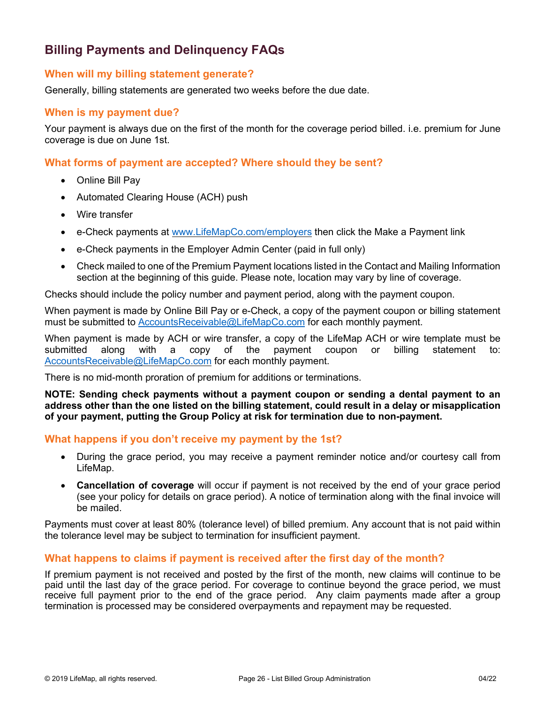# <span id="page-25-0"></span>**Billing Payments and Delinquency FAQs**

### **When will my billing statement generate?**

Generally, billing statements are generated two weeks before the due date.

### **When is my payment due?**

Your payment is always due on the first of the month for the coverage period billed. i.e. premium for June coverage is due on June 1st.

### **What forms of payment are accepted? Where should they be sent?**

- Online Bill Pay
- Automated Clearing House (ACH) push
- Wire transfer
- e-Check payments at [www.LifeMapCo.com/employers](http://www.lifemapco.com/employers) then click the Make a Payment link
- e-Check payments in the Employer Admin Center (paid in full only)
- Check mailed to one of the Premium Payment locations listed in the Contact and Mailing Information section at the beginning of this guide. Please note, location may vary by line of coverage.

Checks should include the policy number and payment period, along with the payment coupon.

When payment is made by Online Bill Pay or e-Check, a copy of the payment coupon or billing statement must be submitted to [AccountsReceivable@LifeMapCo.com](mailto:AccountsReceivable@LifeMapCo.com) for each monthly payment.

When payment is made by ACH or wire transfer, a copy of the LifeMap ACH or wire template must be submitted along with a copy of the payment coupon or billing statement to: [AccountsReceivable@LifeMapCo.com](mailto:AccountsReceivable@LifeMapCo.com) for each monthly payment.

There is no mid-month proration of premium for additions or terminations.

**NOTE: Sending check payments without a payment coupon or sending a dental payment to an address other than the one listed on the billing statement, could result in a delay or misapplication of your payment, putting the Group Policy at risk for termination due to non-payment.** 

### **What happens if you don't receive my payment by the 1st?**

- During the grace period, you may receive a payment reminder notice and/or courtesy call from LifeMap.
- **Cancellation of coverage** will occur if payment is not received by the end of your grace period (see your policy for details on grace period). A notice of termination along with the final invoice will be mailed.

Payments must cover at least 80% (tolerance level) of billed premium. Any account that is not paid within the tolerance level may be subject to termination for insufficient payment.

### **What happens to claims if payment is received after the first day of the month?**

If premium payment is not received and posted by the first of the month, new claims will continue to be paid until the last day of the grace period. For coverage to continue beyond the grace period, we must receive full payment prior to the end of the grace period. Any claim payments made after a group termination is processed may be considered overpayments and repayment may be requested.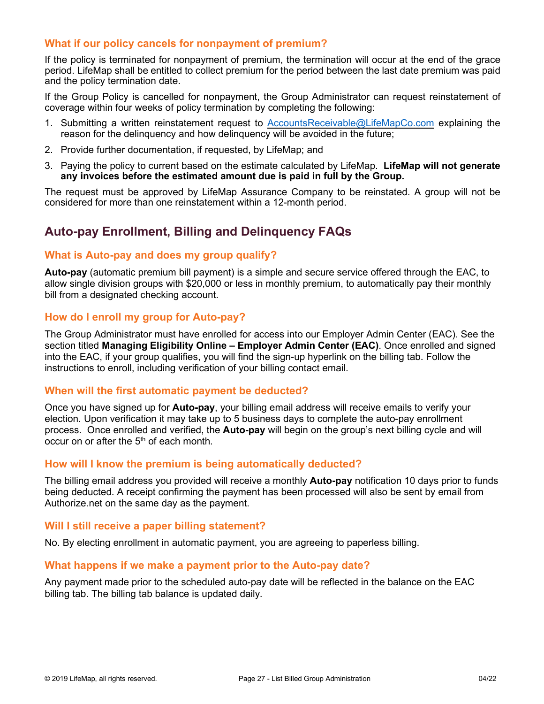## **What if our policy cancels for nonpayment of premium?**

If the policy is terminated for nonpayment of premium, the termination will occur at the end of the grace period. LifeMap shall be entitled to collect premium for the period between the last date premium was paid and the policy termination date.

If the Group Policy is cancelled for nonpayment, the Group Administrator can request reinstatement of coverage within four weeks of policy termination by completing the following:

- 1. Submitting a written reinstatement request to [AccountsReceivable@LifeMapCo.com](mailto:AccountsReceivable@LifeMapCo.com) explaining the reason for the delinquency and how delinquency will be avoided in the future;
- 2. Provide further documentation, if requested, by LifeMap; and
- 3. Paying the policy to current based on the estimate calculated by LifeMap. **LifeMap will not generate any invoices before the estimated amount due is paid in full by the Group.**

The request must be approved by LifeMap Assurance Company to be reinstated. A group will not be considered for more than one reinstatement within a 12-month period.

# <span id="page-26-0"></span>**Auto-pay Enrollment, Billing and Delinquency FAQs**

### **What is Auto-pay and does my group qualify?**

**Auto-pay** (automatic premium bill payment) is a simple and secure service offered through the EAC, to allow single division groups with \$20,000 or less in monthly premium, to automatically pay their monthly bill from a designated checking account.

#### **How do I enroll my group for Auto-pay?**

The Group Administrator must have enrolled for access into our Employer Admin Center (EAC). See the section titled **Managing Eligibility Online – Employer Admin Center (EAC)**. Once enrolled and signed into the EAC, if your group qualifies, you will find the sign-up hyperlink on the billing tab. Follow the instructions to enroll, including verification of your billing contact email.

#### **When will the first automatic payment be deducted?**

Once you have signed up for **Auto-pay**, your billing email address will receive emails to verify your election. Upon verification it may take up to 5 business days to complete the auto-pay enrollment process. Once enrolled and verified, the **Auto-pay** will begin on the group's next billing cycle and will occur on or after the  $5<sup>th</sup>$  of each month.

#### **How will I know the premium is being automatically deducted?**

The billing email address you provided will receive a monthly **Auto-pay** notification 10 days prior to funds being deducted. A receipt confirming the payment has been processed will also be sent by email from Authorize.net on the same day as the payment.

#### **Will I still receive a paper billing statement?**

No. By electing enrollment in automatic payment, you are agreeing to paperless billing.

#### **What happens if we make a payment prior to the Auto-pay date?**

Any payment made prior to the scheduled auto-pay date will be reflected in the balance on the EAC billing tab. The billing tab balance is updated daily.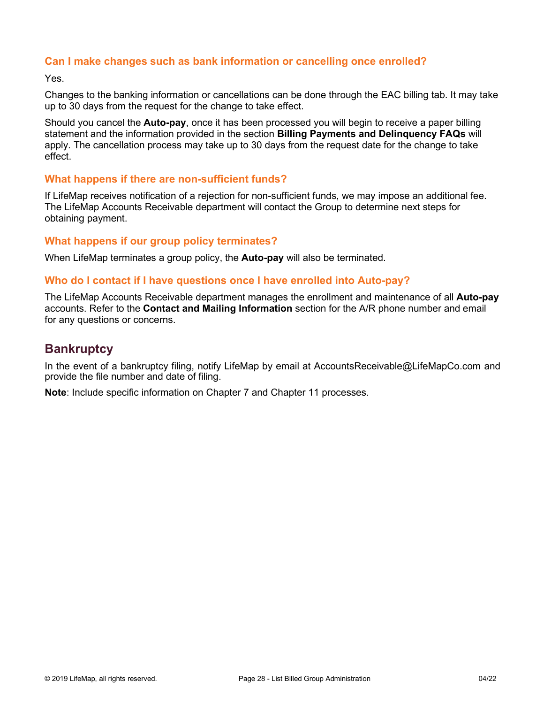## **Can I make changes such as bank information or cancelling once enrolled?**

Yes.

Changes to the banking information or cancellations can be done through the EAC billing tab. It may take up to 30 days from the request for the change to take effect.

Should you cancel the **Auto-pay**, once it has been processed you will begin to receive a paper billing statement and the information provided in the section **Billing Payments and Delinquency FAQs** will apply. The cancellation process may take up to 30 days from the request date for the change to take effect.

### **What happens if there are non-sufficient funds?**

If LifeMap receives notification of a rejection for non-sufficient funds, we may impose an additional fee. The LifeMap Accounts Receivable department will contact the Group to determine next steps for obtaining payment.

### **What happens if our group policy terminates?**

When LifeMap terminates a group policy, the **Auto-pay** will also be terminated.

#### **Who do I contact if I have questions once I have enrolled into Auto-pay?**

The LifeMap Accounts Receivable department manages the enrollment and maintenance of all **Auto-pay** accounts. Refer to the **Contact and Mailing Information** section for the A/R phone number and email for any questions or concerns.

# <span id="page-27-0"></span>**Bankruptcy**

In the event of a bankruptcy filing, notify LifeMap by email at [AccountsReceivable@LifeMapCo.com](mailto:AccountsReceivable@LifeMapCo.com) and provide the file number and date of filing.

**Note**: Include specific information on Chapter 7 and Chapter 11 processes.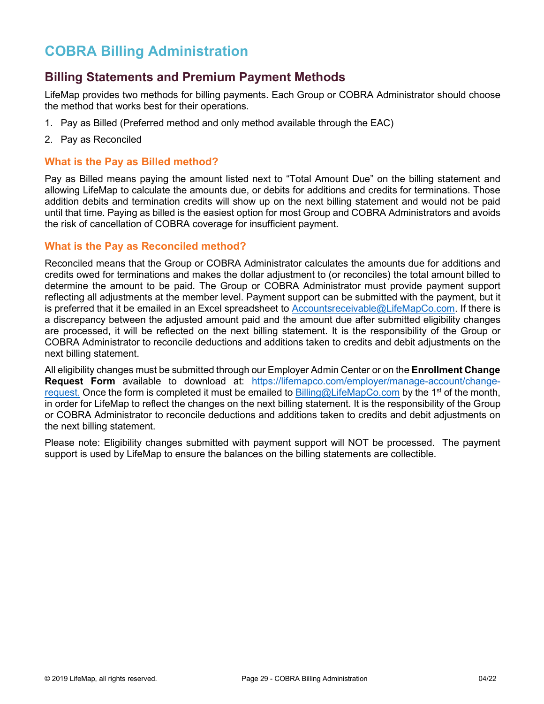# <span id="page-28-0"></span>**COBRA Billing Administration**

# <span id="page-28-1"></span>**Billing Statements and Premium Payment Methods**

LifeMap provides two methods for billing payments. Each Group or COBRA Administrator should choose the method that works best for their operations.

- 1. Pay as Billed (Preferred method and only method available through the EAC)
- 2. Pay as Reconciled

## **What is the Pay as Billed method?**

Pay as Billed means paying the amount listed next to "Total Amount Due" on the billing statement and allowing LifeMap to calculate the amounts due, or debits for additions and credits for terminations. Those addition debits and termination credits will show up on the next billing statement and would not be paid until that time. Paying as billed is the easiest option for most Group and COBRA Administrators and avoids the risk of cancellation of COBRA coverage for insufficient payment.

### **What is the Pay as Reconciled method?**

Reconciled means that the Group or COBRA Administrator calculates the amounts due for additions and credits owed for terminations and makes the dollar adjustment to (or reconciles) the total amount billed to determine the amount to be paid. The Group or COBRA Administrator must provide payment support reflecting all adjustments at the member level. Payment support can be submitted with the payment, but it is preferred that it be emailed in an Excel spreadsheet to [Accountsreceivable@LifeMapCo.com.](mailto:Accountsreceivable@LifeMapCo.com) If there is a discrepancy between the adjusted amount paid and the amount due after submitted eligibility changes are processed, it will be reflected on the next billing statement. It is the responsibility of the Group or COBRA Administrator to reconcile deductions and additions taken to credits and debit adjustments on the next billing statement.

All eligibility changes must be submitted through our Employer Admin Center or on the **Enrollment Change Request Form** available to download at: [https://lifemapco.com/employer/manage-account/change](#page-0-0)[request.](#page-0-0) Once the form is completed it must be emailed to [Billing@LifeMapCo.com](mailto:Billing@LifeMapCo.com) by the 1<sup>st</sup> of the month, in order for LifeMap to reflect the changes on the next billing statement. It is the responsibility of the Group or COBRA Administrator to reconcile deductions and additions taken to credits and debit adjustments on the next billing statement.

Please note: Eligibility changes submitted with payment support will NOT be processed. The payment support is used by LifeMap to ensure the balances on the billing statements are collectible.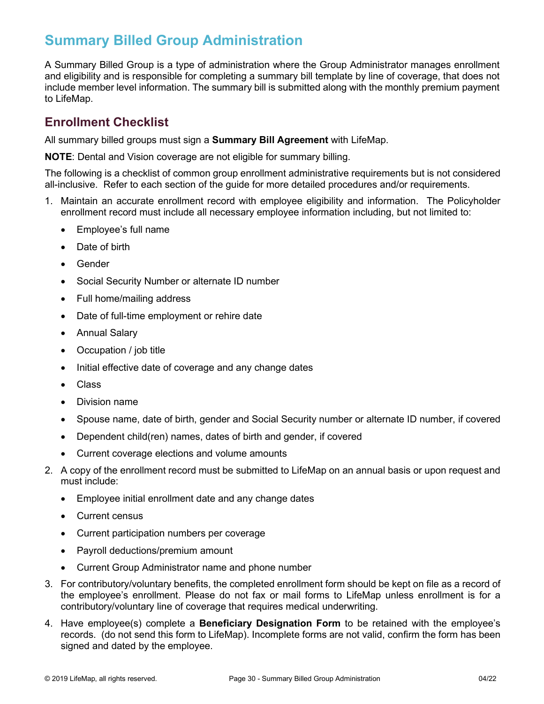# <span id="page-29-0"></span>**Summary Billed Group Administration**

A Summary Billed Group is a type of administration where the Group Administrator manages enrollment and eligibility and is responsible for completing a summary bill template by line of coverage, that does not include member level information. The summary bill is submitted along with the monthly premium payment to LifeMap.

# <span id="page-29-1"></span>**Enrollment Checklist**

All summary billed groups must sign a **Summary Bill Agreement** with LifeMap.

**NOTE**: Dental and Vision coverage are not eligible for summary billing.

The following is a checklist of common group enrollment administrative requirements but is not considered all-inclusive. Refer to each section of the guide for more detailed procedures and/or requirements.

- 1. Maintain an accurate enrollment record with employee eligibility and information. The Policyholder enrollment record must include all necessary employee information including, but not limited to:
	- Employee's full name
	- Date of birth
	- Gender
	- Social Security Number or alternate ID number
	- Full home/mailing address
	- Date of full-time employment or rehire date
	- Annual Salary
	- Occupation / job title
	- Initial effective date of coverage and any change dates
	- Class
	- Division name
	- Spouse name, date of birth, gender and Social Security number or alternate ID number, if covered
	- Dependent child(ren) names, dates of birth and gender, if covered
	- Current coverage elections and volume amounts
- 2. A copy of the enrollment record must be submitted to LifeMap on an annual basis or upon request and must include:
	- Employee initial enrollment date and any change dates
	- Current census
	- Current participation numbers per coverage
	- Payroll deductions/premium amount
	- Current Group Administrator name and phone number
- 3. For contributory/voluntary benefits, the completed enrollment form should be kept on file as a record of the employee's enrollment. Please do not fax or mail forms to LifeMap unless enrollment is for a contributory/voluntary line of coverage that requires medical underwriting.
- 4. Have employee(s) complete a **Beneficiary Designation Form** to be retained with the employee's records. (do not send this form to LifeMap). Incomplete forms are not valid, confirm the form has been signed and dated by the employee.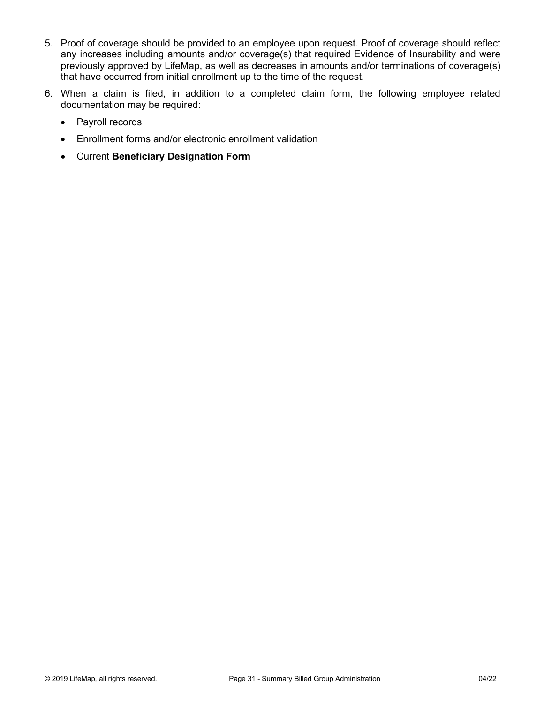- 5. Proof of coverage should be provided to an employee upon request. Proof of coverage should reflect any increases including amounts and/or coverage(s) that required Evidence of Insurability and were previously approved by LifeMap, as well as decreases in amounts and/or terminations of coverage(s) that have occurred from initial enrollment up to the time of the request.
- 6. When a claim is filed, in addition to a completed claim form, the following employee related documentation may be required:
	- Payroll records
	- Enrollment forms and/or electronic enrollment validation
	- Current **Beneficiary Designation Form**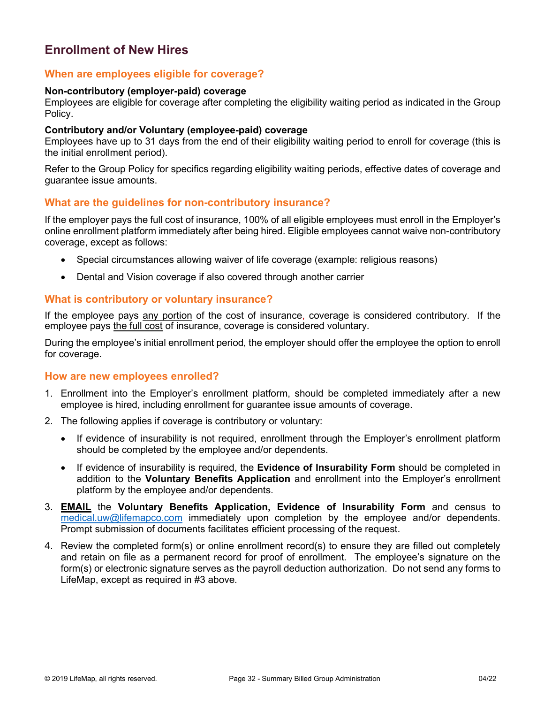# <span id="page-31-0"></span>**Enrollment of New Hires**

### **When are employees eligible for coverage?**

#### **Non-contributory (employer-paid) coverage**

Employees are eligible for coverage after completing the eligibility waiting period as indicated in the Group Policy.

#### **Contributory and/or Voluntary (employee-paid) coverage**

Employees have up to 31 days from the end of their eligibility waiting period to enroll for coverage (this is the initial enrollment period).

Refer to the Group Policy for specifics regarding eligibility waiting periods, effective dates of coverage and guarantee issue amounts.

#### **What are the guidelines for non-contributory insurance?**

If the employer pays the full cost of insurance, 100% of all eligible employees must enroll in the Employer's online enrollment platform immediately after being hired. Eligible employees cannot waive non-contributory coverage, except as follows:

- Special circumstances allowing waiver of life coverage (example: religious reasons)
- Dental and Vision coverage if also covered through another carrier

#### **What is contributory or voluntary insurance?**

If the employee pays any portion of the cost of insurance, coverage is considered contributory. If the employee pays the full cost of insurance, coverage is considered voluntary.

During the employee's initial enrollment period, the employer should offer the employee the option to enroll for coverage.

#### **How are new employees enrolled?**

- 1. Enrollment into the Employer's enrollment platform, should be completed immediately after a new employee is hired, including enrollment for guarantee issue amounts of coverage.
- 2. The following applies if coverage is contributory or voluntary:
	- If evidence of insurability is not required, enrollment through the Employer's enrollment platform should be completed by the employee and/or dependents.
	- If evidence of insurability is required, the **Evidence of Insurability Form** should be completed in addition to the **Voluntary Benefits Application** and enrollment into the Employer's enrollment platform by the employee and/or dependents.
- 3. **EMAIL** the **Voluntary Benefits Application, Evidence of Insurability Form** and census to [medical.uw@lifemapco.com](mailto:medical.uw@lifemapco.com) immediately upon completion by the employee and/or dependents. Prompt submission of documents facilitates efficient processing of the request.
- 4. Review the completed form(s) or online enrollment record(s) to ensure they are filled out completely and retain on file as a permanent record for proof of enrollment. The employee's signature on the form(s) or electronic signature serves as the payroll deduction authorization. Do not send any forms to LifeMap, except as required in #3 above.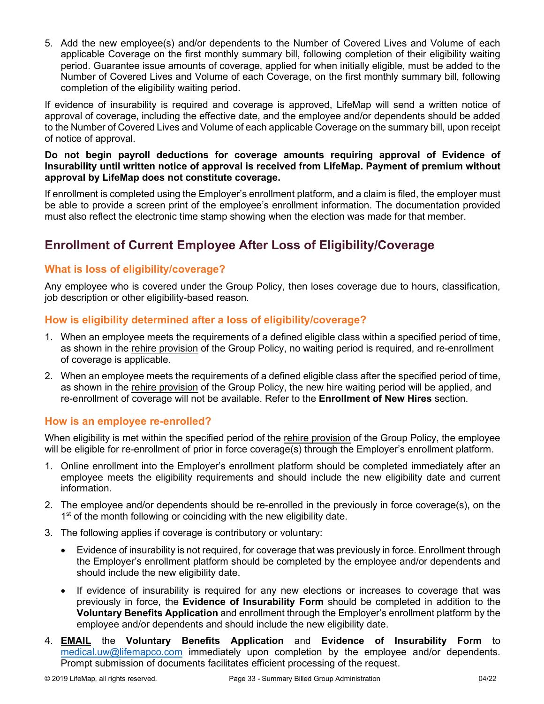5. Add the new employee(s) and/or dependents to the Number of Covered Lives and Volume of each applicable Coverage on the first monthly summary bill, following completion of their eligibility waiting period. Guarantee issue amounts of coverage, applied for when initially eligible, must be added to the Number of Covered Lives and Volume of each Coverage, on the first monthly summary bill, following completion of the eligibility waiting period.

If evidence of insurability is required and coverage is approved, LifeMap will send a written notice of approval of coverage, including the effective date, and the employee and/or dependents should be added to the Number of Covered Lives and Volume of each applicable Coverage on the summary bill, upon receipt of notice of approval.

#### **Do not begin payroll deductions for coverage amounts requiring approval of Evidence of Insurability until written notice of approval is received from LifeMap. Payment of premium without approval by LifeMap does not constitute coverage.**

If enrollment is completed using the Employer's enrollment platform, and a claim is filed, the employer must be able to provide a screen print of the employee's enrollment information. The documentation provided must also reflect the electronic time stamp showing when the election was made for that member.

# <span id="page-32-0"></span>**Enrollment of Current Employee After Loss of Eligibility/Coverage**

# **What is loss of eligibility/coverage?**

Any employee who is covered under the Group Policy, then loses coverage due to hours, classification, job description or other eligibility-based reason.

# **How is eligibility determined after a loss of eligibility/coverage?**

- 1. When an employee meets the requirements of a defined eligible class within a specified period of time, as shown in the rehire provision of the Group Policy, no waiting period is required, and re-enrollment of coverage is applicable.
- 2. When an employee meets the requirements of a defined eligible class after the specified period of time, as shown in the rehire provision of the Group Policy, the new hire waiting period will be applied, and re-enrollment of coverage will not be available. Refer to the **Enrollment of New Hires** section.

# **How is an employee re-enrolled?**

When eligibility is met within the specified period of the rehire provision of the Group Policy, the employee will be eligible for re-enrollment of prior in force coverage(s) through the Employer's enrollment platform.

- 1. Online enrollment into the Employer's enrollment platform should be completed immediately after an employee meets the eligibility requirements and should include the new eligibility date and current information.
- 2. The employee and/or dependents should be re-enrolled in the previously in force coverage(s), on the 1<sup>st</sup> of the month following or coinciding with the new eligibility date.
- 3. The following applies if coverage is contributory or voluntary:
	- Evidence of insurability is not required, for coverage that was previously in force. Enrollment through the Employer's enrollment platform should be completed by the employee and/or dependents and should include the new eligibility date.
	- If evidence of insurability is required for any new elections or increases to coverage that was previously in force, the **Evidence of Insurability Form** should be completed in addition to the **Voluntary Benefits Application** and enrollment through the Employer's enrollment platform by the employee and/or dependents and should include the new eligibility date.
- 4. **EMAIL** the **Voluntary Benefits Application** and **Evidence of Insurability Form** to [medical.uw@lifemapco.com](mailto:medical.uw@lifemapco.com) immediately upon completion by the employee and/or dependents. Prompt submission of documents facilitates efficient processing of the request.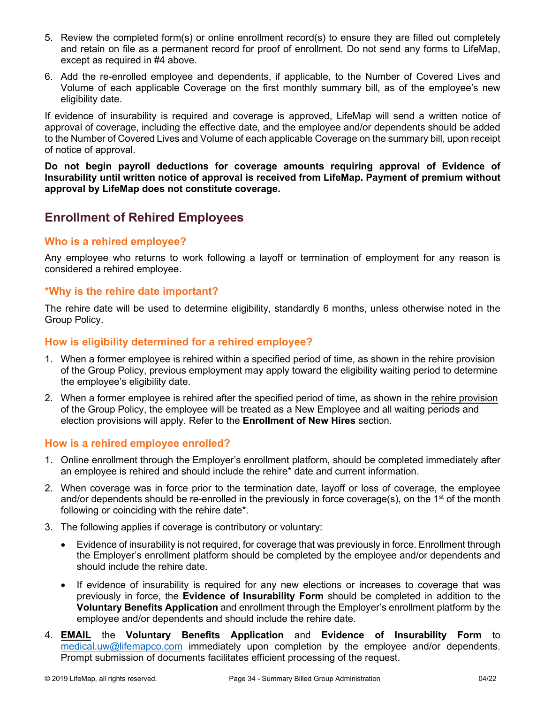- 5. Review the completed form(s) or online enrollment record(s) to ensure they are filled out completely and retain on file as a permanent record for proof of enrollment. Do not send any forms to LifeMap, except as required in #4 above.
- 6. Add the re-enrolled employee and dependents, if applicable, to the Number of Covered Lives and Volume of each applicable Coverage on the first monthly summary bill, as of the employee's new eligibility date.

If evidence of insurability is required and coverage is approved, LifeMap will send a written notice of approval of coverage, including the effective date, and the employee and/or dependents should be added to the Number of Covered Lives and Volume of each applicable Coverage on the summary bill, upon receipt of notice of approval.

**Do not begin payroll deductions for coverage amounts requiring approval of Evidence of Insurability until written notice of approval is received from LifeMap. Payment of premium without approval by LifeMap does not constitute coverage.** 

# <span id="page-33-0"></span>**Enrollment of Rehired Employees**

# **Who is a rehired employee?**

Any employee who returns to work following a layoff or termination of employment for any reason is considered a rehired employee.

# **\*Why is the rehire date important?**

The rehire date will be used to determine eligibility, standardly 6 months, unless otherwise noted in the Group Policy.

# **How is eligibility determined for a rehired employee?**

- 1. When a former employee is rehired within a specified period of time, as shown in the rehire provision of the Group Policy, previous employment may apply toward the eligibility waiting period to determine the employee's eligibility date.
- 2. When a former employee is rehired after the specified period of time, as shown in the rehire provision of the Group Policy, the employee will be treated as a New Employee and all waiting periods and election provisions will apply. Refer to the **Enrollment of New Hires** section.

# **How is a rehired employee enrolled?**

- 1. Online enrollment through the Employer's enrollment platform, should be completed immediately after an employee is rehired and should include the rehire\* date and current information.
- 2. When coverage was in force prior to the termination date, layoff or loss of coverage, the employee and/or dependents should be re-enrolled in the previously in force coverage(s), on the 1<sup>st</sup> of the month following or coinciding with the rehire date\*.
- 3. The following applies if coverage is contributory or voluntary:
	- Evidence of insurability is not required, for coverage that was previously in force. Enrollment through the Employer's enrollment platform should be completed by the employee and/or dependents and should include the rehire date.
	- If evidence of insurability is required for any new elections or increases to coverage that was previously in force, the **Evidence of Insurability Form** should be completed in addition to the **Voluntary Benefits Application** and enrollment through the Employer's enrollment platform by the employee and/or dependents and should include the rehire date.
- 4. **EMAIL** the **Voluntary Benefits Application** and **Evidence of Insurability Form** to [medical.uw@lifemapco.com](mailto:medical.uw@lifemapco.com) immediately upon completion by the employee and/or dependents. Prompt submission of documents facilitates efficient processing of the request.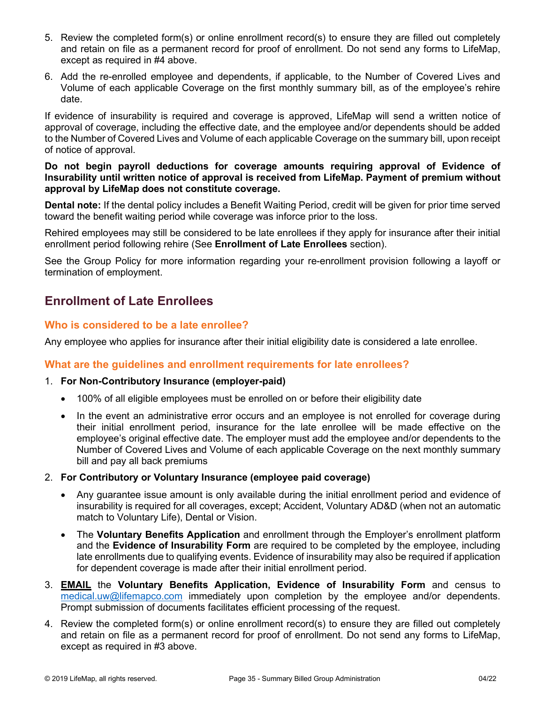- 5. Review the completed form(s) or online enrollment record(s) to ensure they are filled out completely and retain on file as a permanent record for proof of enrollment. Do not send any forms to LifeMap, except as required in #4 above.
- 6. Add the re-enrolled employee and dependents, if applicable, to the Number of Covered Lives and Volume of each applicable Coverage on the first monthly summary bill, as of the employee's rehire date.

If evidence of insurability is required and coverage is approved, LifeMap will send a written notice of approval of coverage, including the effective date, and the employee and/or dependents should be added to the Number of Covered Lives and Volume of each applicable Coverage on the summary bill, upon receipt of notice of approval.

#### **Do not begin payroll deductions for coverage amounts requiring approval of Evidence of Insurability until written notice of approval is received from LifeMap. Payment of premium without approval by LifeMap does not constitute coverage.**

**Dental note:** If the dental policy includes a Benefit Waiting Period, credit will be given for prior time served toward the benefit waiting period while coverage was inforce prior to the loss.

Rehired employees may still be considered to be late enrollees if they apply for insurance after their initial enrollment period following rehire (See **Enrollment of Late Enrollees** section).

See the Group Policy for more information regarding your re-enrollment provision following a layoff or termination of employment.

# <span id="page-34-0"></span>**Enrollment of Late Enrollees**

# **Who is considered to be a late enrollee?**

Any employee who applies for insurance after their initial eligibility date is considered a late enrollee.

# **What are the guidelines and enrollment requirements for late enrollees?**

### 1. **For Non-Contributory Insurance (employer-paid)**

- 100% of all eligible employees must be enrolled on or before their eligibility date
- In the event an administrative error occurs and an employee is not enrolled for coverage during their initial enrollment period, insurance for the late enrollee will be made effective on the employee's original effective date. The employer must add the employee and/or dependents to the Number of Covered Lives and Volume of each applicable Coverage on the next monthly summary bill and pay all back premiums
- 2. **For Contributory or Voluntary Insurance (employee paid coverage)**
	- Any guarantee issue amount is only available during the initial enrollment period and evidence of insurability is required for all coverages, except; Accident, Voluntary AD&D (when not an automatic match to Voluntary Life), Dental or Vision.
	- The **Voluntary Benefits Application** and enrollment through the Employer's enrollment platform and the **Evidence of Insurability Form** are required to be completed by the employee, including late enrollments due to qualifying events. Evidence of insurability may also be required if application for dependent coverage is made after their initial enrollment period.
- 3. **EMAIL** the **Voluntary Benefits Application, Evidence of Insurability Form** and census to [medical.uw@lifemapco.com](mailto:medical.uw@lifemapco.com) immediately upon completion by the employee and/or dependents. Prompt submission of documents facilitates efficient processing of the request.
- 4. Review the completed form(s) or online enrollment record(s) to ensure they are filled out completely and retain on file as a permanent record for proof of enrollment. Do not send any forms to LifeMap, except as required in #3 above.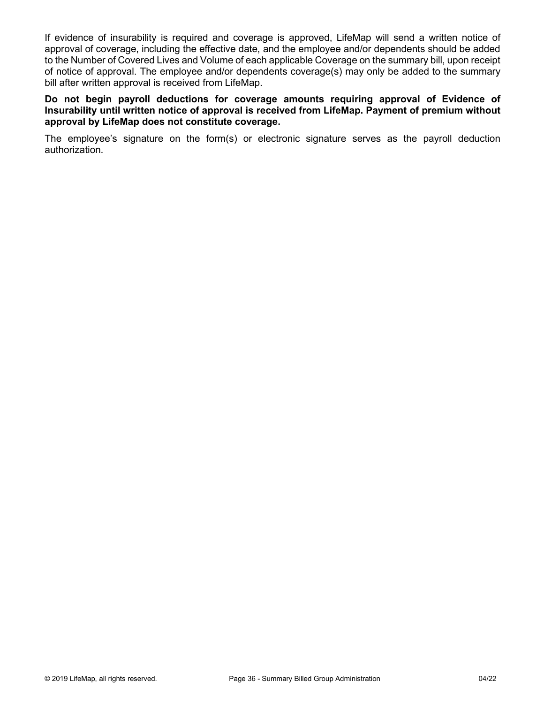If evidence of insurability is required and coverage is approved, LifeMap will send a written notice of approval of coverage, including the effective date, and the employee and/or dependents should be added to the Number of Covered Lives and Volume of each applicable Coverage on the summary bill, upon receipt of notice of approval. The employee and/or dependents coverage(s) may only be added to the summary bill after written approval is received from LifeMap.

#### **Do not begin payroll deductions for coverage amounts requiring approval of Evidence of Insurability until written notice of approval is received from LifeMap. Payment of premium without approval by LifeMap does not constitute coverage.**

The employee's signature on the form(s) or electronic signature serves as the payroll deduction authorization.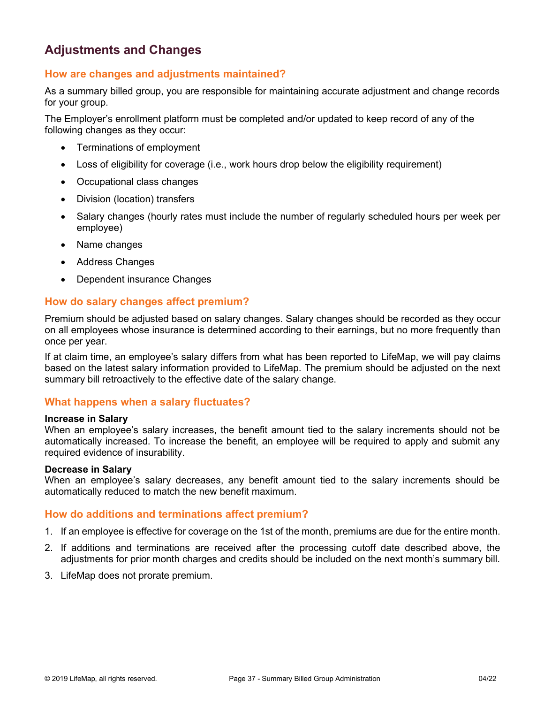# **Adjustments and Changes**

### **How are changes and adjustments maintained?**

As a summary billed group, you are responsible for maintaining accurate adjustment and change records for your group.

The Employer's enrollment platform must be completed and/or updated to keep record of any of the following changes as they occur:

- Terminations of employment
- Loss of eligibility for coverage (i.e., work hours drop below the eligibility requirement)
- Occupational class changes
- Division (location) transfers
- Salary changes (hourly rates must include the number of regularly scheduled hours per week per employee)
- Name changes
- Address Changes
- Dependent insurance Changes

### **How do salary changes affect premium?**

Premium should be adjusted based on salary changes. Salary changes should be recorded as they occur on all employees whose insurance is determined according to their earnings, but no more frequently than once per year.

If at claim time, an employee's salary differs from what has been reported to LifeMap, we will pay claims based on the latest salary information provided to LifeMap. The premium should be adjusted on the next summary bill retroactively to the effective date of the salary change.

#### **What happens when a salary fluctuates?**

#### **Increase in Salary**

When an employee's salary increases, the benefit amount tied to the salary increments should not be automatically increased. To increase the benefit, an employee will be required to apply and submit any required evidence of insurability.

#### **Decrease in Salary**

When an employee's salary decreases, any benefit amount tied to the salary increments should be automatically reduced to match the new benefit maximum.

#### **How do additions and terminations affect premium?**

- 1. If an employee is effective for coverage on the 1st of the month, premiums are due for the entire month.
- 2. If additions and terminations are received after the processing cutoff date described above, the adjustments for prior month charges and credits should be included on the next month's summary bill.
- 3. LifeMap does not prorate premium.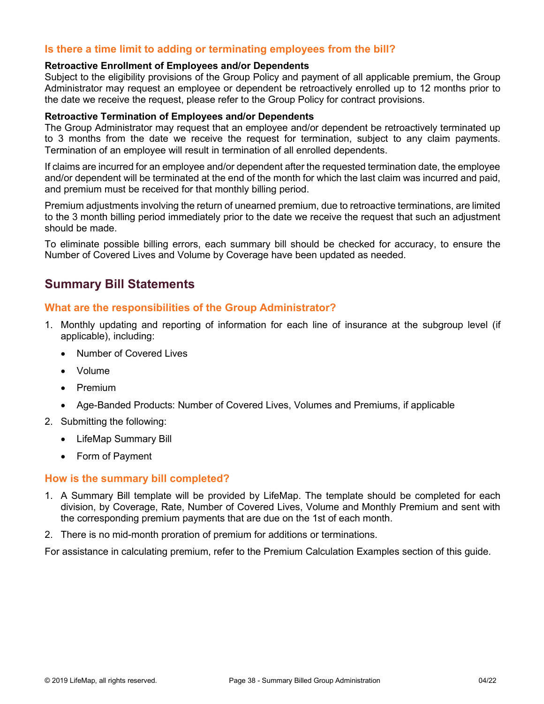# **Is there a time limit to adding or terminating employees from the bill?**

#### **Retroactive Enrollment of Employees and/or Dependents**

Subject to the eligibility provisions of the Group Policy and payment of all applicable premium, the Group Administrator may request an employee or dependent be retroactively enrolled up to 12 months prior to the date we receive the request, please refer to the Group Policy for contract provisions.

#### **Retroactive Termination of Employees and/or Dependents**

The Group Administrator may request that an employee and/or dependent be retroactively terminated up to 3 months from the date we receive the request for termination, subject to any claim payments. Termination of an employee will result in termination of all enrolled dependents.

If claims are incurred for an employee and/or dependent after the requested termination date, the employee and/or dependent will be terminated at the end of the month for which the last claim was incurred and paid, and premium must be received for that monthly billing period.

Premium adjustments involving the return of unearned premium, due to retroactive terminations, are limited to the 3 month billing period immediately prior to the date we receive the request that such an adjustment should be made.

To eliminate possible billing errors, each summary bill should be checked for accuracy, to ensure the Number of Covered Lives and Volume by Coverage have been updated as needed.

# **Summary Bill Statements**

#### **What are the responsibilities of the Group Administrator?**

- 1. Monthly updating and reporting of information for each line of insurance at the subgroup level (if applicable), including:
	- Number of Covered Lives
	- Volume
	- Premium
	- Age-Banded Products: Number of Covered Lives, Volumes and Premiums, if applicable
- 2. Submitting the following:
	- LifeMap Summary Bill
	- Form of Payment

#### **How is the summary bill completed?**

- 1. A Summary Bill template will be provided by LifeMap. The template should be completed for each division, by Coverage, Rate, Number of Covered Lives, Volume and Monthly Premium and sent with the corresponding premium payments that are due on the 1st of each month.
- 2. There is no mid-month proration of premium for additions or terminations.

For assistance in calculating premium, refer to the Premium Calculation Examples section of this guide.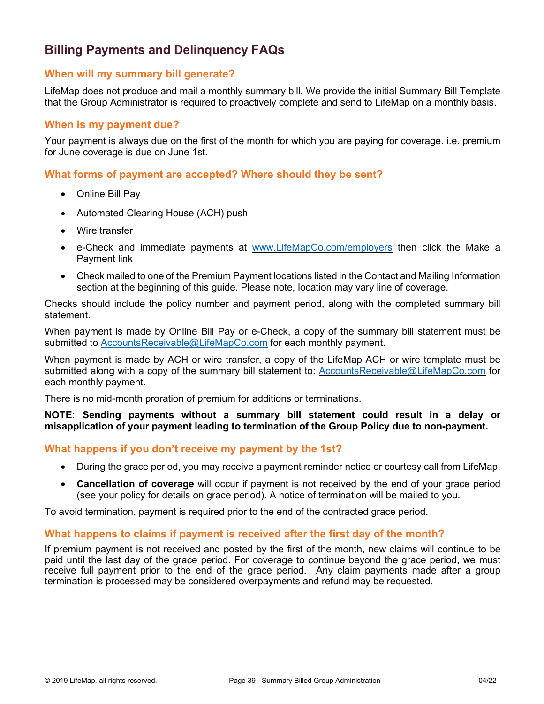# **Billing Payments and Delinquency FAQs**

### **When will my summary bill generate?**

LifeMap does not produce and mail a monthly summary bill. We provide the initial Summary Bill Template that the Group Administrator is required to proactively complete and send to LifeMap on a monthly basis.

#### **When is my payment due?**

Your payment is always due on the first of the month for which you are paying for coverage. i.e. premium for June coverage is due on June 1st.

**What forms of payment are accepted? Where should they be sent?**

- Online Bill Pay
- Automated Clearing House (ACH) push
- Wire transfer
- e-Check and immediate payments at [www.LifeMapCo.com/employers](http://www.lifemapco.com/employers) then click the Make a Payment link
- Check mailed to one of the Premium Payment locations listed in the Contact and Mailing Information section at the beginning of this guide. Please note, location may vary line of coverage.

Checks should include the policy number and payment period, along with the completed summary bill statement.

When payment is made by Online Bill Pay or e-Check, a copy of the summary bill statement must be submitted to [AccountsReceivable@LifeMapCo.com](mailto:AccountsReceivable@LifeMapCo.com) for each monthly payment.

When payment is made by ACH or wire transfer, a copy of the LifeMap ACH or wire template must be submitted along with a copy of the summary bill statement to: [AccountsReceivable@LifeMapCo.com](mailto:AccountsReceivable@LifeMapCo.com) for each monthly payment.

There is no mid-month proration of premium for additions or terminations.

**NOTE: Sending payments without a summary bill statement could result in a delay or misapplication of your payment leading to termination of the Group Policy due to non-payment.** 

#### **What happens if you don't receive my payment by the 1st?**

- During the grace period, you may receive a payment reminder notice or courtesy call from LifeMap.
- **Cancellation of coverage** will occur if payment is not received by the end of your grace period (see your policy for details on grace period). A notice of termination will be mailed to you.

To avoid termination, payment is required prior to the end of the contracted grace period.

# **What happens to claims if payment is received after the first day of the month?**

If premium payment is not received and posted by the first of the month, new claims will continue to be paid until the last day of the grace period. For coverage to continue beyond the grace period, we must receive full payment prior to the end of the grace period. Any claim payments made after a group termination is processed may be considered overpayments and refund may be requested.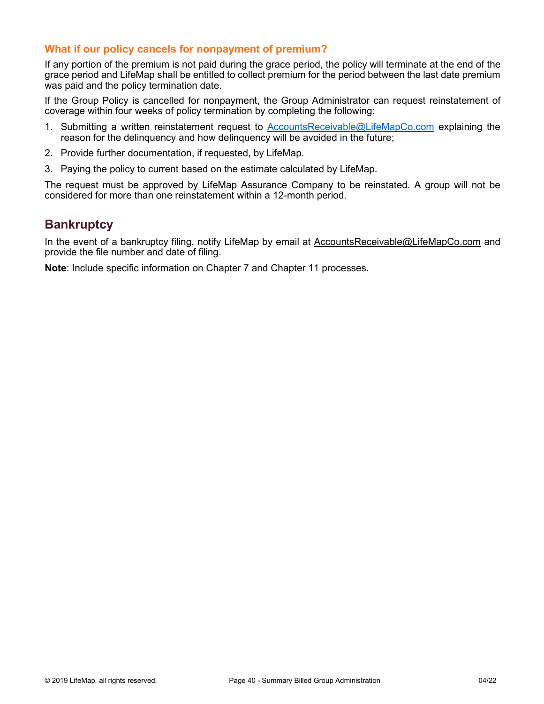### **What if our policy cancels for nonpayment of premium?**

If any portion of the premium is not paid during the grace period, the policy will terminate at the end of the grace period and LifeMap shall be entitled to collect premium for the period between the last date premium was paid and the policy termination date.

If the Group Policy is cancelled for nonpayment, the Group Administrator can request reinstatement of coverage within four weeks of policy termination by completing the following:

- 1. Submitting a written reinstatement request to [AccountsReceivable@LifeMapCo.com](mailto:AccountsReceivable@LifeMapCo.com) explaining the reason for the delinquency and how delinquency will be avoided in the future;
- 2. Provide further documentation, if requested, by LifeMap.
- 3. Paying the policy to current based on the estimate calculated by LifeMap.

The request must be approved by LifeMap Assurance Company to be reinstated. A group will not be considered for more than one reinstatement within a 12-month period.

# **Bankruptcy**

In the event of a bankruptcy filing, notify LifeMap by email at [AccountsReceivable@LifeMapCo.com](mailto:AccountsReceivable@LifeMapCo.com) and provide the file number and date of filing.

**Note**: Include specific information on Chapter 7 and Chapter 11 processes.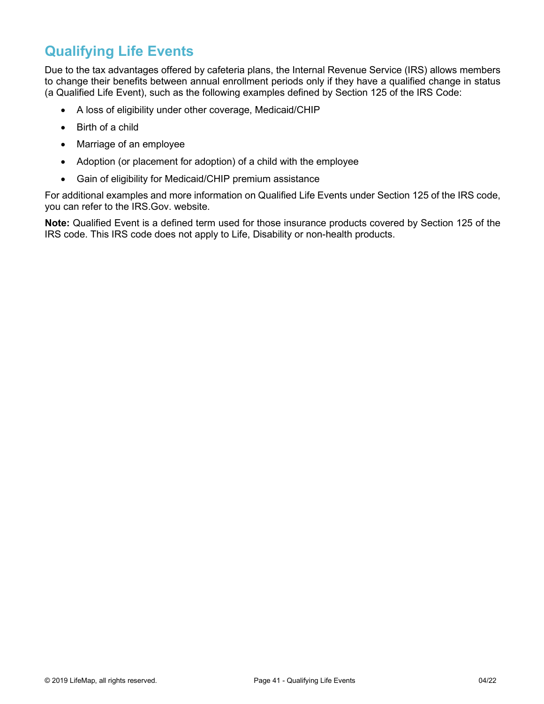# **Qualifying Life Events**

Due to the tax advantages offered by cafeteria plans, the Internal Revenue Service (IRS) allows members to change their benefits between annual enrollment periods only if they have a qualified change in status (a Qualified Life Event), such as the following examples defined by Section 125 of the IRS Code:

- A loss of eligibility under other coverage, Medicaid/CHIP
- Birth of a child
- Marriage of an employee
- Adoption (or placement for adoption) of a child with the employee
- Gain of eligibility for Medicaid/CHIP premium assistance

For additional examples and more information on Qualified Life Events under Section 125 of the IRS code, you can refer to the IRS.Gov. website.

**Note:** Qualified Event is a defined term used for those insurance products covered by Section 125 of the IRS code. This IRS code does not apply to Life, Disability or non-health products.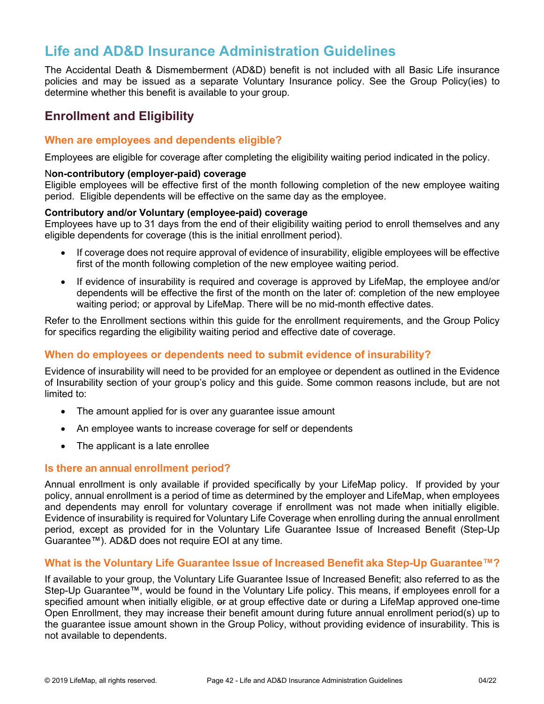# **Life and AD&D Insurance Administration Guidelines**

The Accidental Death & Dismemberment (AD&D) benefit is not included with all Basic Life insurance policies and may be issued as a separate Voluntary Insurance policy. See the Group Policy(ies) to determine whether this benefit is available to your group.

# **Enrollment and Eligibility**

### **When are employees and dependents eligible?**

Employees are eligible for coverage after completing the eligibility waiting period indicated in the policy.

#### N**on-contributory (employer-paid) coverage**

Eligible employees will be effective first of the month following completion of the new employee waiting period. Eligible dependents will be effective on the same day as the employee.

#### **Contributory and/or Voluntary (employee-paid) coverage**

Employees have up to 31 days from the end of their eligibility waiting period to enroll themselves and any eligible dependents for coverage (this is the initial enrollment period).

- If coverage does not require approval of evidence of insurability, eligible employees will be effective first of the month following completion of the new employee waiting period.
- If evidence of insurability is required and coverage is approved by LifeMap, the employee and/or dependents will be effective the first of the month on the later of: completion of the new employee waiting period; or approval by LifeMap. There will be no mid-month effective dates.

Refer to the Enrollment sections within this guide for the enrollment requirements, and the Group Policy for specifics regarding the eligibility waiting period and effective date of coverage.

# **When do employees or dependents need to submit evidence of insurability?**

Evidence of insurability will need to be provided for an employee or dependent as outlined in the Evidence of Insurability section of your group's policy and this guide. Some common reasons include, but are not limited to:

- The amount applied for is over any guarantee issue amount
- An employee wants to increase coverage for self or dependents
- The applicant is a late enrollee

#### **Is there an annual enrollment period?**

Annual enrollment is only available if provided specifically by your LifeMap policy. If provided by your policy, annual enrollment is a period of time as determined by the employer and LifeMap, when employees and dependents may enroll for voluntary coverage if enrollment was not made when initially eligible. Evidence of insurability is required for Voluntary Life Coverage when enrolling during the annual enrollment period, except as provided for in the Voluntary Life Guarantee Issue of Increased Benefit (Step-Up Guarantee™). AD&D does not require EOI at any time.

#### **What is the Voluntary Life Guarantee Issue of Increased Benefit aka Step-Up Guarantee™?**

If available to your group, the Voluntary Life Guarantee Issue of Increased Benefit; also referred to as the Step-Up Guarantee™, would be found in the Voluntary Life policy. This means, if employees enroll for a specified amount when initially eligible, or at group effective date or during a LifeMap approved one-time Open Enrollment, they may increase their benefit amount during future annual enrollment period(s) up to the guarantee issue amount shown in the Group Policy, without providing evidence of insurability. This is not available to dependents.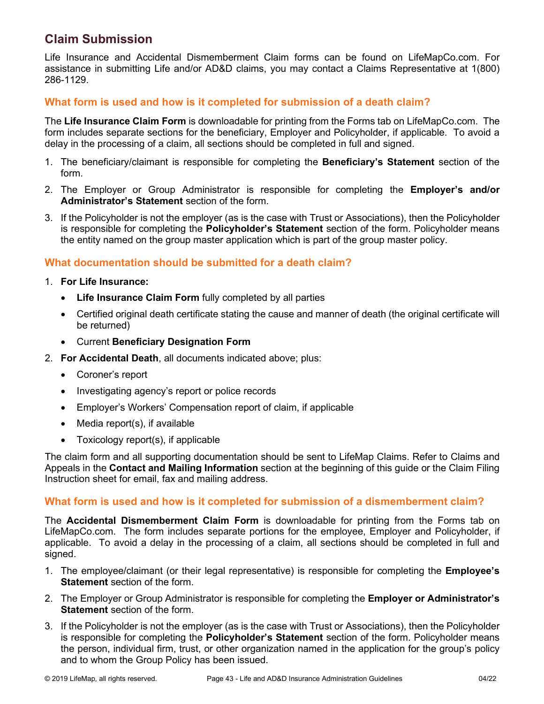# **Claim Submission**

Life Insurance and Accidental Dismemberment Claim forms can be found on LifeMapCo.com. For assistance in submitting Life and/or AD&D claims, you may contact a Claims Representative at 1(800) 286-1129.

# **What form is used and how is it completed for submission of a death claim?**

The **Life Insurance Claim Form** is downloadable for printing from the Forms tab on LifeMapCo.com. The form includes separate sections for the beneficiary, Employer and Policyholder, if applicable. To avoid a delay in the processing of a claim, all sections should be completed in full and signed.

- 1. The beneficiary/claimant is responsible for completing the **Beneficiary's Statement** section of the form.
- 2. The Employer or Group Administrator is responsible for completing the **Employer's and/or Administrator's Statement** section of the form.
- 3. If the Policyholder is not the employer (as is the case with Trust or Associations), then the Policyholder is responsible for completing the **Policyholder's Statement** section of the form. Policyholder means the entity named on the group master application which is part of the group master policy.

# **What documentation should be submitted for a death claim?**

- 1. **For Life Insurance:**
	- **Life Insurance Claim Form** fully completed by all parties
	- Certified original death certificate stating the cause and manner of death (the original certificate will be returned)
	- Current **Beneficiary Designation Form**
- 2. **For Accidental Death**, all documents indicated above; plus:
	- Coroner's report
	- Investigating agency's report or police records
	- Employer's Workers' Compensation report of claim, if applicable
	- Media report(s), if available
	- Toxicology report(s), if applicable

The claim form and all supporting documentation should be sent to LifeMap Claims. Refer to Claims and Appeals in the **Contact and Mailing Information** section at the beginning of this guide or the Claim Filing Instruction sheet for email, fax and mailing address.

# **What form is used and how is it completed for submission of a dismemberment claim?**

The **Accidental Dismemberment Claim Form** is downloadable for printing from the Forms tab on LifeMapCo.com. The form includes separate portions for the employee, Employer and Policyholder, if applicable. To avoid a delay in the processing of a claim, all sections should be completed in full and signed.

- 1. The employee/claimant (or their legal representative) is responsible for completing the **Employee's Statement** section of the form.
- 2. The Employer or Group Administrator is responsible for completing the **Employer or Administrator's Statement** section of the form.
- 3. If the Policyholder is not the employer (as is the case with Trust or Associations), then the Policyholder is responsible for completing the **Policyholder's Statement** section of the form. Policyholder means the person, individual firm, trust, or other organization named in the application for the group's policy and to whom the Group Policy has been issued.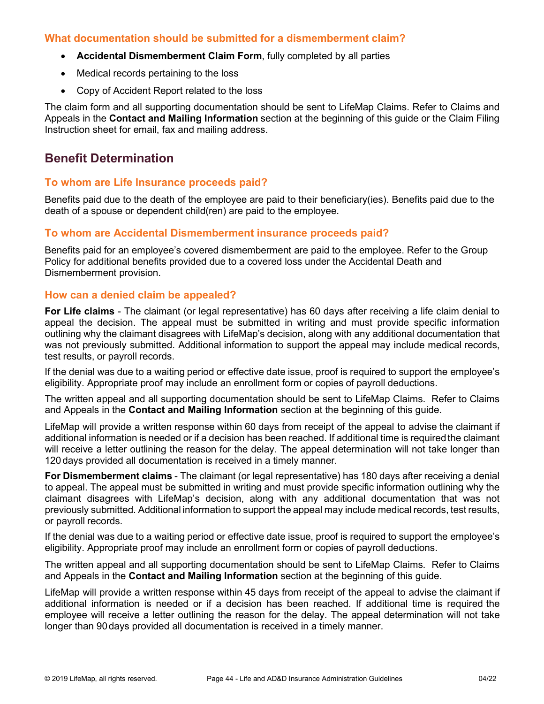# **What documentation should be submitted for a dismemberment claim?**

- **Accidental Dismemberment Claim Form**, fully completed by all parties
- Medical records pertaining to the loss
- Copy of Accident Report related to the loss

The claim form and all supporting documentation should be sent to LifeMap Claims. Refer to Claims and Appeals in the **Contact and Mailing Information** section at the beginning of this guide or the Claim Filing Instruction sheet for email, fax and mailing address.

# **Benefit Determination**

## **To whom are Life Insurance proceeds paid?**

Benefits paid due to the death of the employee are paid to their beneficiary(ies). Benefits paid due to the death of a spouse or dependent child(ren) are paid to the employee.

#### **To whom are Accidental Dismemberment insurance proceeds paid?**

Benefits paid for an employee's covered dismemberment are paid to the employee. Refer to the Group Policy for additional benefits provided due to a covered loss under the Accidental Death and Dismemberment provision.

#### **How can a denied claim be appealed?**

**For Life claims** - The claimant (or legal representative) has 60 days after receiving a life claim denial to appeal the decision. The appeal must be submitted in writing and must provide specific information outlining why the claimant disagrees with LifeMap's decision, along with any additional documentation that was not previously submitted. Additional information to support the appeal may include medical records, test results, or payroll records.

If the denial was due to a waiting period or effective date issue, proof is required to support the employee's eligibility. Appropriate proof may include an enrollment form or copies of payroll deductions.

The written appeal and all supporting documentation should be sent to LifeMap Claims. Refer to Claims and Appeals in the **Contact and Mailing Information** section at the beginning of this guide.

LifeMap will provide a written response within 60 days from receipt of the appeal to advise the claimant if additional information is needed or if a decision has been reached. If additional time is requiredthe claimant will receive a letter outlining the reason for the delay. The appeal determination will not take longer than 120 days provided all documentation is received in a timely manner.

**For Dismemberment claims** - The claimant (or legal representative) has 180 days after receiving a denial to appeal. The appeal must be submitted in writing and must provide specific information outlining why the claimant disagrees with LifeMap's decision, along with any additional documentation that was not previously submitted. Additional information to support the appeal may include medical records, test results, or payroll records.

If the denial was due to a waiting period or effective date issue, proof is required to support the employee's eligibility. Appropriate proof may include an enrollment form or copies of payroll deductions.

The written appeal and all supporting documentation should be sent to LifeMap Claims. Refer to Claims and Appeals in the **Contact and Mailing Information** section at the beginning of this guide.

LifeMap will provide a written response within 45 days from receipt of the appeal to advise the claimant if additional information is needed or if a decision has been reached. If additional time is required the employee will receive a letter outlining the reason for the delay. The appeal determination will not take longer than 90days provided all documentation is received in a timely manner.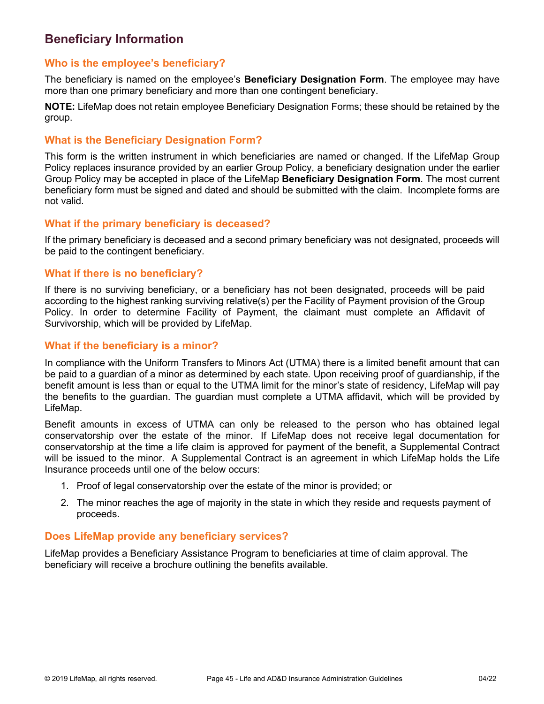# **Beneficiary Information**

# **Who is the employee's beneficiary?**

The beneficiary is named on the employee's **Beneficiary Designation Form**. The employee may have more than one primary beneficiary and more than one contingent beneficiary.

**NOTE:** LifeMap does not retain employee Beneficiary Designation Forms; these should be retained by the group.

### **What is the Beneficiary Designation Form?**

This form is the written instrument in which beneficiaries are named or changed. If the LifeMap Group Policy replaces insurance provided by an earlier Group Policy, a beneficiary designation under the earlier Group Policy may be accepted in place of the LifeMap **Beneficiary Designation Form**. The most current beneficiary form must be signed and dated and should be submitted with the claim. Incomplete forms are not valid.

# **What if the primary beneficiary is deceased?**

If the primary beneficiary is deceased and a second primary beneficiary was not designated, proceeds will be paid to the contingent beneficiary.

### **What if there is no beneficiary?**

If there is no surviving beneficiary, or a beneficiary has not been designated, proceeds will be paid according to the highest ranking surviving relative(s) per the Facility of Payment provision of the Group Policy. In order to determine Facility of Payment, the claimant must complete an Affidavit of Survivorship, which will be provided by LifeMap.

### **What if the beneficiary is a minor?**

In compliance with the Uniform Transfers to Minors Act (UTMA) there is a limited benefit amount that can be paid to a guardian of a minor as determined by each state. Upon receiving proof of guardianship, if the benefit amount is less than or equal to the UTMA limit for the minor's state of residency, LifeMap will pay the benefits to the guardian. The guardian must complete a UTMA affidavit, which will be provided by LifeMap.

Benefit amounts in excess of UTMA can only be released to the person who has obtained legal conservatorship over the estate of the minor. If LifeMap does not receive legal documentation for conservatorship at the time a life claim is approved for payment of the benefit, a Supplemental Contract will be issued to the minor. A Supplemental Contract is an agreement in which LifeMap holds the Life Insurance proceeds until one of the below occurs:

- 1. Proof of legal conservatorship over the estate of the minor is provided; or
- 2. The minor reaches the age of majority in the state in which they reside and requests payment of proceeds.

# **Does LifeMap provide any beneficiary services?**

LifeMap provides a Beneficiary Assistance Program to beneficiaries at time of claim approval. The beneficiary will receive a brochure outlining the benefits available.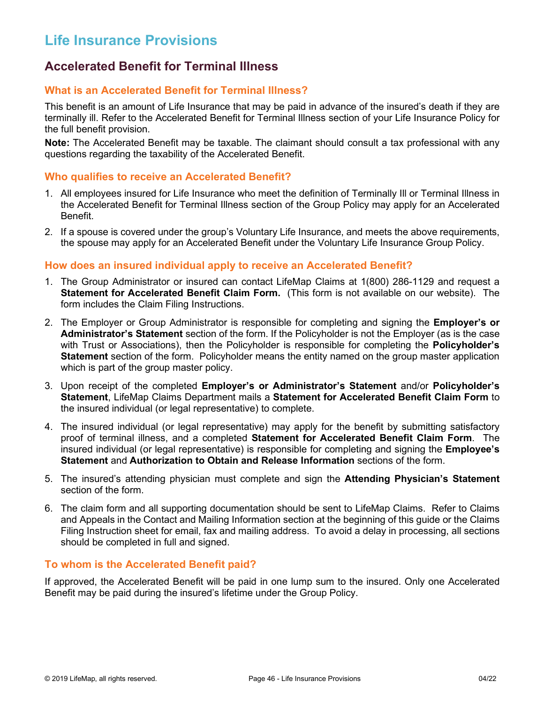# **Life Insurance Provisions**

# **Accelerated Benefit for Terminal Illness**

## **What is an Accelerated Benefit for Terminal Illness?**

This benefit is an amount of Life Insurance that may be paid in advance of the insured's death if they are terminally ill. Refer to the Accelerated Benefit for Terminal Illness section of your Life Insurance Policy for the full benefit provision.

**Note:** The Accelerated Benefit may be taxable. The claimant should consult a tax professional with any questions regarding the taxability of the Accelerated Benefit.

#### **Who qualifies to receive an Accelerated Benefit?**

- 1. All employees insured for Life Insurance who meet the definition of Terminally Ill or Terminal Illness in the Accelerated Benefit for Terminal Illness section of the Group Policy may apply for an Accelerated Benefit.
- 2. If a spouse is covered under the group's Voluntary Life Insurance, and meets the above requirements, the spouse may apply for an Accelerated Benefit under the Voluntary Life Insurance Group Policy.

#### **How does an insured individual apply to receive an Accelerated Benefit?**

- 1. The Group Administrator or insured can contact LifeMap Claims at 1(800) 286-1129 and request a **Statement for Accelerated Benefit Claim Form.** (This form is not available on our website). The form includes the Claim Filing Instructions.
- 2. The Employer or Group Administrator is responsible for completing and signing the **Employer's or Administrator's Statement** section of the form. If the Policyholder is not the Employer (as is the case with Trust or Associations), then the Policyholder is responsible for completing the **Policyholder's Statement** section of the form. Policyholder means the entity named on the group master application which is part of the group master policy.
- 3. Upon receipt of the completed **Employer's or Administrator's Statement** and/or **Policyholder's Statement**, LifeMap Claims Department mails a **Statement for Accelerated Benefit Claim Form** to the insured individual (or legal representative) to complete.
- 4. The insured individual (or legal representative) may apply for the benefit by submitting satisfactory proof of terminal illness, and a completed **Statement for Accelerated Benefit Claim Form**. The insured individual (or legal representative) is responsible for completing and signing the **Employee's Statement** and **Authorization to Obtain and Release Information** sections of the form.
- 5. The insured's attending physician must complete and sign the **Attending Physician's Statement**  section of the form.
- 6. The claim form and all supporting documentation should be sent to LifeMap Claims. Refer to Claims and Appeals in the Contact and Mailing Information section at the beginning of this guide or the Claims Filing Instruction sheet for email, fax and mailing address. To avoid a delay in processing, all sections should be completed in full and signed.

#### **To whom is the Accelerated Benefit paid?**

If approved, the Accelerated Benefit will be paid in one lump sum to the insured. Only one Accelerated Benefit may be paid during the insured's lifetime under the Group Policy.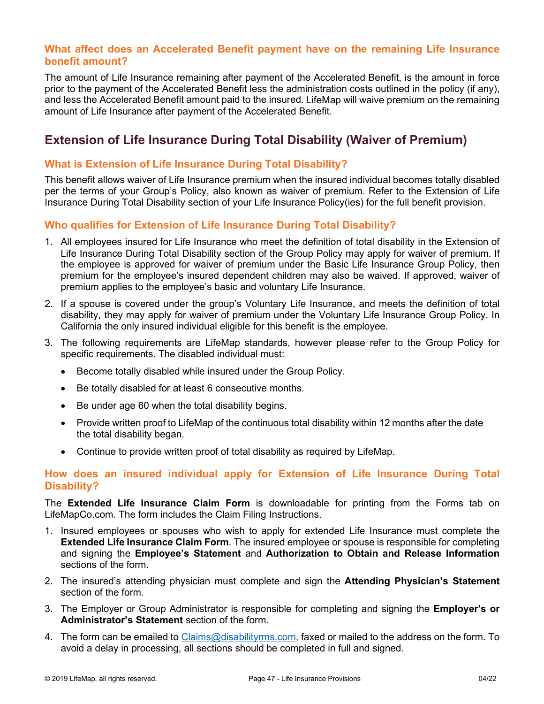## **What affect does an Accelerated Benefit payment have on the remaining Life Insurance benefit amount?**

The amount of Life Insurance remaining after payment of the Accelerated Benefit, is the amount in force prior to the payment of the Accelerated Benefit less the administration costs outlined in the policy (if any), and less the Accelerated Benefit amount paid to the insured. LifeMap will waive premium on the remaining amount of Life Insurance after payment of the Accelerated Benefit.

# **Extension of Life Insurance During Total Disability (Waiver of Premium)**

# **What is Extension of Life Insurance During Total Disability?**

This benefit allows waiver of Life Insurance premium when the insured individual becomes totally disabled per the terms of your Group's Policy, also known as waiver of premium. Refer to the Extension of Life Insurance During Total Disability section of your Life Insurance Policy(ies) for the full benefit provision.

# **Who qualifies for Extension of Life Insurance During Total Disability?**

- 1. All employees insured for Life Insurance who meet the definition of total disability in the Extension of Life Insurance During Total Disability section of the Group Policy may apply for waiver of premium. If the employee is approved for waiver of premium under the Basic Life Insurance Group Policy, then premium for the employee's insured dependent children may also be waived. If approved, waiver of premium applies to the employee's basic and voluntary Life Insurance.
- 2. If a spouse is covered under the group's Voluntary Life Insurance, and meets the definition of total disability, they may apply for waiver of premium under the Voluntary Life Insurance Group Policy. In California the only insured individual eligible for this benefit is the employee.
- 3. The following requirements are LifeMap standards, however please refer to the Group Policy for specific requirements. The disabled individual must:
	- Become totally disabled while insured under the Group Policy.
	- Be totally disabled for at least 6 consecutive months.
	- Be under age 60 when the total disability begins.
	- Provide written proof to LifeMap of the continuous total disability within 12 months after the date the total disability began.
	- Continue to provide written proof of total disability as required by LifeMap.

### **How does an insured individual apply for Extension of Life Insurance During Total Disability?**

The **Extended Life Insurance Claim Form** is downloadable for printing from the Forms tab on LifeMapCo.com. The form includes the Claim Filing Instructions.

- 1. Insured employees or spouses who wish to apply for extended Life Insurance must complete the **Extended Life Insurance Claim Form**. The insured employee or spouse is responsible for completing and signing the **Employee's Statement** and **Authorization to Obtain and Release Information** sections of the form.
- 2. The insured's attending physician must complete and sign the **Attending Physician's Statement** section of the form.
- 3. The Employer or Group Administrator is responsible for completing and signing the **Employer's or Administrator's Statement** section of the form.
- 4. The form can be emailed to [Claims@disabilityrms.com,](mailto:Claims@disabilityrms.com) faxed or mailed to the address on the form. To avoid a delay in processing, all sections should be completed in full and signed.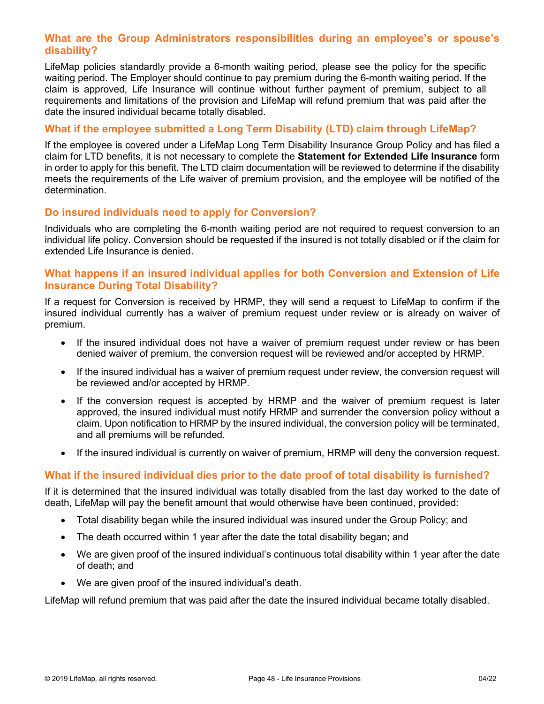## **What are the Group Administrators responsibilities during an employee's or spouse's disability?**

LifeMap policies standardly provide a 6-month waiting period, please see the policy for the specific waiting period. The Employer should continue to pay premium during the 6-month waiting period. If the claim is approved, Life Insurance will continue without further payment of premium, subject to all requirements and limitations of the provision and LifeMap will refund premium that was paid after the date the insured individual became totally disabled.

# **What if the employee submitted a Long Term Disability (LTD) claim through LifeMap?**

If the employee is covered under a LifeMap Long Term Disability Insurance Group Policy and has filed a claim for LTD benefits, it is not necessary to complete the **Statement for Extended Life Insurance** form in order to apply for this benefit. The LTD claim documentation will be reviewed to determine if the disability meets the requirements of the Life waiver of premium provision, and the employee will be notified of the determination.

### **Do insured individuals need to apply for Conversion?**

Individuals who are completing the 6-month waiting period are not required to request conversion to an individual life policy. Conversion should be requested if the insured is not totally disabled or if the claim for extended Life Insurance is denied.

### **What happens if an insured individual applies for both Conversion and Extension of Life Insurance During Total Disability?**

If a request for Conversion is received by HRMP, they will send a request to LifeMap to confirm if the insured individual currently has a waiver of premium request under review or is already on waiver of premium.

- If the insured individual does not have a waiver of premium request under review or has been denied waiver of premium, the conversion request will be reviewed and/or accepted by HRMP.
- If the insured individual has a waiver of premium request under review, the conversion request will be reviewed and/or accepted by HRMP.
- If the conversion request is accepted by HRMP and the waiver of premium request is later approved, the insured individual must notify HRMP and surrender the conversion policy without a claim. Upon notification to HRMP by the insured individual, the conversion policy will be terminated, and all premiums will be refunded.
- If the insured individual is currently on waiver of premium, HRMP will deny the conversion request.

# **What if the insured individual dies prior to the date proof of total disability is furnished?**

If it is determined that the insured individual was totally disabled from the last day worked to the date of death, LifeMap will pay the benefit amount that would otherwise have been continued, provided:

- Total disability began while the insured individual was insured under the Group Policy; and
- The death occurred within 1 year after the date the total disability began; and
- We are given proof of the insured individual's continuous total disability within 1 year after the date of death; and
- We are given proof of the insured individual's death.

LifeMap will refund premium that was paid after the date the insured individual became totally disabled.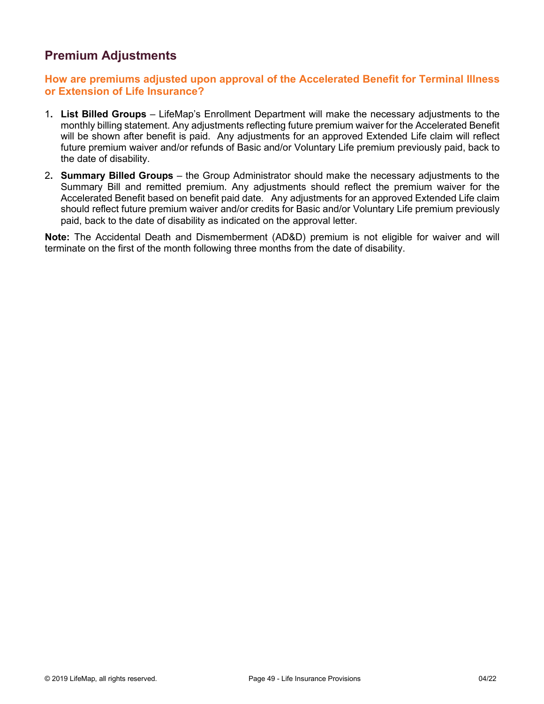# **Premium Adjustments**

## **How are premiums adjusted upon approval of the Accelerated Benefit for Terminal Illness or Extension of Life Insurance?**

- 1**. List Billed Groups** LifeMap's Enrollment Department will make the necessary adjustments to the monthly billing statement. Any adjustments reflecting future premium waiver for the Accelerated Benefit will be shown after benefit is paid. Any adjustments for an approved Extended Life claim will reflect future premium waiver and/or refunds of Basic and/or Voluntary Life premium previously paid, back to the date of disability.
- 2**. Summary Billed Groups** the Group Administrator should make the necessary adjustments to the Summary Bill and remitted premium. Any adjustments should reflect the premium waiver for the Accelerated Benefit based on benefit paid date. Any adjustments for an approved Extended Life claim should reflect future premium waiver and/or credits for Basic and/or Voluntary Life premium previously paid, back to the date of disability as indicated on the approval letter.

**Note:** The Accidental Death and Dismemberment (AD&D) premium is not eligible for waiver and will terminate on the first of the month following three months from the date of disability.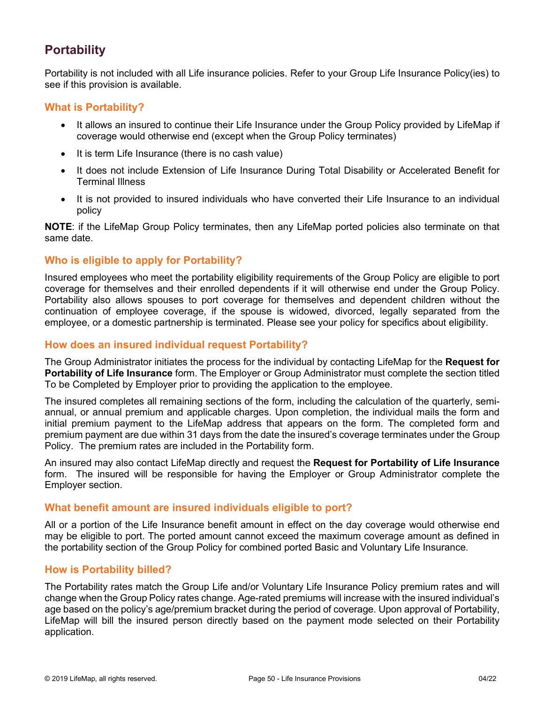# **Portability**

Portability is not included with all Life insurance policies. Refer to your Group Life Insurance Policy(ies) to see if this provision is available.

### **What is Portability?**

- It allows an insured to continue their Life Insurance under the Group Policy provided by LifeMap if coverage would otherwise end (except when the Group Policy terminates)
- It is term Life Insurance (there is no cash value)
- It does not include Extension of Life Insurance During Total Disability or Accelerated Benefit for Terminal Illness
- It is not provided to insured individuals who have converted their Life Insurance to an individual policy

**NOTE**: if the LifeMap Group Policy terminates, then any LifeMap ported policies also terminate on that same date.

# **Who is eligible to apply for Portability?**

Insured employees who meet the portability eligibility requirements of the Group Policy are eligible to port coverage for themselves and their enrolled dependents if it will otherwise end under the Group Policy. Portability also allows spouses to port coverage for themselves and dependent children without the continuation of employee coverage, if the spouse is widowed, divorced, legally separated from the employee, or a domestic partnership is terminated. Please see your policy for specifics about eligibility.

### **How does an insured individual request Portability?**

The Group Administrator initiates the process for the individual by contacting LifeMap for the **Request for Portability of Life Insurance** form. The Employer or Group Administrator must complete the section titled To be Completed by Employer prior to providing the application to the employee.

The insured completes all remaining sections of the form, including the calculation of the quarterly, semiannual, or annual premium and applicable charges. Upon completion, the individual mails the form and initial premium payment to the LifeMap address that appears on the form. The completed form and premium payment are due within 31 days from the date the insured's coverage terminates under the Group Policy. The premium rates are included in the Portability form.

An insured may also contact LifeMap directly and request the **Request for Portability of Life Insurance**  form. The insured will be responsible for having the Employer or Group Administrator complete the Employer section.

#### **What benefit amount are insured individuals eligible to port?**

All or a portion of the Life Insurance benefit amount in effect on the day coverage would otherwise end may be eligible to port. The ported amount cannot exceed the maximum coverage amount as defined in the portability section of the Group Policy for combined ported Basic and Voluntary Life Insurance.

# **How is Portability billed?**

The Portability rates match the Group Life and/or Voluntary Life Insurance Policy premium rates and will change when the Group Policy rates change. Age-rated premiums will increase with the insured individual's age based on the policy's age/premium bracket during the period of coverage. Upon approval of Portability, LifeMap will bill the insured person directly based on the payment mode selected on their Portability application.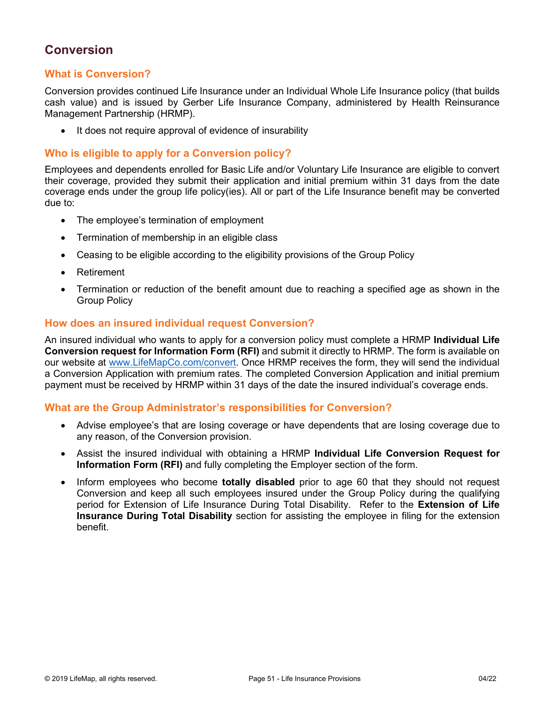# **Conversion**

# **What is Conversion?**

Conversion provides continued Life Insurance under an Individual Whole Life Insurance policy (that builds cash value) and is issued by Gerber Life Insurance Company, administered by Health Reinsurance Management Partnership (HRMP).

• It does not require approval of evidence of insurability

### **Who is eligible to apply for a Conversion policy?**

Employees and dependents enrolled for Basic Life and/or Voluntary Life Insurance are eligible to convert their coverage, provided they submit their application and initial premium within 31 days from the date coverage ends under the group life policy(ies). All or part of the Life Insurance benefit may be converted due to:

- The employee's termination of employment
- Termination of membership in an eligible class
- Ceasing to be eligible according to the eligibility provisions of the Group Policy
- **Retirement**
- Termination or reduction of the benefit amount due to reaching a specified age as shown in the Group Policy

### **How does an insured individual request Conversion?**

An insured individual who wants to apply for a conversion policy must complete a HRMP **Individual Life Conversion request for Information Form (RFI)** and submit it directly to HRMP. The form is available on our website at [www.LifeMapCo.com/](http://www.lifemapco.com/)convert. Once HRMP receives the form, they will send the individual a Conversion Application with premium rates. The completed Conversion Application and initial premium payment must be received by HRMP within 31 days of the date the insured individual's coverage ends.

#### **What are the Group Administrator's responsibilities for Conversion?**

- Advise employee's that are losing coverage or have dependents that are losing coverage due to any reason, of the Conversion provision.
- Assist the insured individual with obtaining a HRMP **Individual Life Conversion Request for Information Form (RFI)** and fully completing the Employer section of the form.
- Inform employees who become **totally disabled** prior to age 60 that they should not request Conversion and keep all such employees insured under the Group Policy during the qualifying period for Extension of Life Insurance During Total Disability. Refer to the **Extension of Life Insurance During Total Disability** section for assisting the employee in filing for the extension benefit.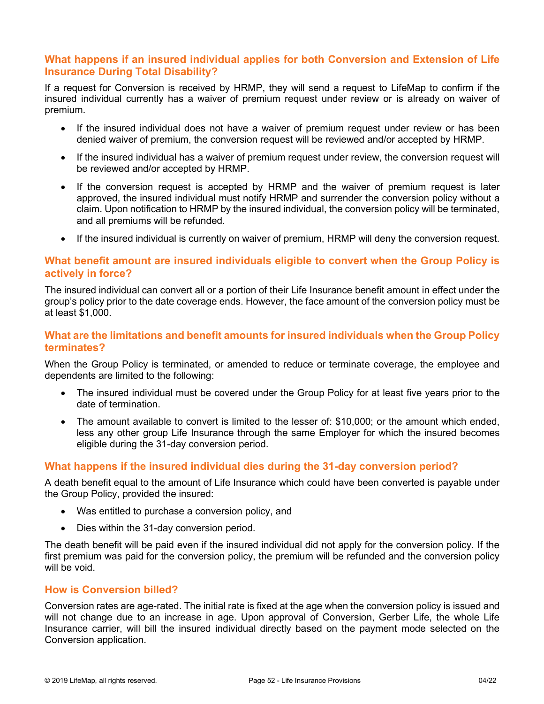# **What happens if an insured individual applies for both Conversion and Extension of Life Insurance During Total Disability?**

If a request for Conversion is received by HRMP, they will send a request to LifeMap to confirm if the insured individual currently has a waiver of premium request under review or is already on waiver of premium.

- If the insured individual does not have a waiver of premium request under review or has been denied waiver of premium, the conversion request will be reviewed and/or accepted by HRMP.
- If the insured individual has a waiver of premium request under review, the conversion request will be reviewed and/or accepted by HRMP.
- If the conversion request is accepted by HRMP and the waiver of premium request is later approved, the insured individual must notify HRMP and surrender the conversion policy without a claim. Upon notification to HRMP by the insured individual, the conversion policy will be terminated, and all premiums will be refunded.
- If the insured individual is currently on waiver of premium, HRMP will deny the conversion request.

### **What benefit amount are insured individuals eligible to convert when the Group Policy is actively in force?**

The insured individual can convert all or a portion of their Life Insurance benefit amount in effect under the group's policy prior to the date coverage ends. However, the face amount of the conversion policy must be at least \$1,000.

### **What are the limitations and benefit amounts for insured individuals when the Group Policy terminates?**

When the Group Policy is terminated, or amended to reduce or terminate coverage, the employee and dependents are limited to the following:

- The insured individual must be covered under the Group Policy for at least five years prior to the date of termination.
- The amount available to convert is limited to the lesser of: \$10,000; or the amount which ended, less any other group Life Insurance through the same Employer for which the insured becomes eligible during the 31-day conversion period.

#### **What happens if the insured individual dies during the 31-day conversion period?**

A death benefit equal to the amount of Life Insurance which could have been converted is payable under the Group Policy, provided the insured:

- Was entitled to purchase a conversion policy, and
- Dies within the 31-day conversion period.

The death benefit will be paid even if the insured individual did not apply for the conversion policy. If the first premium was paid for the conversion policy, the premium will be refunded and the conversion policy will be void.

#### **How is Conversion billed?**

Conversion rates are age-rated. The initial rate is fixed at the age when the conversion policy is issued and will not change due to an increase in age. Upon approval of Conversion, Gerber Life, the whole Life Insurance carrier, will bill the insured individual directly based on the payment mode selected on the Conversion application.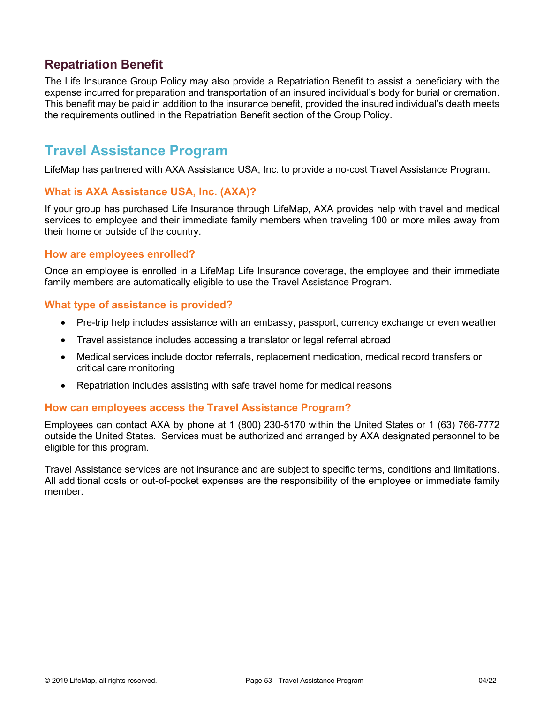# **Repatriation Benefit**

The Life Insurance Group Policy may also provide a Repatriation Benefit to assist a beneficiary with the expense incurred for preparation and transportation of an insured individual's body for burial or cremation. This benefit may be paid in addition to the insurance benefit, provided the insured individual's death meets the requirements outlined in the Repatriation Benefit section of the Group Policy.

# **Travel Assistance Program**

LifeMap has partnered with AXA Assistance USA, Inc. to provide a no-cost Travel Assistance Program.

#### **What is AXA Assistance USA, Inc. (AXA)?**

If your group has purchased Life Insurance through LifeMap, AXA provides help with travel and medical services to employee and their immediate family members when traveling 100 or more miles away from their home or outside of the country.

#### **How are employees enrolled?**

Once an employee is enrolled in a LifeMap Life Insurance coverage, the employee and their immediate family members are automatically eligible to use the Travel Assistance Program.

#### **What type of assistance is provided?**

- Pre-trip help includes assistance with an embassy, passport, currency exchange or even weather
- Travel assistance includes accessing a translator or legal referral abroad
- Medical services include doctor referrals, replacement medication, medical record transfers or critical care monitoring
- Repatriation includes assisting with safe travel home for medical reasons

#### **How can employees access the Travel Assistance Program?**

Employees can contact AXA by phone at 1 (800) 230-5170 within the United States or 1 (63) 766-7772 outside the United States. Services must be authorized and arranged by AXA designated personnel to be eligible for this program.

Travel Assistance services are not insurance and are subject to specific terms, conditions and limitations. All additional costs or out-of-pocket expenses are the responsibility of the employee or immediate family member.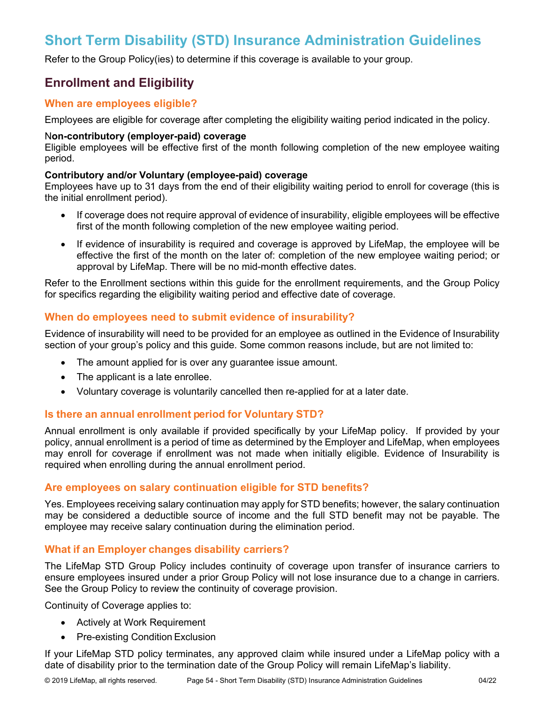# **Short Term Disability (STD) Insurance Administration Guidelines**

Refer to the Group Policy(ies) to determine if this coverage is available to your group.

# **Enrollment and Eligibility**

## **When are employees eligible?**

Employees are eligible for coverage after completing the eligibility waiting period indicated in the policy.

#### N**on-contributory (employer-paid) coverage**

Eligible employees will be effective first of the month following completion of the new employee waiting period.

#### **Contributory and/or Voluntary (employee-paid) coverage**

Employees have up to 31 days from the end of their eligibility waiting period to enroll for coverage (this is the initial enrollment period).

- If coverage does not require approval of evidence of insurability, eligible employees will be effective first of the month following completion of the new employee waiting period.
- If evidence of insurability is required and coverage is approved by LifeMap, the employee will be effective the first of the month on the later of: completion of the new employee waiting period; or approval by LifeMap. There will be no mid-month effective dates.

Refer to the Enrollment sections within this guide for the enrollment requirements, and the Group Policy for specifics regarding the eligibility waiting period and effective date of coverage.

### **When do employees need to submit evidence of insurability?**

Evidence of insurability will need to be provided for an employee as outlined in the Evidence of Insurability section of your group's policy and this guide. Some common reasons include, but are not limited to:

- The amount applied for is over any guarantee issue amount.
- The applicant is a late enrollee.
- Voluntary coverage is voluntarily cancelled then re-applied for at a later date.

# **Is there an annual enrollment period for Voluntary STD?**

Annual enrollment is only available if provided specifically by your LifeMap policy. If provided by your policy, annual enrollment is a period of time as determined by the Employer and LifeMap, when employees may enroll for coverage if enrollment was not made when initially eligible. Evidence of Insurability is required when enrolling during the annual enrollment period.

# **Are employees on salary continuation eligible for STD benefits?**

Yes. Employees receiving salary continuation may apply for STD benefits; however, the salary continuation may be considered a deductible source of income and the full STD benefit may not be payable. The employee may receive salary continuation during the elimination period.

# **What if an Employer changes disability carriers?**

The LifeMap STD Group Policy includes continuity of coverage upon transfer of insurance carriers to ensure employees insured under a prior Group Policy will not lose insurance due to a change in carriers. See the Group Policy to review the continuity of coverage provision.

Continuity of Coverage applies to:

- Actively at Work Requirement
- Pre-existing Condition Exclusion

If your LifeMap STD policy terminates, any approved claim while insured under a LifeMap policy with a date of disability prior to the termination date of the Group Policy will remain LifeMap's liability.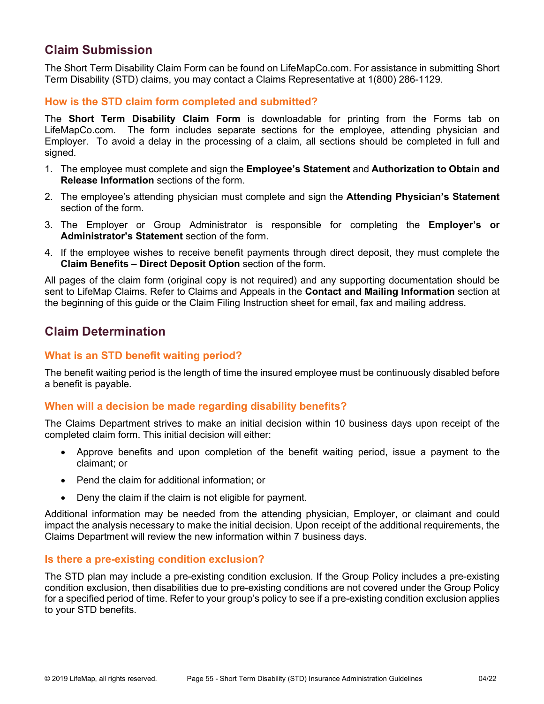# **Claim Submission**

The Short Term Disability Claim Form can be found on LifeMapCo.com. For assistance in submitting Short Term Disability (STD) claims, you may contact a Claims Representative at 1(800) 286-1129.

# **How is the STD claim form completed and submitted?**

The **Short Term Disability Claim Form** is downloadable for printing from the Forms tab on LifeMapCo.com. The form includes separate sections for the employee, attending physician and Employer. To avoid a delay in the processing of a claim, all sections should be completed in full and signed.

- 1. The employee must complete and sign the **Employee's Statement** and **Authorization to Obtain and Release Information** sections of the form.
- 2. The employee's attending physician must complete and sign the **Attending Physician's Statement** section of the form.
- 3. The Employer or Group Administrator is responsible for completing the **Employer's or Administrator's Statement** section of the form.
- 4. If the employee wishes to receive benefit payments through direct deposit, they must complete the **Claim Benefits – Direct Deposit Option** section of the form.

All pages of the claim form (original copy is not required) and any supporting documentation should be sent to LifeMap Claims. Refer to Claims and Appeals in the **Contact and Mailing Information** section at the beginning of this guide or the Claim Filing Instruction sheet for email, fax and mailing address.

# **Claim Determination**

# **What is an STD benefit waiting period?**

The benefit waiting period is the length of time the insured employee must be continuously disabled before a benefit is payable.

# **When will a decision be made regarding disability benefits?**

The Claims Department strives to make an initial decision within 10 business days upon receipt of the completed claim form. This initial decision will either:

- Approve benefits and upon completion of the benefit waiting period, issue a payment to the claimant; or
- Pend the claim for additional information; or
- Deny the claim if the claim is not eligible for payment.

Additional information may be needed from the attending physician, Employer, or claimant and could impact the analysis necessary to make the initial decision. Upon receipt of the additional requirements, the Claims Department will review the new information within 7 business days.

#### **Is there a pre-existing condition exclusion?**

The STD plan may include a pre-existing condition exclusion. If the Group Policy includes a pre-existing condition exclusion, then disabilities due to pre-existing conditions are not covered under the Group Policy for a specified period of time. Refer to your group's policy to see if a pre-existing condition exclusion applies to your STD benefits.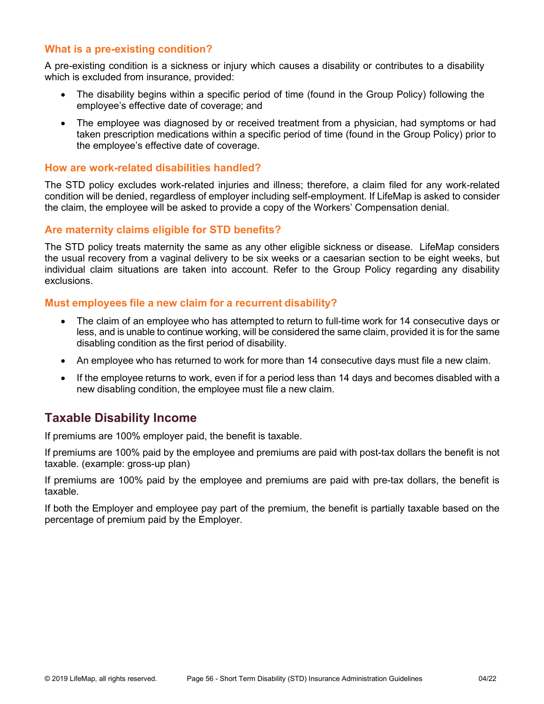## **What is a pre-existing condition?**

A pre-existing condition is a sickness or injury which causes a disability or contributes to a disability which is excluded from insurance, provided:

- The disability begins within a specific period of time (found in the Group Policy) following the employee's effective date of coverage; and
- The employee was diagnosed by or received treatment from a physician, had symptoms or had taken prescription medications within a specific period of time (found in the Group Policy) prior to the employee's effective date of coverage.

#### **How are work-related disabilities handled?**

The STD policy excludes work-related injuries and illness; therefore, a claim filed for any work-related condition will be denied, regardless of employer including self-employment. If LifeMap is asked to consider the claim, the employee will be asked to provide a copy of the Workers' Compensation denial.

#### **Are maternity claims eligible for STD benefits?**

The STD policy treats maternity the same as any other eligible sickness or disease. LifeMap considers the usual recovery from a vaginal delivery to be six weeks or a caesarian section to be eight weeks, but individual claim situations are taken into account. Refer to the Group Policy regarding any disability exclusions.

#### **Must employees file a new claim for a recurrent disability?**

- The claim of an employee who has attempted to return to full-time work for 14 consecutive days or less, and is unable to continue working, will be considered the same claim, provided it is for the same disabling condition as the first period of disability.
- An employee who has returned to work for more than 14 consecutive days must file a new claim.
- If the employee returns to work, even if for a period less than 14 days and becomes disabled with a new disabling condition, the employee must file a new claim.

# **Taxable Disability Income**

If premiums are 100% employer paid, the benefit is taxable.

If premiums are 100% paid by the employee and premiums are paid with post-tax dollars the benefit is not taxable. (example: gross-up plan)

If premiums are 100% paid by the employee and premiums are paid with pre-tax dollars, the benefit is taxable.

If both the Employer and employee pay part of the premium, the benefit is partially taxable based on the percentage of premium paid by the Employer.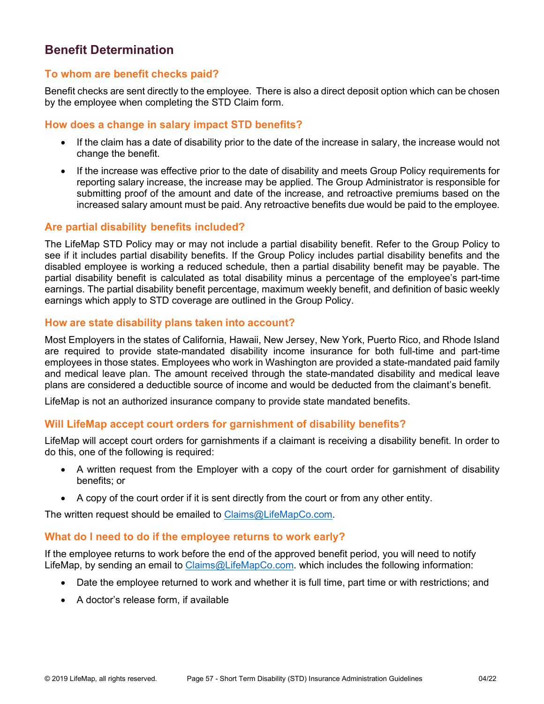# **Benefit Determination**

### **To whom are benefit checks paid?**

Benefit checks are sent directly to the employee. There is also a direct deposit option which can be chosen by the employee when completing the STD Claim form.

### **How does a change in salary impact STD benefits?**

- If the claim has a date of disability prior to the date of the increase in salary, the increase would not change the benefit.
- If the increase was effective prior to the date of disability and meets Group Policy requirements for reporting salary increase, the increase may be applied. The Group Administrator is responsible for submitting proof of the amount and date of the increase, and retroactive premiums based on the increased salary amount must be paid. Any retroactive benefits due would be paid to the employee.

### **Are partial disability benefits included?**

The LifeMap STD Policy may or may not include a partial disability benefit. Refer to the Group Policy to see if it includes partial disability benefits. If the Group Policy includes partial disability benefits and the disabled employee is working a reduced schedule, then a partial disability benefit may be payable. The partial disability benefit is calculated as total disability minus a percentage of the employee's part-time earnings. The partial disability benefit percentage, maximum weekly benefit, and definition of basic weekly earnings which apply to STD coverage are outlined in the Group Policy.

### **How are state disability plans taken into account?**

Most Employers in the states of California, Hawaii, New Jersey, New York, Puerto Rico, and Rhode Island are required to provide state-mandated disability income insurance for both full-time and part-time employees in those states. Employees who work in Washington are provided a state-mandated paid family and medical leave plan. The amount received through the state-mandated disability and medical leave plans are considered a deductible source of income and would be deducted from the claimant's benefit.

LifeMap is not an authorized insurance company to provide state mandated benefits.

#### **Will LifeMap accept court orders for garnishment of disability benefits?**

LifeMap will accept court orders for garnishments if a claimant is receiving a disability benefit. In order to do this, one of the following is required:

- A written request from the Employer with a copy of the court order for garnishment of disability benefits; or
- A copy of the court order if it is sent directly from the court or from any other entity.

The written request should be emailed to [Claims@LifeMapCo.com.](mailto:Claims@LifeMapCo.com)

#### **What do I need to do if the employee returns to work early?**

If the employee returns to work before the end of the approved benefit period, you will need to notify LifeMap, by sending an email to [Claims@LifeMapCo.com.](mailto:Claims@LifeMapCo.com) which includes the following information:

- Date the employee returned to work and whether it is full time, part time or with restrictions; and
- A doctor's release form, if available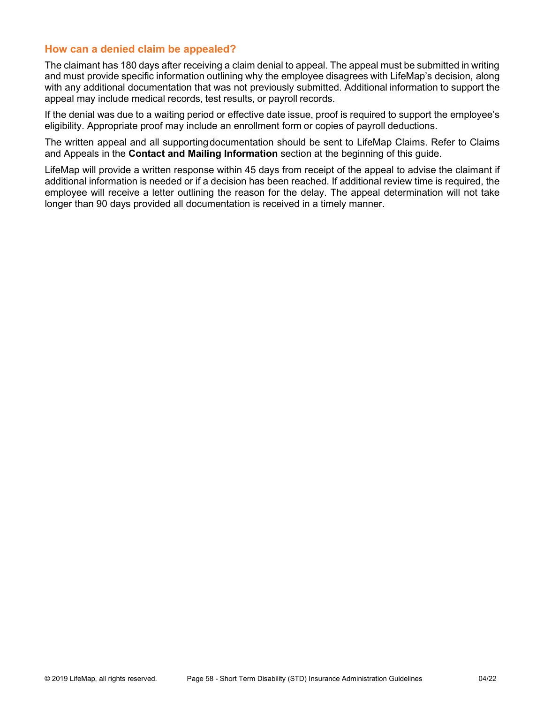### **How can a denied claim be appealed?**

The claimant has 180 days after receiving a claim denial to appeal. The appeal must be submitted in writing and must provide specific information outlining why the employee disagrees with LifeMap's decision, along with any additional documentation that was not previously submitted. Additional information to support the appeal may include medical records, test results, or payroll records.

If the denial was due to a waiting period or effective date issue, proof is required to support the employee's eligibility. Appropriate proof may include an enrollment form or copies of payroll deductions.

The written appeal and all supportingdocumentation should be sent to LifeMap Claims. Refer to Claims and Appeals in the **Contact and Mailing Information** section at the beginning of this guide.

LifeMap will provide a written response within 45 days from receipt of the appeal to advise the claimant if additional information is needed or if a decision has been reached. If additional review time is required, the employee will receive a letter outlining the reason for the delay. The appeal determination will not take longer than 90 days provided all documentation is received in a timely manner.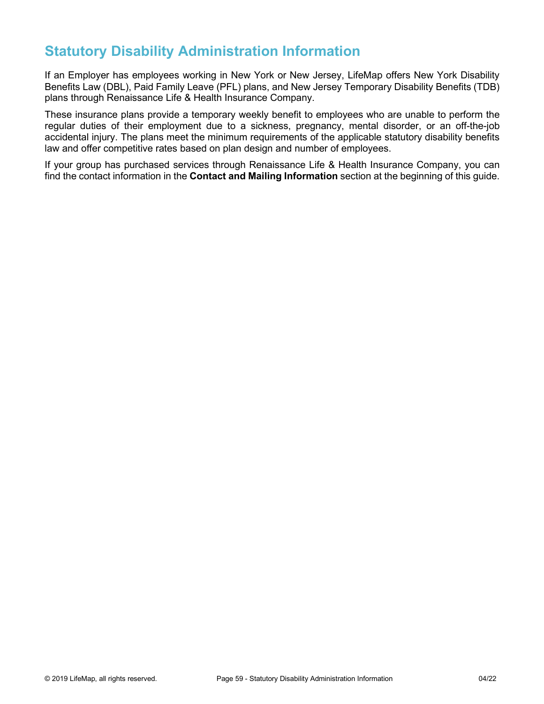# **Statutory Disability Administration Information**

If an Employer has employees working in New York or New Jersey, LifeMap offers New York Disability Benefits Law (DBL), Paid Family Leave (PFL) plans, and New Jersey Temporary Disability Benefits (TDB) plans through Renaissance Life & Health Insurance Company.

These insurance plans provide a temporary weekly benefit to employees who are unable to perform the regular duties of their employment due to a sickness, pregnancy, mental disorder, or an off-the-job accidental injury. The plans meet the minimum requirements of the applicable statutory disability benefits law and offer competitive rates based on plan design and number of employees.

If your group has purchased services through Renaissance Life & Health Insurance Company, you can find the contact information in the **Contact and Mailing Information** section at the beginning of this guide.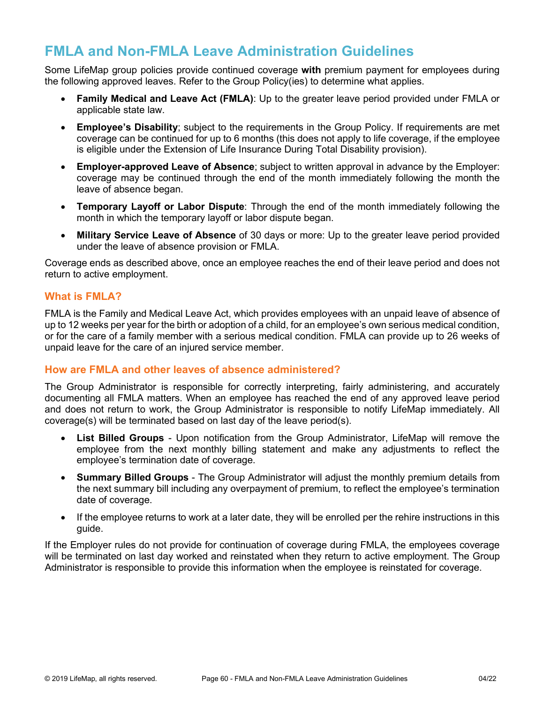# **FMLA and Non-FMLA Leave Administration Guidelines**

Some LifeMap group policies provide continued coverage **with** premium payment for employees during the following approved leaves. Refer to the Group Policy(ies) to determine what applies.

- **Family Medical and Leave Act (FMLA)**: Up to the greater leave period provided under FMLA or applicable state law.
- **Employee's Disability**; subject to the requirements in the Group Policy. If requirements are met coverage can be continued for up to 6 months (this does not apply to life coverage, if the employee is eligible under the Extension of Life Insurance During Total Disability provision).
- **Employer-approved Leave of Absence**; subject to written approval in advance by the Employer: coverage may be continued through the end of the month immediately following the month the leave of absence began.
- **Temporary Layoff or Labor Dispute**: Through the end of the month immediately following the month in which the temporary layoff or labor dispute began.
- **Military Service Leave of Absence** of 30 days or more: Up to the greater leave period provided under the leave of absence provision or FMLA.

Coverage ends as described above, once an employee reaches the end of their leave period and does not return to active employment.

# **What is FMLA?**

FMLA is the Family and Medical Leave Act, which provides employees with an unpaid leave of absence of up to 12 weeks per year for the birth or adoption of a child, for an employee's own serious medical condition, or for the care of a family member with a serious medical condition. FMLA can provide up to 26 weeks of unpaid leave for the care of an injured service member.

# **How are FMLA and other leaves of absence administered?**

The Group Administrator is responsible for correctly interpreting, fairly administering, and accurately documenting all FMLA matters. When an employee has reached the end of any approved leave period and does not return to work, the Group Administrator is responsible to notify LifeMap immediately. All coverage(s) will be terminated based on last day of the leave period(s).

- **List Billed Groups** Upon notification from the Group Administrator, LifeMap will remove the employee from the next monthly billing statement and make any adjustments to reflect the employee's termination date of coverage.
- **Summary Billed Groups** The Group Administrator will adjust the monthly premium details from the next summary bill including any overpayment of premium, to reflect the employee's termination date of coverage.
- If the employee returns to work at a later date, they will be enrolled per the rehire instructions in this guide.

If the Employer rules do not provide for continuation of coverage during FMLA, the employees coverage will be terminated on last day worked and reinstated when they return to active employment. The Group Administrator is responsible to provide this information when the employee is reinstated for coverage.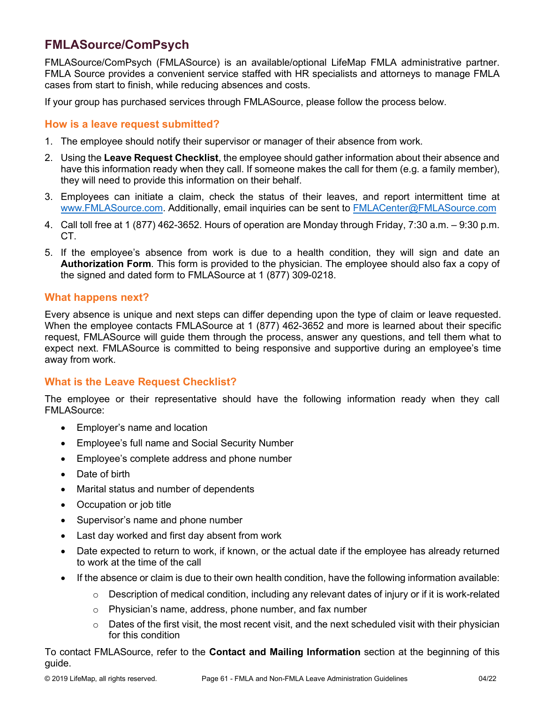# **FMLASource/ComPsych**

FMLASource/ComPsych (FMLASource) is an available/optional LifeMap FMLA administrative partner. FMLA Source provides a convenient service staffed with HR specialists and attorneys to manage FMLA cases from start to finish, while reducing absences and costs.

If your group has purchased services through FMLASource, please follow the process below.

## **How is a leave request submitted?**

- 1. The employee should notify their supervisor or manager of their absence from work.
- 2. Using the **Leave Request Checklist**, the employee should gather information about their absence and have this information ready when they call. If someone makes the call for them (e.g. a family member), they will need to provide this information on their behalf.
- 3. Employees can initiate a claim, check the status of their leaves, and report intermittent time at [www.FMLASource.com.](http://www.fmlasource.com/) Additionally, email inquiries can be sent to [FMLACenter@FMLASource.com](mailto:FMLACenter@FMLASource.com)
- 4. Call toll free at 1 (877) 462-3652. Hours of operation are Monday through Friday, 7:30 a.m. 9:30 p.m. CT.
- 5. If the employee's absence from work is due to a health condition, they will sign and date an **Authorization Form**. This form is provided to the physician. The employee should also fax a copy of the signed and dated form to FMLASource at 1 (877) 309-0218.

### **What happens next?**

Every absence is unique and next steps can differ depending upon the type of claim or leave requested. When the employee contacts FMLASource at 1 (877) 462-3652 and more is learned about their specific request, FMLASource will guide them through the process, answer any questions, and tell them what to expect next. FMLASource is committed to being responsive and supportive during an employee's time away from work.

# **What is the Leave Request Checklist?**

The employee or their representative should have the following information ready when they call FMLASource:

- Employer's name and location
- Employee's full name and Social Security Number
- Employee's complete address and phone number
- Date of birth
- Marital status and number of dependents
- Occupation or job title
- Supervisor's name and phone number
- Last day worked and first day absent from work
- Date expected to return to work, if known, or the actual date if the employee has already returned to work at the time of the call
- If the absence or claim is due to their own health condition, have the following information available:
	- $\circ$  Description of medical condition, including any relevant dates of injury or if it is work-related
	- o Physician's name, address, phone number, and fax number
	- $\circ$  Dates of the first visit, the most recent visit, and the next scheduled visit with their physician for this condition

To contact FMLASource, refer to the **Contact and Mailing Information** section at the beginning of this guide.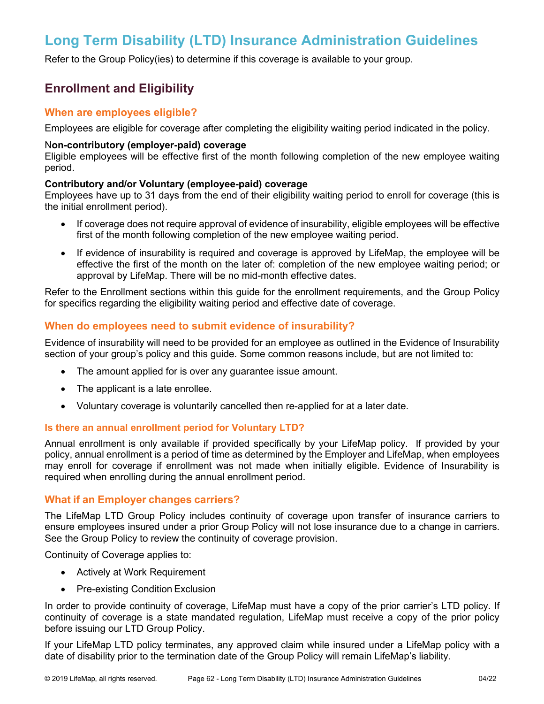# **Long Term Disability (LTD) Insurance Administration Guidelines**

Refer to the Group Policy(ies) to determine if this coverage is available to your group.

# **Enrollment and Eligibility**

## **When are employees eligible?**

Employees are eligible for coverage after completing the eligibility waiting period indicated in the policy.

#### N**on-contributory (employer-paid) coverage**

Eligible employees will be effective first of the month following completion of the new employee waiting period.

#### **Contributory and/or Voluntary (employee-paid) coverage**

Employees have up to 31 days from the end of their eligibility waiting period to enroll for coverage (this is the initial enrollment period).

- If coverage does not require approval of evidence of insurability, eligible employees will be effective first of the month following completion of the new employee waiting period.
- If evidence of insurability is required and coverage is approved by LifeMap, the employee will be effective the first of the month on the later of: completion of the new employee waiting period; or approval by LifeMap. There will be no mid-month effective dates.

Refer to the Enrollment sections within this guide for the enrollment requirements, and the Group Policy for specifics regarding the eligibility waiting period and effective date of coverage.

#### **When do employees need to submit evidence of insurability?**

Evidence of insurability will need to be provided for an employee as outlined in the Evidence of Insurability section of your group's policy and this guide. Some common reasons include, but are not limited to:

- The amount applied for is over any guarantee issue amount.
- The applicant is a late enrollee.
- Voluntary coverage is voluntarily cancelled then re-applied for at a later date.

#### **Is there an annual enrollment period for Voluntary LTD?**

Annual enrollment is only available if provided specifically by your LifeMap policy. If provided by your policy, annual enrollment is a period of time as determined by the Employer and LifeMap, when employees may enroll for coverage if enrollment was not made when initially eligible. Evidence of Insurability is required when enrolling during the annual enrollment period.

#### **What if an Employer changes carriers?**

The LifeMap LTD Group Policy includes continuity of coverage upon transfer of insurance carriers to ensure employees insured under a prior Group Policy will not lose insurance due to a change in carriers. See the Group Policy to review the continuity of coverage provision.

Continuity of Coverage applies to:

- Actively at Work Requirement
- Pre-existing Condition Exclusion

In order to provide continuity of coverage, LifeMap must have a copy of the prior carrier's LTD policy. If continuity of coverage is a state mandated regulation, LifeMap must receive a copy of the prior policy before issuing our LTD Group Policy.

If your LifeMap LTD policy terminates, any approved claim while insured under a LifeMap policy with a date of disability prior to the termination date of the Group Policy will remain LifeMap's liability.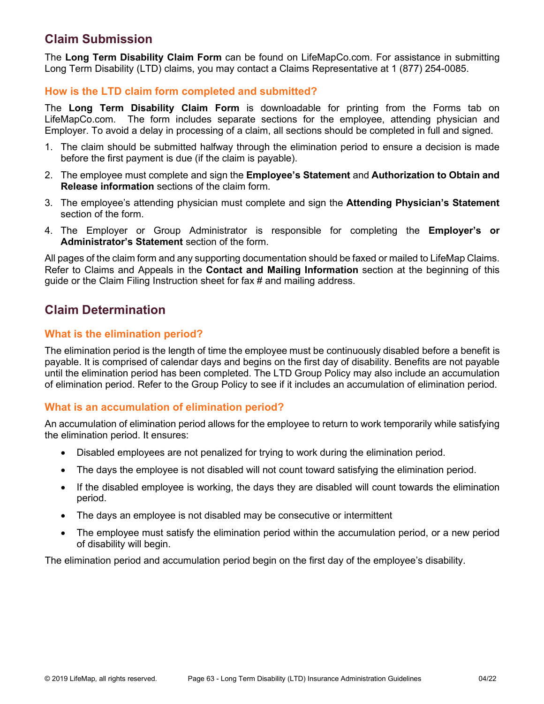# **Claim Submission**

The **Long Term Disability Claim Form** can be found on LifeMapCo.com. For assistance in submitting Long Term Disability (LTD) claims, you may contact a Claims Representative at 1 (877) 254-0085.

# **How is the LTD claim form completed and submitted?**

The **Long Term Disability Claim Form** is downloadable for printing from the Forms tab on LifeMapCo.com. The form includes separate sections for the employee, attending physician and Employer. To avoid a delay in processing of a claim, all sections should be completed in full and signed.

- 1. The claim should be submitted halfway through the elimination period to ensure a decision is made before the first payment is due (if the claim is payable).
- 2. The employee must complete and sign the **Employee's Statement** and **Authorization to Obtain and Release information** sections of the claim form.
- 3. The employee's attending physician must complete and sign the **Attending Physician's Statement**  section of the form.
- 4. The Employer or Group Administrator is responsible for completing the **Employer's or Administrator's Statement** section of the form.

All pages of the claim form and any supporting documentation should be faxed or mailed to LifeMap Claims. Refer to Claims and Appeals in the **Contact and Mailing Information** section at the beginning of this guide or the Claim Filing Instruction sheet for fax # and mailing address.

# **Claim Determination**

# **What is the elimination period?**

The elimination period is the length of time the employee must be continuously disabled before a benefit is payable. It is comprised of calendar days and begins on the first day of disability. Benefits are not payable until the elimination period has been completed. The LTD Group Policy may also include an accumulation of elimination period. Refer to the Group Policy to see if it includes an accumulation of elimination period.

# **What is an accumulation of elimination period?**

An accumulation of elimination period allows for the employee to return to work temporarily while satisfying the elimination period. It ensures:

- Disabled employees are not penalized for trying to work during the elimination period.
- The days the employee is not disabled will not count toward satisfying the elimination period.
- If the disabled employee is working, the days they are disabled will count towards the elimination period.
- The days an employee is not disabled may be consecutive or intermittent
- The employee must satisfy the elimination period within the accumulation period, or a new period of disability will begin.

The elimination period and accumulation period begin on the first day of the employee's disability.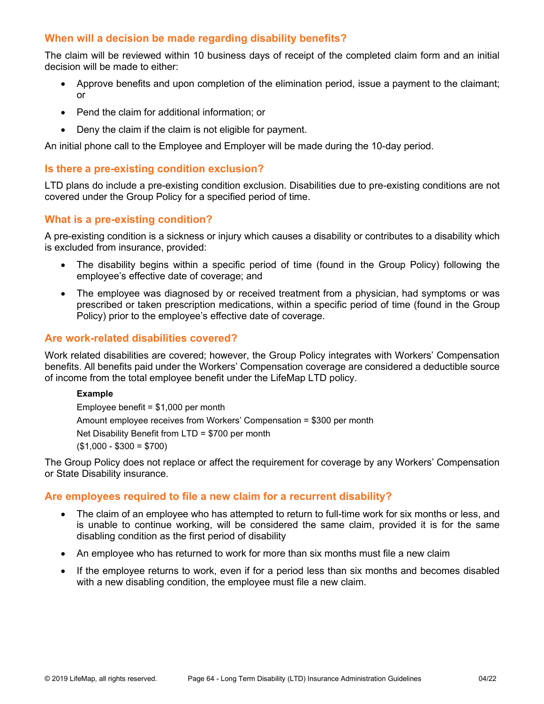# **When will a decision be made regarding disability benefits?**

The claim will be reviewed within 10 business days of receipt of the completed claim form and an initial decision will be made to either:

- Approve benefits and upon completion of the elimination period, issue a payment to the claimant; or
- Pend the claim for additional information; or
- Deny the claim if the claim is not eligible for payment.

An initial phone call to the Employee and Employer will be made during the 10-day period.

### **Is there a pre-existing condition exclusion?**

LTD plans do include a pre-existing condition exclusion. Disabilities due to pre-existing conditions are not covered under the Group Policy for a specified period of time.

### **What is a pre-existing condition?**

A pre-existing condition is a sickness or injury which causes a disability or contributes to a disability which is excluded from insurance, provided:

- The disability begins within a specific period of time (found in the Group Policy) following the employee's effective date of coverage; and
- The employee was diagnosed by or received treatment from a physician, had symptoms or was prescribed or taken prescription medications, within a specific period of time (found in the Group Policy) prior to the employee's effective date of coverage.

#### **Are work-related disabilities covered?**

Work related disabilities are covered; however, the Group Policy integrates with Workers' Compensation benefits. All benefits paid under the Workers' Compensation coverage are considered a deductible source of income from the total employee benefit under the LifeMap LTD policy.

#### **Example**

Employee benefit =  $$1,000$  per month Amount employee receives from Workers' Compensation = \$300 per month Net Disability Benefit from LTD = \$700 per month  $($1,000 - $300 = $700)$ 

The Group Policy does not replace or affect the requirement for coverage by any Workers' Compensation or State Disability insurance.

#### **Are employees required to file a new claim for a recurrent disability?**

- The claim of an employee who has attempted to return to full-time work for six months or less, and is unable to continue working, will be considered the same claim, provided it is for the same disabling condition as the first period of disability
- An employee who has returned to work for more than six months must file a new claim
- If the employee returns to work, even if for a period less than six months and becomes disabled with a new disabling condition, the employee must file a new claim.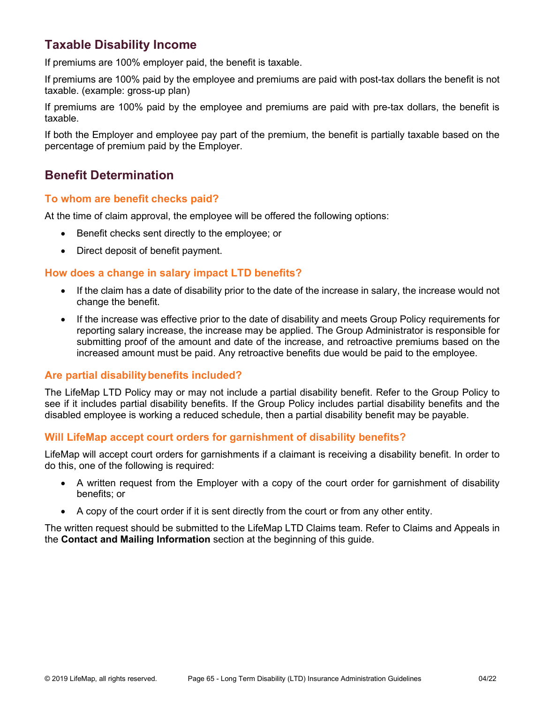# **Taxable Disability Income**

If premiums are 100% employer paid, the benefit is taxable.

If premiums are 100% paid by the employee and premiums are paid with post-tax dollars the benefit is not taxable. (example: gross-up plan)

If premiums are 100% paid by the employee and premiums are paid with pre-tax dollars, the benefit is taxable.

If both the Employer and employee pay part of the premium, the benefit is partially taxable based on the percentage of premium paid by the Employer.

# **Benefit Determination**

### **To whom are benefit checks paid?**

At the time of claim approval, the employee will be offered the following options:

- Benefit checks sent directly to the employee; or
- Direct deposit of benefit payment.

# **How does a change in salary impact LTD benefits?**

- If the claim has a date of disability prior to the date of the increase in salary, the increase would not change the benefit.
- If the increase was effective prior to the date of disability and meets Group Policy requirements for reporting salary increase, the increase may be applied. The Group Administrator is responsible for submitting proof of the amount and date of the increase, and retroactive premiums based on the increased amount must be paid. Any retroactive benefits due would be paid to the employee.

# **Are partial disabilitybenefits included?**

The LifeMap LTD Policy may or may not include a partial disability benefit. Refer to the Group Policy to see if it includes partial disability benefits. If the Group Policy includes partial disability benefits and the disabled employee is working a reduced schedule, then a partial disability benefit may be payable.

#### **Will LifeMap accept court orders for garnishment of disability benefits?**

LifeMap will accept court orders for garnishments if a claimant is receiving a disability benefit. In order to do this, one of the following is required:

- A written request from the Employer with a copy of the court order for garnishment of disability benefits; or
- A copy of the court order if it is sent directly from the court or from any other entity.

The written request should be submitted to the LifeMap LTD Claims team. Refer to Claims and Appeals in the **Contact and Mailing Information** section at the beginning of this guide.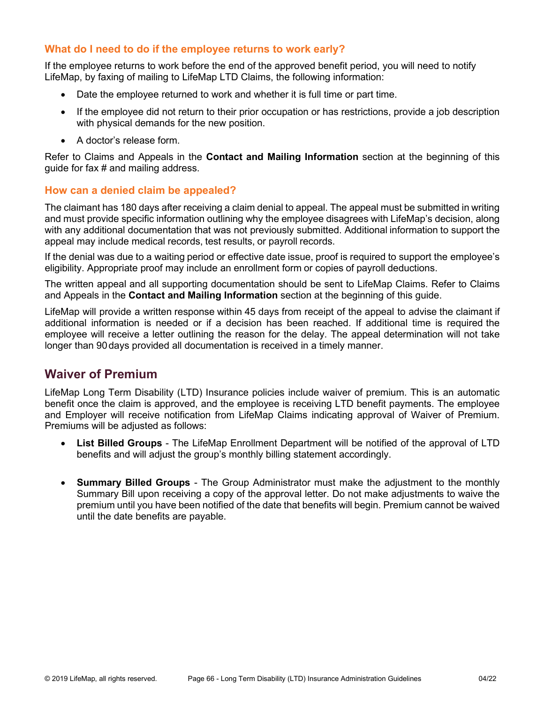# **What do I need to do if the employee returns to work early?**

If the employee returns to work before the end of the approved benefit period, you will need to notify LifeMap, by faxing of mailing to LifeMap LTD Claims, the following information:

- Date the employee returned to work and whether it is full time or part time.
- If the employee did not return to their prior occupation or has restrictions, provide a job description with physical demands for the new position.
- A doctor's release form.

Refer to Claims and Appeals in the **Contact and Mailing Information** section at the beginning of this guide for fax # and mailing address.

### **How can a denied claim be appealed?**

The claimant has 180 days after receiving a claim denial to appeal. The appeal must be submitted in writing and must provide specific information outlining why the employee disagrees with LifeMap's decision, along with any additional documentation that was not previously submitted. Additional information to support the appeal may include medical records, test results, or payroll records.

If the denial was due to a waiting period or effective date issue, proof is required to support the employee's eligibility. Appropriate proof may include an enrollment form or copies of payroll deductions.

The written appeal and all supporting documentation should be sent to LifeMap Claims. Refer to Claims and Appeals in the **Contact and Mailing Information** section at the beginning of this guide.

LifeMap will provide a written response within 45 days from receipt of the appeal to advise the claimant if additional information is needed or if a decision has been reached. If additional time is required the employee will receive a letter outlining the reason for the delay. The appeal determination will not take longer than 90days provided all documentation is received in a timely manner.

# **Waiver of Premium**

LifeMap Long Term Disability (LTD) Insurance policies include waiver of premium. This is an automatic benefit once the claim is approved, and the employee is receiving LTD benefit payments. The employee and Employer will receive notification from LifeMap Claims indicating approval of Waiver of Premium. Premiums will be adjusted as follows:

- **List Billed Groups** The LifeMap Enrollment Department will be notified of the approval of LTD benefits and will adjust the group's monthly billing statement accordingly.
- **Summary Billed Groups** The Group Administrator must make the adjustment to the monthly Summary Bill upon receiving a copy of the approval letter. Do not make adjustments to waive the premium until you have been notified of the date that benefits will begin. Premium cannot be waived until the date benefits are payable.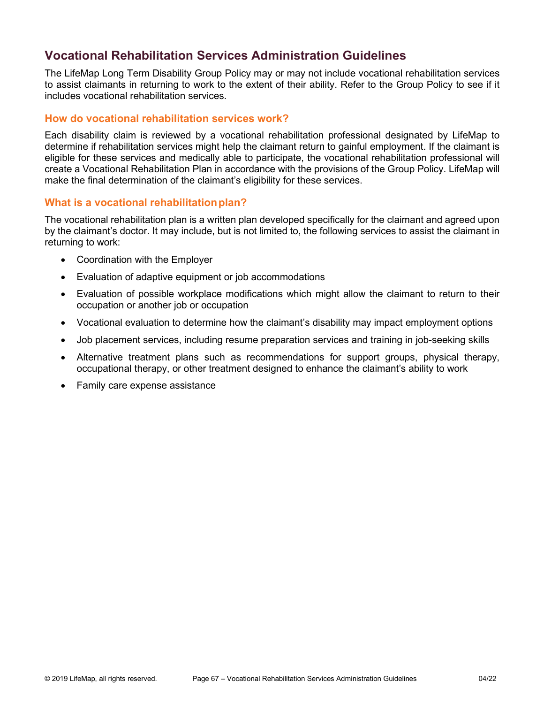# **Vocational Rehabilitation Services Administration Guidelines**

The LifeMap Long Term Disability Group Policy may or may not include vocational rehabilitation services to assist claimants in returning to work to the extent of their ability. Refer to the Group Policy to see if it includes vocational rehabilitation services.

### **How do vocational rehabilitation services work?**

Each disability claim is reviewed by a vocational rehabilitation professional designated by LifeMap to determine if rehabilitation services might help the claimant return to gainful employment. If the claimant is eligible for these services and medically able to participate, the vocational rehabilitation professional will create a Vocational Rehabilitation Plan in accordance with the provisions of the Group Policy. LifeMap will make the final determination of the claimant's eligibility for these services.

### **What is a vocational rehabilitationplan?**

The vocational rehabilitation plan is a written plan developed specifically for the claimant and agreed upon by the claimant's doctor. It may include, but is not limited to, the following services to assist the claimant in returning to work:

- Coordination with the Employer
- Evaluation of adaptive equipment or job accommodations
- Evaluation of possible workplace modifications which might allow the claimant to return to their occupation or another job or occupation
- Vocational evaluation to determine how the claimant's disability may impact employment options
- Job placement services, including resume preparation services and training in job-seeking skills
- Alternative treatment plans such as recommendations for support groups, physical therapy, occupational therapy, or other treatment designed to enhance the claimant's ability to work
- Family care expense assistance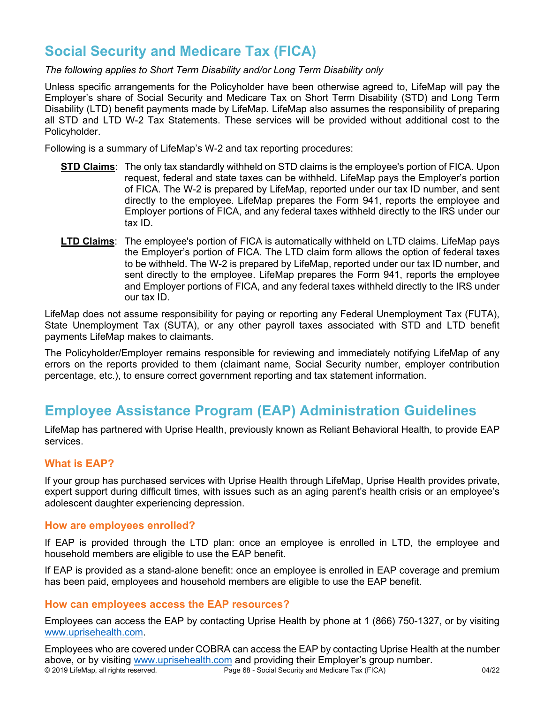# **Social Security and Medicare Tax (FICA)**

#### *The following applies to Short Term Disability and/or Long Term Disability only*

Unless specific arrangements for the Policyholder have been otherwise agreed to, LifeMap will pay the Employer's share of Social Security and Medicare Tax on Short Term Disability (STD) and Long Term Disability (LTD) benefit payments made by LifeMap. LifeMap also assumes the responsibility of preparing all STD and LTD W-2 Tax Statements. These services will be provided without additional cost to the Policyholder.

Following is a summary of LifeMap's W-2 and tax reporting procedures:

- **STD Claims**: The only tax standardly withheld on STD claims is the employee's portion of FICA. Upon request, federal and state taxes can be withheld. LifeMap pays the Employer's portion of FICA. The W-2 is prepared by LifeMap, reported under our tax ID number, and sent directly to the employee. LifeMap prepares the Form 941, reports the employee and Employer portions of FICA, and any federal taxes withheld directly to the IRS under our tax ID.
- **LTD Claims**: The employee's portion of FICA is automatically withheld on LTD claims. LifeMap pays the Employer's portion of FICA. The LTD claim form allows the option of federal taxes to be withheld. The W-2 is prepared by LifeMap, reported under our tax ID number, and sent directly to the employee. LifeMap prepares the Form 941, reports the employee and Employer portions of FICA, and any federal taxes withheld directly to the IRS under our tax ID.

LifeMap does not assume responsibility for paying or reporting any Federal Unemployment Tax (FUTA), State Unemployment Tax (SUTA), or any other payroll taxes associated with STD and LTD benefit payments LifeMap makes to claimants.

The Policyholder/Employer remains responsible for reviewing and immediately notifying LifeMap of any errors on the reports provided to them (claimant name, Social Security number, employer contribution percentage, etc.), to ensure correct government reporting and tax statement information.

# **Employee Assistance Program (EAP) Administration Guidelines**

LifeMap has partnered with Uprise Health, previously known as Reliant Behavioral Health, to provide EAP services.

# **What is EAP?**

If your group has purchased services with Uprise Health through LifeMap, Uprise Health provides private, expert support during difficult times, with issues such as an aging parent's health crisis or an employee's adolescent daughter experiencing depression.

#### **How are employees enrolled?**

If EAP is provided through the LTD plan: once an employee is enrolled in LTD, the employee and household members are eligible to use the EAP benefit.

If EAP is provided as a stand-alone benefit: once an employee is enrolled in EAP coverage and premium has been paid, employees and household members are eligible to use the EAP benefit.

#### **How can employees access the EAP resources?**

Employees can access the EAP by contacting Uprise Health by phone at 1 (866) 750-1327, or by visiting [www.uprisehealth.com.](http://www.uprisehealth.com/)

© 2019 LifeMap, all rights reserved. Page 68 - Social Security and Medicare Tax (FICA) 04/22 Employees who are covered under COBRA can access the EAP by contacting Uprise Health at the number above, or by visiting [www.uprisehealth.com](http://www.uprisehealth.com/) and providing their Employer's group number.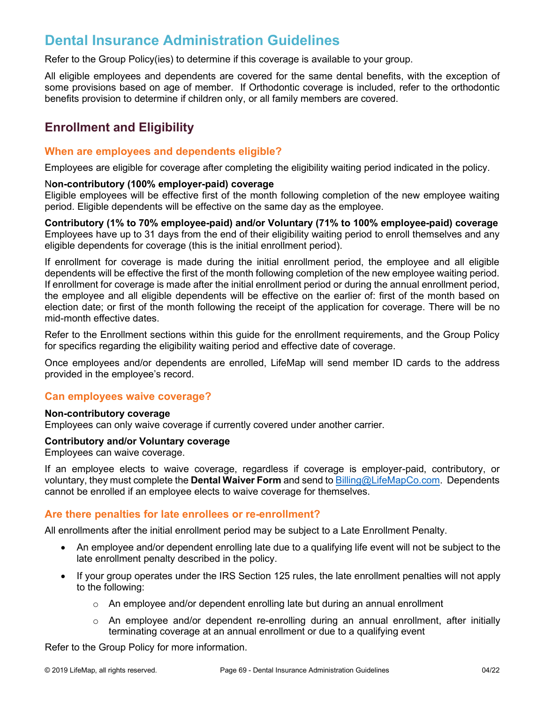# **Dental Insurance Administration Guidelines**

Refer to the Group Policy(ies) to determine if this coverage is available to your group.

All eligible employees and dependents are covered for the same dental benefits, with the exception of some provisions based on age of member. If Orthodontic coverage is included, refer to the orthodontic benefits provision to determine if children only, or all family members are covered.

# **Enrollment and Eligibility**

## **When are employees and dependents eligible?**

Employees are eligible for coverage after completing the eligibility waiting period indicated in the policy.

#### N**on-contributory (100% employer-paid) coverage**

Eligible employees will be effective first of the month following completion of the new employee waiting period. Eligible dependents will be effective on the same day as the employee.

**Contributory (1% to 70% employee-paid) and/or Voluntary (71% to 100% employee-paid) coverage** Employees have up to 31 days from the end of their eligibility waiting period to enroll themselves and any eligible dependents for coverage (this is the initial enrollment period).

If enrollment for coverage is made during the initial enrollment period, the employee and all eligible dependents will be effective the first of the month following completion of the new employee waiting period. If enrollment for coverage is made after the initial enrollment period or during the annual enrollment period, the employee and all eligible dependents will be effective on the earlier of: first of the month based on election date; or first of the month following the receipt of the application for coverage. There will be no mid-month effective dates.

Refer to the Enrollment sections within this guide for the enrollment requirements, and the Group Policy for specifics regarding the eligibility waiting period and effective date of coverage.

Once employees and/or dependents are enrolled, LifeMap will send member ID cards to the address provided in the employee's record.

#### **Can employees waive coverage?**

#### **Non-contributory coverage**

Employees can only waive coverage if currently covered under another carrier.

#### **Contributory and/or Voluntary coverage**

Employees can waive coverage.

If an employee elects to waive coverage, regardless if coverage is employer-paid, contributory, or voluntary, they must complete the **Dental Waiver Form** and send t[o Billing@LifeMapCo.com.](mailto:Billing@LifeMapCo.com) Dependents cannot be enrolled if an employee elects to waive coverage for themselves.

# **Are there penalties for late enrollees or re-enrollment?**

All enrollments after the initial enrollment period may be subject to a Late Enrollment Penalty.

- An employee and/or dependent enrolling late due to a qualifying life event will not be subject to the late enrollment penalty described in the policy.
- If your group operates under the IRS Section 125 rules, the late enrollment penalties will not apply to the following:
	- $\circ$  An employee and/or dependent enrolling late but during an annual enrollment
	- o An employee and/or dependent re-enrolling during an annual enrollment, after initially terminating coverage at an annual enrollment or due to a qualifying event

Refer to the Group Policy for more information.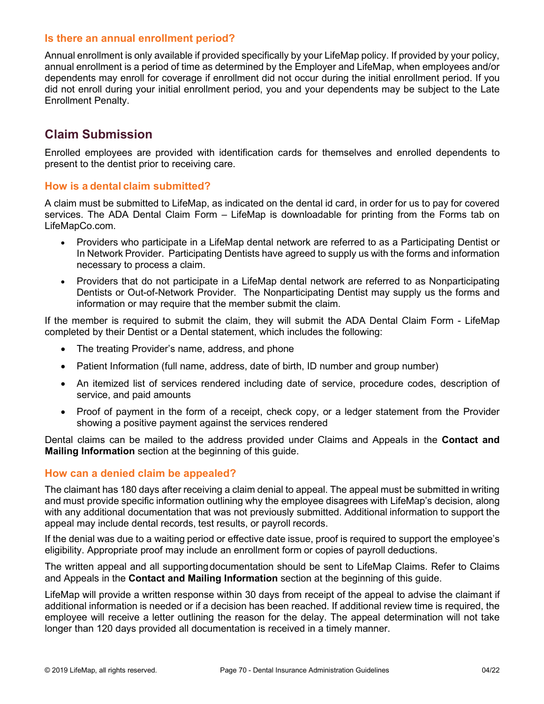### **Is there an annual enrollment period?**

Annual enrollment is only available if provided specifically by your LifeMap policy. If provided by your policy, annual enrollment is a period of time as determined by the Employer and LifeMap, when employees and/or dependents may enroll for coverage if enrollment did not occur during the initial enrollment period. If you did not enroll during your initial enrollment period, you and your dependents may be subject to the Late Enrollment Penalty.

# **Claim Submission**

Enrolled employees are provided with identification cards for themselves and enrolled dependents to present to the dentist prior to receiving care.

### **How is a dental claim submitted?**

A claim must be submitted to LifeMap, as indicated on the dental id card, in order for us to pay for covered services. The ADA Dental Claim Form – LifeMap is downloadable for printing from the Forms tab on LifeMapCo.com.

- Providers who participate in a LifeMap dental network are referred to as a Participating Dentist or In Network Provider. Participating Dentists have agreed to supply us with the forms and information necessary to process a claim.
- Providers that do not participate in a LifeMap dental network are referred to as Nonparticipating Dentists or Out-of-Network Provider. The Nonparticipating Dentist may supply us the forms and information or may require that the member submit the claim.

If the member is required to submit the claim, they will submit the ADA Dental Claim Form - LifeMap completed by their Dentist or a Dental statement, which includes the following:

- The treating Provider's name, address, and phone
- Patient Information (full name, address, date of birth, ID number and group number)
- An itemized list of services rendered including date of service, procedure codes, description of service, and paid amounts
- Proof of payment in the form of a receipt, check copy, or a ledger statement from the Provider showing a positive payment against the services rendered

Dental claims can be mailed to the address provided under Claims and Appeals in the **Contact and Mailing Information** section at the beginning of this guide.

# **How can a denied claim be appealed?**

The claimant has 180 days after receiving a claim denial to appeal. The appeal must be submitted in writing and must provide specific information outlining why the employee disagrees with LifeMap's decision, along with any additional documentation that was not previously submitted. Additional information to support the appeal may include dental records, test results, or payroll records.

If the denial was due to a waiting period or effective date issue, proof is required to support the employee's eligibility. Appropriate proof may include an enrollment form or copies of payroll deductions.

The written appeal and all supportingdocumentation should be sent to LifeMap Claims. Refer to Claims and Appeals in the **Contact and Mailing Information** section at the beginning of this guide.

LifeMap will provide a written response within 30 days from receipt of the appeal to advise the claimant if additional information is needed or if a decision has been reached. If additional review time is required, the employee will receive a letter outlining the reason for the delay. The appeal determination will not take longer than 120 days provided all documentation is received in a timely manner.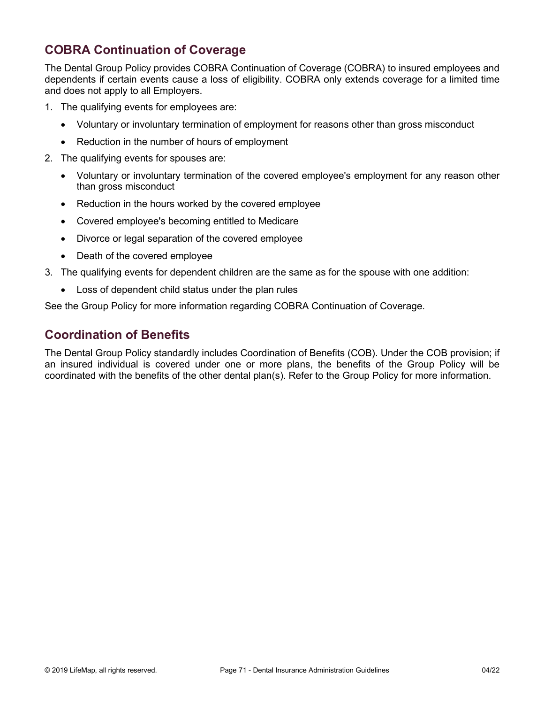# **COBRA Continuation of Coverage**

The Dental Group Policy provides COBRA Continuation of Coverage (COBRA) to insured employees and dependents if certain events cause a loss of eligibility. COBRA only extends coverage for a limited time and does not apply to all Employers.

- 1. The qualifying events for employees are:
	- Voluntary or involuntary termination of employment for reasons other than gross misconduct
	- Reduction in the number of hours of employment
- 2. The qualifying events for spouses are:
	- Voluntary or involuntary termination of the covered employee's employment for any reason other than gross misconduct
	- Reduction in the hours worked by the covered employee
	- Covered employee's becoming entitled to Medicare
	- Divorce or legal separation of the covered employee
	- Death of the covered employee
- 3. The qualifying events for dependent children are the same as for the spouse with one addition:
	- Loss of dependent child status under the plan rules

See the Group Policy for more information regarding COBRA Continuation of Coverage.

# **Coordination of Benefits**

The Dental Group Policy standardly includes Coordination of Benefits (COB). Under the COB provision; if an insured individual is covered under one or more plans, the benefits of the Group Policy will be coordinated with the benefits of the other dental plan(s). Refer to the Group Policy for more information.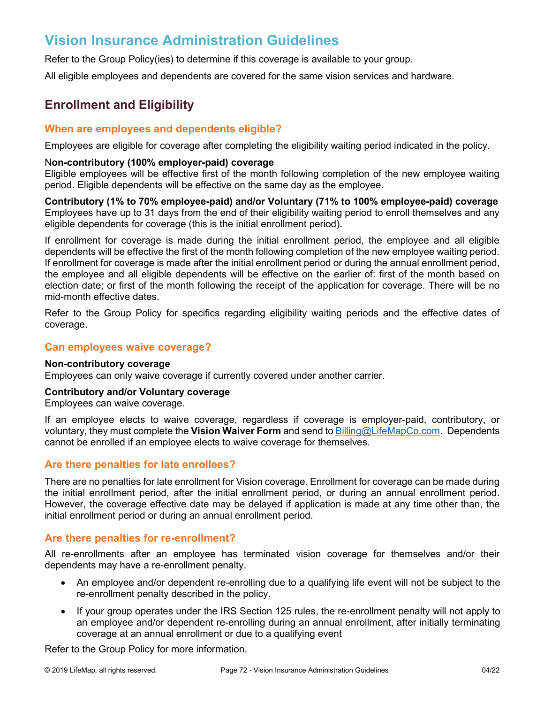# **Vision Insurance Administration Guidelines**

Refer to the Group Policy(ies) to determine if this coverage is available to your group.

All eligible employees and dependents are covered for the same vision services and hardware.

# **Enrollment and Eligibility**

### **When are employees and dependents eligible?**

Employees are eligible for coverage after completing the eligibility waiting period indicated in the policy.

#### N**on-contributory (100% employer-paid) coverage**

Eligible employees will be effective first of the month following completion of the new employee waiting period. Eligible dependents will be effective on the same day as the employee.

**Contributory (1% to 70% employee-paid) and/or Voluntary (71% to 100% employee-paid) coverage** Employees have up to 31 days from the end of their eligibility waiting period to enroll themselves and any eligible dependents for coverage (this is the initial enrollment period).

If enrollment for coverage is made during the initial enrollment period, the employee and all eligible dependents will be effective the first of the month following completion of the new employee waiting period. If enrollment for coverage is made after the initial enrollment period or during the annual enrollment period, the employee and all eligible dependents will be effective on the earlier of: first of the month based on election date; or first of the month following the receipt of the application for coverage. There will be no mid-month effective dates.

Refer to the Group Policy for specifics regarding eligibility waiting periods and the effective dates of coverage.

# **Can employees waive coverage?**

#### **Non-contributory coverage**

Employees can only waive coverage if currently covered under another carrier.

#### **Contributory and/or Voluntary coverage**

Employees can waive coverage.

If an employee elects to waive coverage, regardless if coverage is employer-paid, contributory, or voluntary, they must complete the **Vision Waiver Form** and send t[o Billing@LifeMapCo.com.](mailto:Billing@LifeMapCo.com) Dependents cannot be enrolled if an employee elects to waive coverage for themselves.

# **Are there penalties for late enrollees?**

There are no penalties for late enrollment for Vision coverage. Enrollment for coverage can be made during the initial enrollment period, after the initial enrollment period, or during an annual enrollment period. However, the coverage effective date may be delayed if application is made at any time other than, the initial enrollment period or during an annual enrollment period.

# **Are there penalties for re-enrollment?**

All re-enrollments after an employee has terminated vision coverage for themselves and/or their dependents may have a re-enrollment penalty.

- An employee and/or dependent re-enrolling due to a qualifying life event will not be subject to the re-enrollment penalty described in the policy.
- If your group operates under the IRS Section 125 rules, the re-enrollment penalty will not apply to an employee and/or dependent re-enrolling during an annual enrollment, after initially terminating coverage at an annual enrollment or due to a qualifying event

Refer to the Group Policy for more information.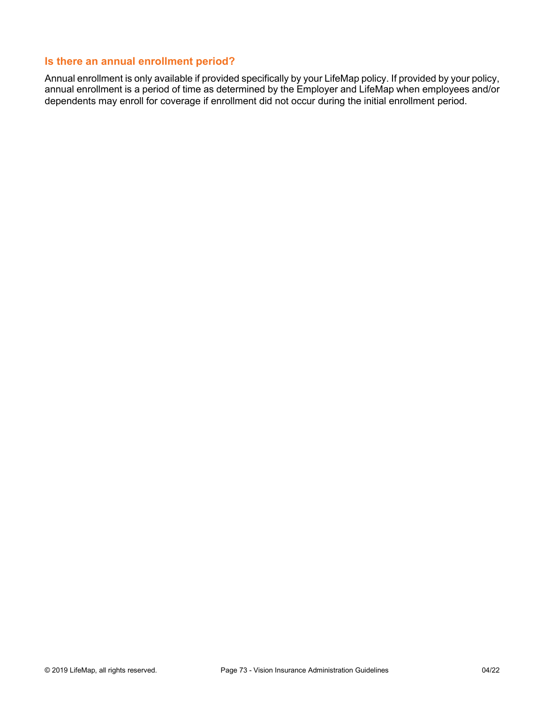### **Is there an annual enrollment period?**

Annual enrollment is only available if provided specifically by your LifeMap policy. If provided by your policy, annual enrollment is a period of time as determined by the Employer and LifeMap when employees and/or dependents may enroll for coverage if enrollment did not occur during the initial enrollment period.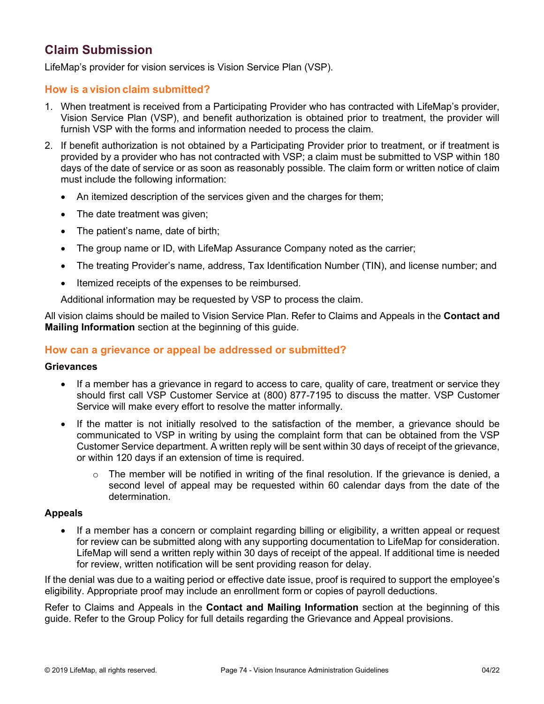# **Claim Submission**

LifeMap's provider for vision services is Vision Service Plan (VSP).

### **How is a vision claim submitted?**

- 1. When treatment is received from a Participating Provider who has contracted with LifeMap's provider, Vision Service Plan (VSP), and benefit authorization is obtained prior to treatment, the provider will furnish VSP with the forms and information needed to process the claim.
- 2. If benefit authorization is not obtained by a Participating Provider prior to treatment, or if treatment is provided by a provider who has not contracted with VSP; a claim must be submitted to VSP within 180 days of the date of service or as soon as reasonably possible. The claim form or written notice of claim must include the following information:
	- An itemized description of the services given and the charges for them;
	- The date treatment was given;
	- The patient's name, date of birth;
	- The group name or ID, with LifeMap Assurance Company noted as the carrier;
	- The treating Provider's name, address, Tax Identification Number (TIN), and license number; and
	- Itemized receipts of the expenses to be reimbursed.

Additional information may be requested by VSP to process the claim.

All vision claims should be mailed to Vision Service Plan. Refer to Claims and Appeals in the **Contact and Mailing Information** section at the beginning of this guide.

#### **How can a grievance or appeal be addressed or submitted?**

#### **Grievances**

- If a member has a grievance in regard to access to care, quality of care, treatment or service they should first call VSP Customer Service at (800) 877-7195 to discuss the matter. VSP Customer Service will make every effort to resolve the matter informally.
- If the matter is not initially resolved to the satisfaction of the member, a grievance should be communicated to VSP in writing by using the complaint form that can be obtained from the VSP Customer Service department. A written reply will be sent within 30 days of receipt of the grievance, or within 120 days if an extension of time is required.
	- $\circ$  The member will be notified in writing of the final resolution. If the grievance is denied, a second level of appeal may be requested within 60 calendar days from the date of the determination.

#### **Appeals**

• If a member has a concern or complaint regarding billing or eligibility, a written appeal or request for review can be submitted along with any supporting documentation to LifeMap for consideration. LifeMap will send a written reply within 30 days of receipt of the appeal. If additional time is needed for review, written notification will be sent providing reason for delay.

If the denial was due to a waiting period or effective date issue, proof is required to support the employee's eligibility. Appropriate proof may include an enrollment form or copies of payroll deductions.

Refer to Claims and Appeals in the **Contact and Mailing Information** section at the beginning of this guide. Refer to the Group Policy for full details regarding the Grievance and Appeal provisions.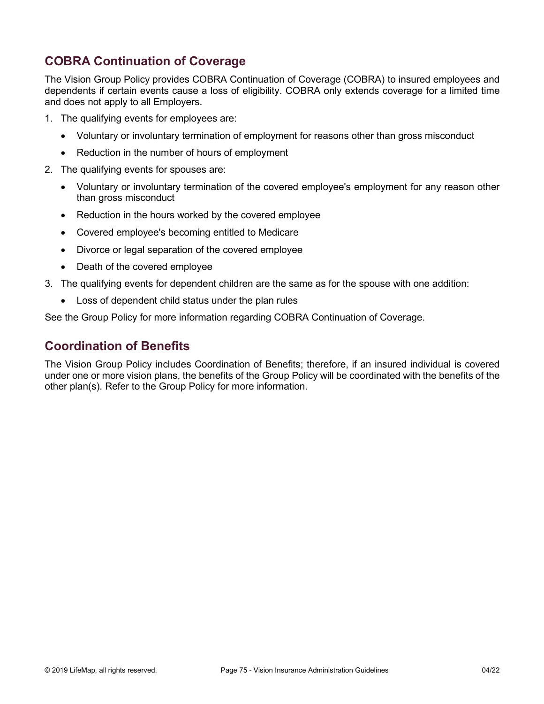# **COBRA Continuation of Coverage**

The Vision Group Policy provides COBRA Continuation of Coverage (COBRA) to insured employees and dependents if certain events cause a loss of eligibility. COBRA only extends coverage for a limited time and does not apply to all Employers.

- 1. The qualifying events for employees are:
	- Voluntary or involuntary termination of employment for reasons other than gross misconduct
	- Reduction in the number of hours of employment
- 2. The qualifying events for spouses are:
	- Voluntary or involuntary termination of the covered employee's employment for any reason other than gross misconduct
	- Reduction in the hours worked by the covered employee
	- Covered employee's becoming entitled to Medicare
	- Divorce or legal separation of the covered employee
	- Death of the covered employee
- 3. The qualifying events for dependent children are the same as for the spouse with one addition:
	- Loss of dependent child status under the plan rules

See the Group Policy for more information regarding COBRA Continuation of Coverage.

## **Coordination of Benefits**

The Vision Group Policy includes Coordination of Benefits; therefore, if an insured individual is covered under one or more vision plans, the benefits of the Group Policy will be coordinated with the benefits of the other plan(s). Refer to the Group Policy for more information.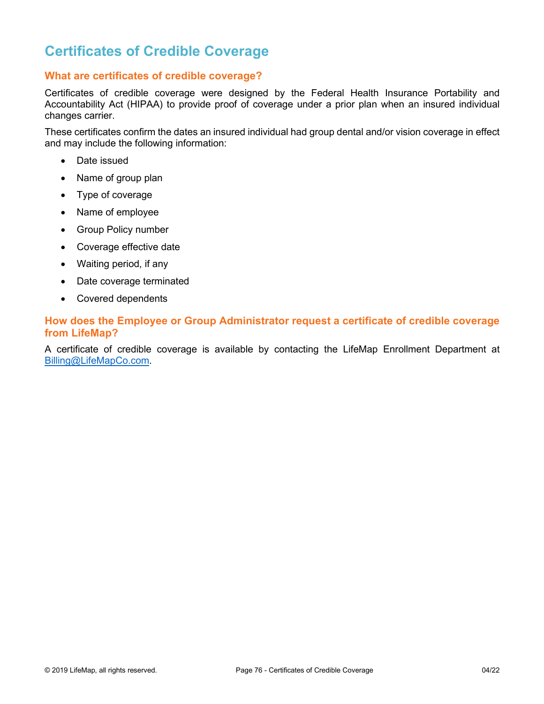# **Certificates of Credible Coverage**

### **What are certificates of credible coverage?**

Certificates of credible coverage were designed by the Federal Health Insurance Portability and Accountability Act (HIPAA) to provide proof of coverage under a prior plan when an insured individual changes carrier.

These certificates confirm the dates an insured individual had group dental and/or vision coverage in effect and may include the following information:

- Date issued
- Name of group plan
- Type of coverage
- Name of employee
- Group Policy number
- Coverage effective date
- Waiting period, if any
- Date coverage terminated
- Covered dependents

### **How does the Employee or Group Administrator request a certificate of credible coverage from LifeMap?**

A certificate of credible coverage is available by contacting the LifeMap Enrollment Department at [Billing@LifeMapCo.com.](mailto:Billing@LifeMapCo.com)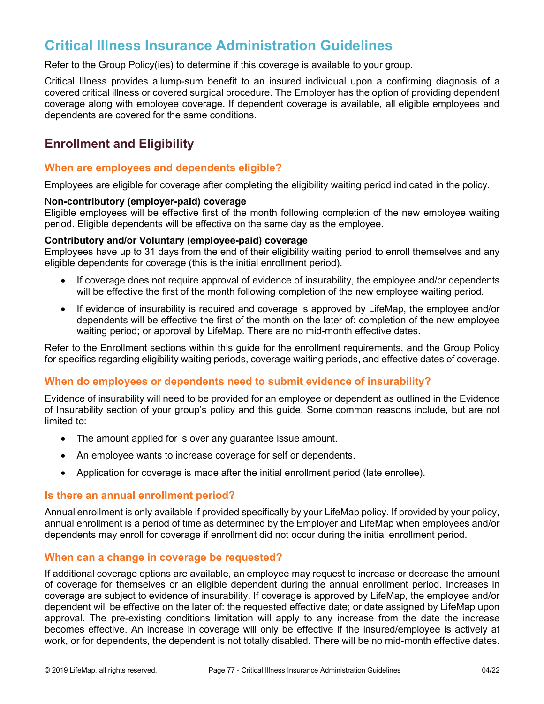# **Critical Illness Insurance Administration Guidelines**

Refer to the Group Policy(ies) to determine if this coverage is available to your group.

Critical Illness provides a lump-sum benefit to an insured individual upon a confirming diagnosis of a covered critical illness or covered surgical procedure. The Employer has the option of providing dependent coverage along with employee coverage. If dependent coverage is available, all eligible employees and dependents are covered for the same conditions.

# **Enrollment and Eligibility**

### **When are employees and dependents eligible?**

Employees are eligible for coverage after completing the eligibility waiting period indicated in the policy.

#### N**on-contributory (employer-paid) coverage**

Eligible employees will be effective first of the month following completion of the new employee waiting period. Eligible dependents will be effective on the same day as the employee.

#### **Contributory and/or Voluntary (employee-paid) coverage**

Employees have up to 31 days from the end of their eligibility waiting period to enroll themselves and any eligible dependents for coverage (this is the initial enrollment period).

- If coverage does not require approval of evidence of insurability, the employee and/or dependents will be effective the first of the month following completion of the new employee waiting period.
- If evidence of insurability is required and coverage is approved by LifeMap, the employee and/or dependents will be effective the first of the month on the later of: completion of the new employee waiting period; or approval by LifeMap. There are no mid-month effective dates.

Refer to the Enrollment sections within this guide for the enrollment requirements, and the Group Policy for specifics regarding eligibility waiting periods, coverage waiting periods, and effective dates of coverage.

### **When do employees or dependents need to submit evidence of insurability?**

Evidence of insurability will need to be provided for an employee or dependent as outlined in the Evidence of Insurability section of your group's policy and this guide. Some common reasons include, but are not limited to:

- The amount applied for is over any guarantee issue amount.
- An employee wants to increase coverage for self or dependents.
- Application for coverage is made after the initial enrollment period (late enrollee).

#### **Is there an annual enrollment period?**

Annual enrollment is only available if provided specifically by your LifeMap policy. If provided by your policy, annual enrollment is a period of time as determined by the Employer and LifeMap when employees and/or dependents may enroll for coverage if enrollment did not occur during the initial enrollment period.

#### **When can a change in coverage be requested?**

If additional coverage options are available, an employee may request to increase or decrease the amount of coverage for themselves or an eligible dependent during the annual enrollment period. Increases in coverage are subject to evidence of insurability. If coverage is approved by LifeMap, the employee and/or dependent will be effective on the later of: the requested effective date; or date assigned by LifeMap upon approval. The pre-existing conditions limitation will apply to any increase from the date the increase becomes effective. An increase in coverage will only be effective if the insured/employee is actively at work, or for dependents, the dependent is not totally disabled. There will be no mid-month effective dates.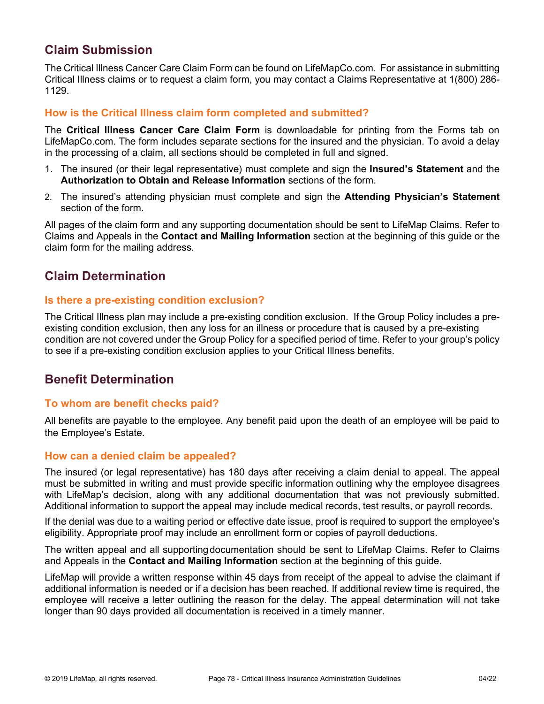# **Claim Submission**

The Critical Illness Cancer Care Claim Form can be found on LifeMapCo.com. For assistance in submitting Critical Illness claims or to request a claim form, you may contact a Claims Representative at 1(800) 286- 1129.

### **How is the Critical Illness claim form completed and submitted?**

The **Critical Illness Cancer Care Claim Form** is downloadable for printing from the Forms tab on LifeMapCo.com. The form includes separate sections for the insured and the physician. To avoid a delay in the processing of a claim, all sections should be completed in full and signed.

- 1. The insured (or their legal representative) must complete and sign the **Insured's Statement** and the **Authorization to Obtain and Release Information** sections of the form.
- 2. The insured's attending physician must complete and sign the **Attending Physician's Statement** section of the form.

All pages of the claim form and any supporting documentation should be sent to LifeMap Claims. Refer to Claims and Appeals in the **Contact and Mailing Information** section at the beginning of this guide or the claim form for the mailing address.

# **Claim Determination**

### **Is there a pre-existing condition exclusion?**

The Critical Illness plan may include a pre-existing condition exclusion. If the Group Policy includes a preexisting condition exclusion, then any loss for an illness or procedure that is caused by a pre-existing condition are not covered under the Group Policy for a specified period of time. Refer to your group's policy to see if a pre-existing condition exclusion applies to your Critical Illness benefits.

## **Benefit Determination**

#### **To whom are benefit checks paid?**

All benefits are payable to the employee. Any benefit paid upon the death of an employee will be paid to the Employee's Estate.

#### **How can a denied claim be appealed?**

The insured (or legal representative) has 180 days after receiving a claim denial to appeal. The appeal must be submitted in writing and must provide specific information outlining why the employee disagrees with LifeMap's decision, along with any additional documentation that was not previously submitted. Additional information to support the appeal may include medical records, test results, or payroll records.

If the denial was due to a waiting period or effective date issue, proof is required to support the employee's eligibility. Appropriate proof may include an enrollment form or copies of payroll deductions.

The written appeal and all supportingdocumentation should be sent to LifeMap Claims. Refer to Claims and Appeals in the **Contact and Mailing Information** section at the beginning of this guide.

LifeMap will provide a written response within 45 days from receipt of the appeal to advise the claimant if additional information is needed or if a decision has been reached. If additional review time is required, the employee will receive a letter outlining the reason for the delay. The appeal determination will not take longer than 90 days provided all documentation is received in a timely manner.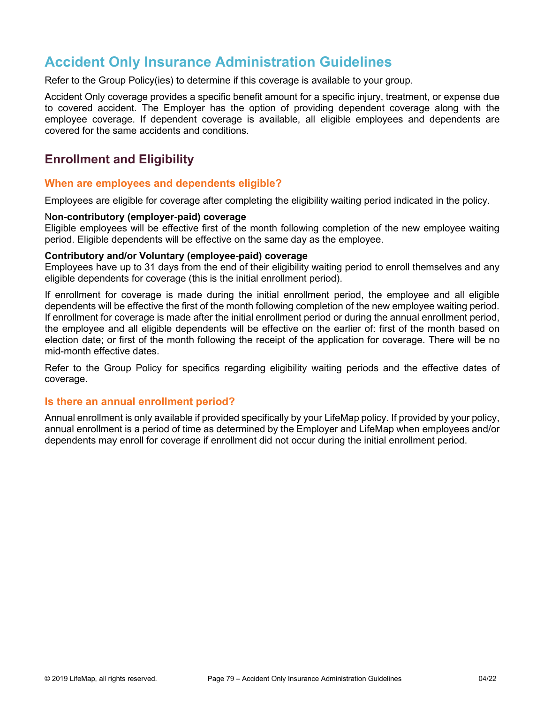# **Accident Only Insurance Administration Guidelines**

Refer to the Group Policy(ies) to determine if this coverage is available to your group.

Accident Only coverage provides a specific benefit amount for a specific injury, treatment, or expense due to covered accident. The Employer has the option of providing dependent coverage along with the employee coverage. If dependent coverage is available, all eligible employees and dependents are covered for the same accidents and conditions.

## **Enrollment and Eligibility**

#### **When are employees and dependents eligible?**

Employees are eligible for coverage after completing the eligibility waiting period indicated in the policy.

#### N**on-contributory (employer-paid) coverage**

Eligible employees will be effective first of the month following completion of the new employee waiting period. Eligible dependents will be effective on the same day as the employee.

#### **Contributory and/or Voluntary (employee-paid) coverage**

Employees have up to 31 days from the end of their eligibility waiting period to enroll themselves and any eligible dependents for coverage (this is the initial enrollment period).

If enrollment for coverage is made during the initial enrollment period, the employee and all eligible dependents will be effective the first of the month following completion of the new employee waiting period. If enrollment for coverage is made after the initial enrollment period or during the annual enrollment period, the employee and all eligible dependents will be effective on the earlier of: first of the month based on election date; or first of the month following the receipt of the application for coverage. There will be no mid-month effective dates.

Refer to the Group Policy for specifics regarding eligibility waiting periods and the effective dates of coverage.

#### **Is there an annual enrollment period?**

Annual enrollment is only available if provided specifically by your LifeMap policy. If provided by your policy, annual enrollment is a period of time as determined by the Employer and LifeMap when employees and/or dependents may enroll for coverage if enrollment did not occur during the initial enrollment period.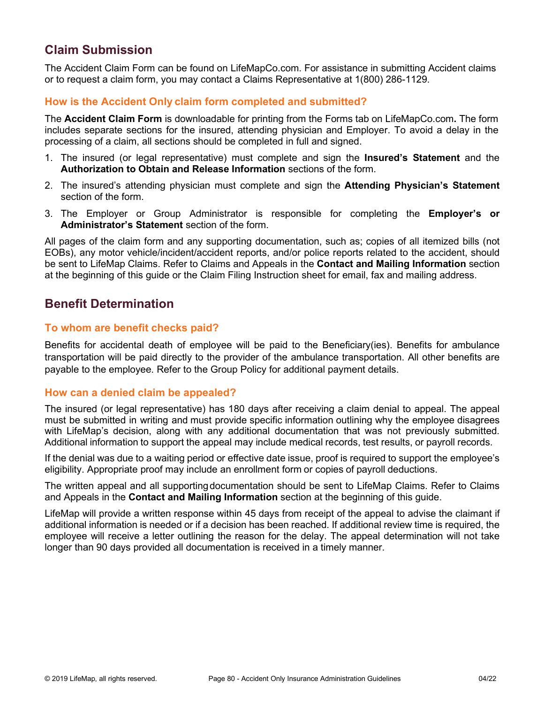# **Claim Submission**

The Accident Claim Form can be found on LifeMapCo.com. For assistance in submitting Accident claims or to request a claim form, you may contact a Claims Representative at 1(800) 286-1129.

### **How is the Accident Only claim form completed and submitted?**

The **Accident Claim Form** is downloadable for printing from the Forms tab on LifeMapCo.com**.** The form includes separate sections for the insured, attending physician and Employer. To avoid a delay in the processing of a claim, all sections should be completed in full and signed.

- 1. The insured (or legal representative) must complete and sign the **Insured's Statement** and the **Authorization to Obtain and Release Information** sections of the form.
- 2. The insured's attending physician must complete and sign the **Attending Physician's Statement** section of the form.
- 3. The Employer or Group Administrator is responsible for completing the **Employer's or Administrator's Statement** section of the form.

All pages of the claim form and any supporting documentation, such as; copies of all itemized bills (not EOBs), any motor vehicle/incident/accident reports, and/or police reports related to the accident, should be sent to LifeMap Claims. Refer to Claims and Appeals in the **Contact and Mailing Information** section at the beginning of this guide or the Claim Filing Instruction sheet for email, fax and mailing address.

## **Benefit Determination**

### **To whom are benefit checks paid?**

Benefits for accidental death of employee will be paid to the Beneficiary(ies). Benefits for ambulance transportation will be paid directly to the provider of the ambulance transportation. All other benefits are payable to the employee. Refer to the Group Policy for additional payment details.

#### **How can a denied claim be appealed?**

The insured (or legal representative) has 180 days after receiving a claim denial to appeal. The appeal must be submitted in writing and must provide specific information outlining why the employee disagrees with LifeMap's decision, along with any additional documentation that was not previously submitted. Additional information to support the appeal may include medical records, test results, or payroll records.

If the denial was due to a waiting period or effective date issue, proof is required to support the employee's eligibility. Appropriate proof may include an enrollment form or copies of payroll deductions.

The written appeal and all supportingdocumentation should be sent to LifeMap Claims. Refer to Claims and Appeals in the **Contact and Mailing Information** section at the beginning of this guide.

LifeMap will provide a written response within 45 days from receipt of the appeal to advise the claimant if additional information is needed or if a decision has been reached. If additional review time is required, the employee will receive a letter outlining the reason for the delay. The appeal determination will not take longer than 90 days provided all documentation is received in a timely manner.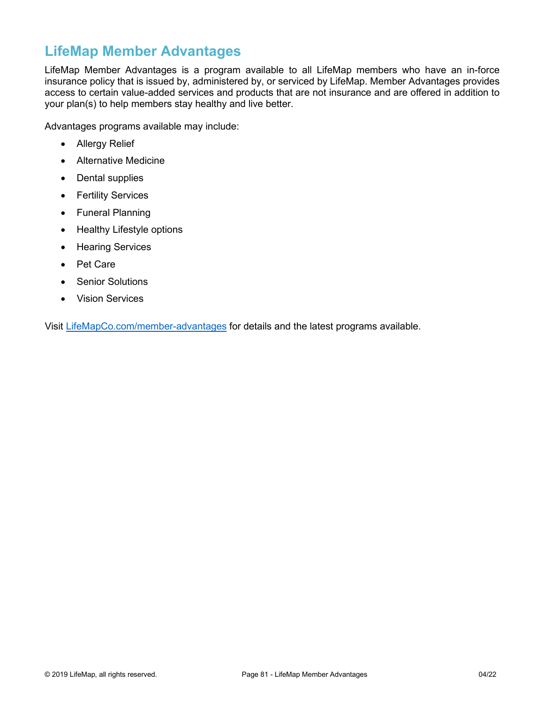# **LifeMap Member Advantages**

LifeMap Member Advantages is a program available to all LifeMap members who have an in-force insurance policy that is issued by, administered by, or serviced by LifeMap. Member Advantages provides access to certain value-added services and products that are not insurance and are offered in addition to your plan(s) to help members stay healthy and live better.

Advantages programs available may include:

- Allergy Relief
- Alternative Medicine
- Dental supplies
- Fertility Services
- Funeral Planning
- Healthy Lifestyle options
- Hearing Services
- Pet Care
- Senior Solutions
- Vision Services

Visit [LifeMapCo.com/member-advantages](https://lifemapco.com/member-advantages) for details and the latest programs available.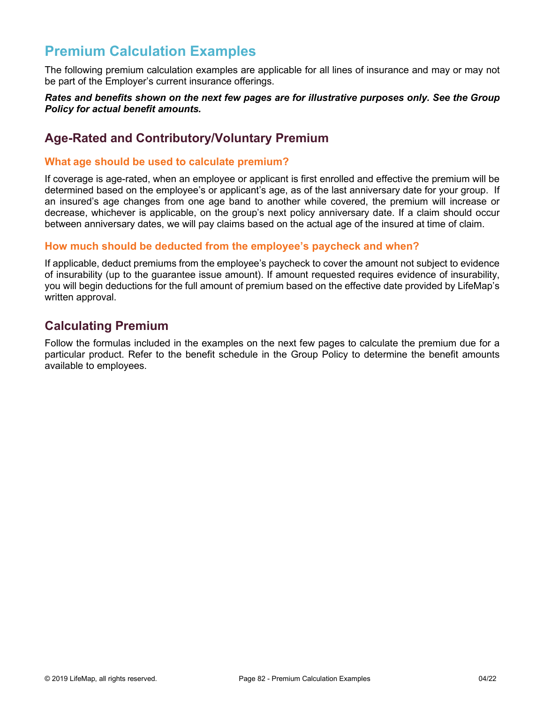# **Premium Calculation Examples**

The following premium calculation examples are applicable for all lines of insurance and may or may not be part of the Employer's current insurance offerings.

#### *Rates and benefits shown on the next few pages are for illustrative purposes only. See the Group Policy for actual benefit amounts.*

# **Age-Rated and Contributory/Voluntary Premium**

### **What age should be used to calculate premium?**

If coverage is age-rated, when an employee or applicant is first enrolled and effective the premium will be determined based on the employee's or applicant's age, as of the last anniversary date for your group. If an insured's age changes from one age band to another while covered, the premium will increase or decrease, whichever is applicable, on the group's next policy anniversary date. If a claim should occur between anniversary dates, we will pay claims based on the actual age of the insured at time of claim.

### **How much should be deducted from the employee's paycheck and when?**

If applicable, deduct premiums from the employee's paycheck to cover the amount not subject to evidence of insurability (up to the guarantee issue amount). If amount requested requires evidence of insurability, you will begin deductions for the full amount of premium based on the effective date provided by LifeMap's written approval.

# **Calculating Premium**

Follow the formulas included in the examples on the next few pages to calculate the premium due for a particular product. Refer to the benefit schedule in the Group Policy to determine the benefit amounts available to employees.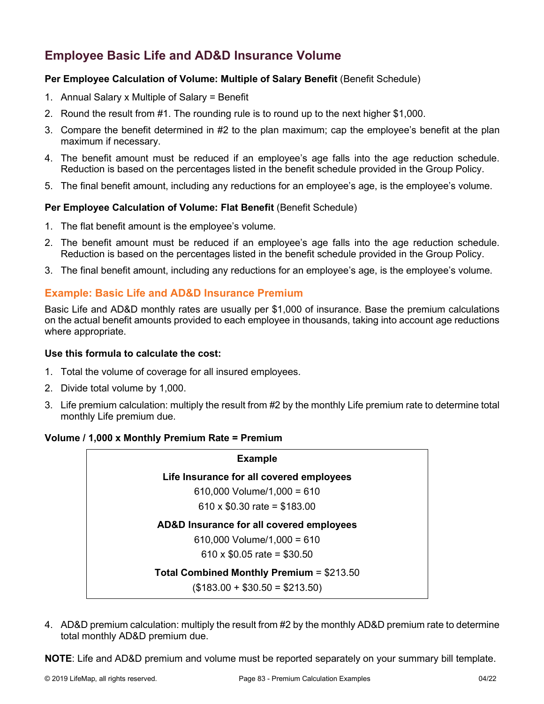# **Employee Basic Life and AD&D Insurance Volume**

### **Per Employee Calculation of Volume: Multiple of Salary Benefit** (Benefit Schedule)

- 1. Annual Salary x Multiple of Salary = Benefit
- 2. Round the result from #1. The rounding rule is to round up to the next higher \$1,000.
- 3. Compare the benefit determined in #2 to the plan maximum; cap the employee's benefit at the plan maximum if necessary.
- 4. The benefit amount must be reduced if an employee's age falls into the age reduction schedule. Reduction is based on the percentages listed in the benefit schedule provided in the Group Policy.
- 5. The final benefit amount, including any reductions for an employee's age, is the employee's volume.

#### **Per Employee Calculation of Volume: Flat Benefit** (Benefit Schedule)

- 1. The flat benefit amount is the employee's volume.
- 2. The benefit amount must be reduced if an employee's age falls into the age reduction schedule. Reduction is based on the percentages listed in the benefit schedule provided in the Group Policy.
- 3. The final benefit amount, including any reductions for an employee's age, is the employee's volume.

### **Example: Basic Life and AD&D Insurance Premium**

Basic Life and AD&D monthly rates are usually per \$1,000 of insurance. Base the premium calculations on the actual benefit amounts provided to each employee in thousands, taking into account age reductions where appropriate.

#### **Use this formula to calculate the cost:**

- 1. Total the volume of coverage for all insured employees.
- 2. Divide total volume by 1,000.
- 3. Life premium calculation: multiply the result from #2 by the monthly Life premium rate to determine total monthly Life premium due.

#### **Volume / 1,000 x Monthly Premium Rate = Premium**

| <b>Example</b>                                   |  |
|--------------------------------------------------|--|
| Life Insurance for all covered employees         |  |
| 610,000 Volume/1,000 = 610                       |  |
| 610 x $$0.30$ rate = $$183.00$                   |  |
| AD&D Insurance for all covered employees         |  |
| 610,000 Volume/1,000 = 610                       |  |
| 610 x \$0.05 rate = \$30.50                      |  |
| <b>Total Combined Monthly Premium = \$213.50</b> |  |
| $($183.00 + $30.50 = $213.50)$                   |  |

4. AD&D premium calculation: multiply the result from #2 by the monthly AD&D premium rate to determine total monthly AD&D premium due.

**NOTE**: Life and AD&D premium and volume must be reported separately on your summary bill template.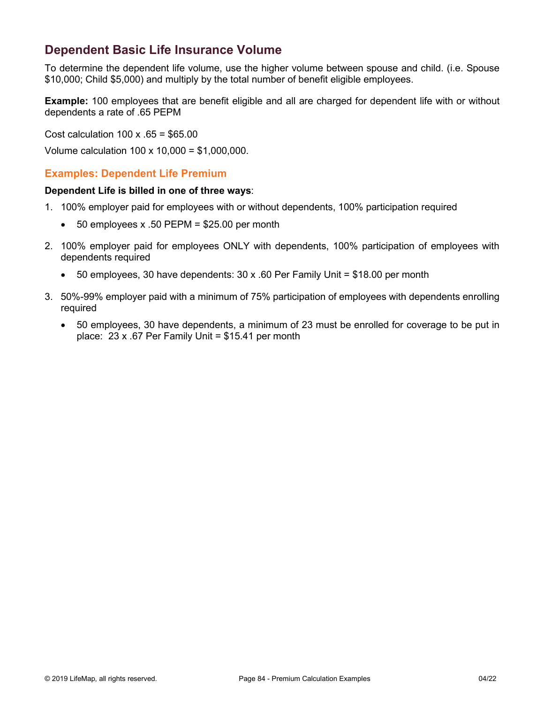# **Dependent Basic Life Insurance Volume**

To determine the dependent life volume, use the higher volume between spouse and child. (i.e. Spouse \$10,000; Child \$5,000) and multiply by the total number of benefit eligible employees.

**Example:** 100 employees that are benefit eligible and all are charged for dependent life with or without dependents a rate of .65 PEPM

Cost calculation 100 x .65 = \$65.00

Volume calculation 100 x 10,000 = \$1,000,000.

### **Examples: Dependent Life Premium**

#### **Dependent Life is billed in one of three ways**:

- 1. 100% employer paid for employees with or without dependents, 100% participation required
	- 50 employees x .50 PEPM = \$25.00 per month
- 2. 100% employer paid for employees ONLY with dependents, 100% participation of employees with dependents required
	- 50 employees, 30 have dependents:  $30 \times .60$  Per Family Unit = \$18.00 per month
- 3. 50%-99% employer paid with a minimum of 75% participation of employees with dependents enrolling required
	- 50 employees, 30 have dependents, a minimum of 23 must be enrolled for coverage to be put in place: 23 x .67 Per Family Unit = \$15.41 per month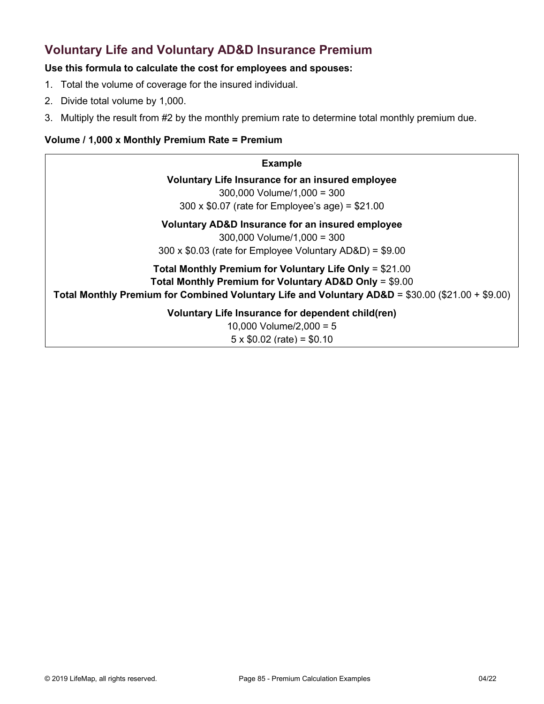# **Voluntary Life and Voluntary AD&D Insurance Premium**

### **Use this formula to calculate the cost for employees and spouses:**

- 1. Total the volume of coverage for the insured individual.
- 2. Divide total volume by 1,000.
- 3. Multiply the result from #2 by the monthly premium rate to determine total monthly premium due.

### **Volume / 1,000 x Monthly Premium Rate = Premium**

| <b>Example</b>                                                                                                                                                                                                          |
|-------------------------------------------------------------------------------------------------------------------------------------------------------------------------------------------------------------------------|
| Voluntary Life Insurance for an insured employee<br>$300,000$ Volume/1,000 = 300<br>300 x $$0.07$ (rate for Employee's age) = $$21.00$                                                                                  |
| Voluntary AD&D Insurance for an insured employee<br>$300,000$ Volume/1,000 = 300<br>$300 \times $0.03$ (rate for Employee Voluntary AD&D) = \$9.00                                                                      |
| Total Monthly Premium for Voluntary Life Only = $$21.00$<br>Total Monthly Premium for Voluntary AD&D Only = \$9.00<br>Total Monthly Premium for Combined Voluntary Life and Voluntary AD&D = \$30.00 (\$21.00 + \$9.00) |
| Voluntary Life Insurance for dependent child(ren)                                                                                                                                                                       |

10,000 Volume/2,000 = 5  $5 \times $0.02$  (rate) = \$0.10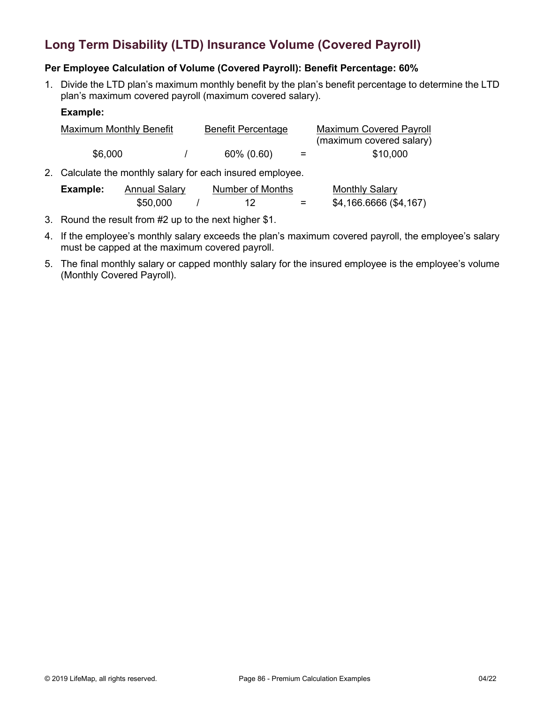# **Long Term Disability (LTD) Insurance Volume (Covered Payroll)**

### **Per Employee Calculation of Volume (Covered Payroll): Benefit Percentage: 60%**

1. Divide the LTD plan's maximum monthly benefit by the plan's benefit percentage to determine the LTD plan's maximum covered payroll (maximum covered salary).

#### **Example:**

| Maximum Monthly Benefit | <b>Benefit Percentage</b> |     | <b>Maximum Covered Payroll</b> |
|-------------------------|---------------------------|-----|--------------------------------|
|                         |                           |     | (maximum covered salary)       |
| \$6,000                 | 60% (0.60)                | $=$ | \$10,000                       |

2. Calculate the monthly salary for each insured employee.

| Example: | Annual Salary |  | Number of Months |  | <b>Monthly Salary</b>  |  |
|----------|---------------|--|------------------|--|------------------------|--|
|          | \$50,000      |  |                  |  | \$4,166.6666 (\$4,167) |  |

- 3. Round the result from #2 up to the next higher \$1.
- 4. If the employee's monthly salary exceeds the plan's maximum covered payroll, the employee's salary must be capped at the maximum covered payroll.
- 5. The final monthly salary or capped monthly salary for the insured employee is the employee's volume (Monthly Covered Payroll).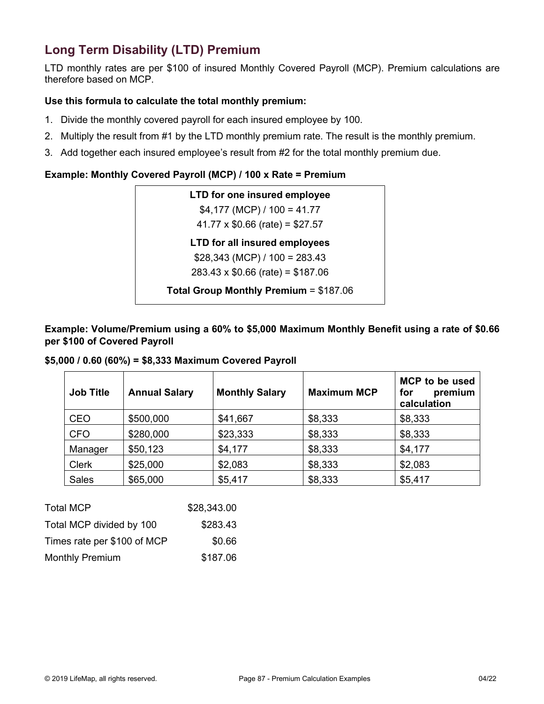# **Long Term Disability (LTD) Premium**

LTD monthly rates are per \$100 of insured Monthly Covered Payroll (MCP). Premium calculations are therefore based on MCP.

### **Use this formula to calculate the total monthly premium:**

- 1. Divide the monthly covered payroll for each insured employee by 100.
- 2. Multiply the result from #1 by the LTD monthly premium rate. The result is the monthly premium.
- 3. Add together each insured employee's result from #2 for the total monthly premium due.

### **Example: Monthly Covered Payroll (MCP) / 100 x Rate = Premium**

| LTD for one insured employee            |
|-----------------------------------------|
| $$4,177$ (MCP) / 100 = 41.77            |
| $41.77 \times $0.66$ (rate) = \$27.57   |
| LTD for all insured employees           |
| $$28,343 (MCP) / 100 = 283.43$          |
| $283.43 \times $0.66$ (rate) = \$187.06 |
| Total Group Monthly Premium = \$187.06  |

**Example: Volume/Premium using a 60% to \$5,000 Maximum Monthly Benefit using a rate of \$0.66 per \$100 of Covered Payroll**

#### **\$5,000 / 0.60 (60%) = \$8,333 Maximum Covered Payroll**

| <b>Job Title</b> | <b>Annual Salary</b> | <b>Monthly Salary</b> | <b>Maximum MCP</b> | <b>MCP</b> to be used<br>premium<br>for<br>calculation |
|------------------|----------------------|-----------------------|--------------------|--------------------------------------------------------|
| <b>CEO</b>       | \$500,000            | \$41,667              | \$8,333            | \$8,333                                                |
| <b>CFO</b>       | \$280,000            | \$23,333              | \$8,333            | \$8,333                                                |
| Manager          | \$50,123             | \$4,177               | \$8,333            | \$4,177                                                |
| <b>Clerk</b>     | \$25,000             | \$2,083               | \$8,333            | \$2,083                                                |
| <b>Sales</b>     | \$65,000             | \$5,417               | \$8,333            | \$5,417                                                |

| <b>Total MCP</b>            | \$28,343.00 |
|-----------------------------|-------------|
| Total MCP divided by 100    | \$283.43    |
| Times rate per \$100 of MCP | \$0.66      |
| <b>Monthly Premium</b>      | \$187.06    |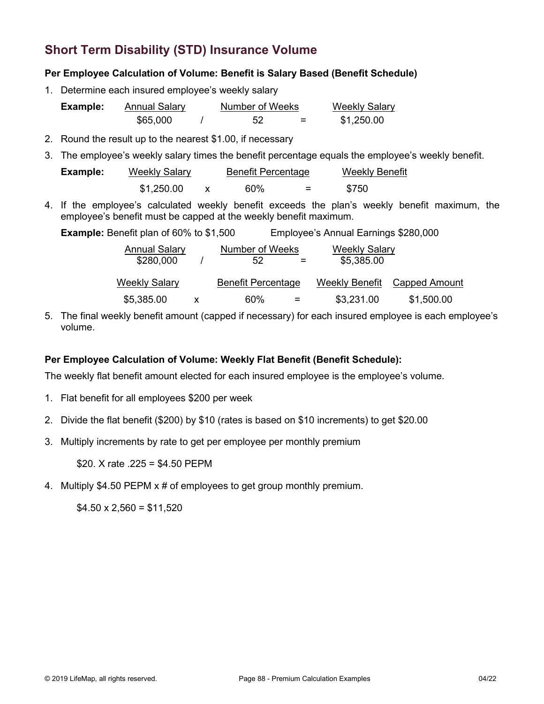# **Short Term Disability (STD) Insurance Volume**

#### **Per Employee Calculation of Volume: Benefit is Salary Based (Benefit Schedule)**

1. Determine each insured employee's weekly salary

| Example: | <b>Annual Salary</b> | Number of Weeks |   | <b>Weekly Salary</b> |
|----------|----------------------|-----------------|---|----------------------|
|          | \$65,000             | 52              | = | \$1,250.00           |

- 2. Round the result up to the nearest \$1.00, if necessary
- 3. The employee's weekly salary times the benefit percentage equals the employee's weekly benefit.

| Example: | <b>Weekly Salary</b> | <b>Benefit Percentage</b> |                          | <b>Weekly Benefit</b> |  |
|----------|----------------------|---------------------------|--------------------------|-----------------------|--|
|          | \$1,250.00           | 60%                       | $\overline{\phantom{0}}$ | \$750                 |  |

4. If the employee's calculated weekly benefit exceeds the plan's weekly benefit maximum, the employee's benefit must be capped at the weekly benefit maximum.

| <b>Example:</b> Benefit plan of 60% to \$1,500 | Employee's Annual Earnings \$280,000 |  |
|------------------------------------------------|--------------------------------------|--|
|------------------------------------------------|--------------------------------------|--|

| <b>Annual Salary</b><br>\$280,000 | Number of Weeks<br>52<br>$=$ | Weekly Salary<br>\$5,385.00 |               |
|-----------------------------------|------------------------------|-----------------------------|---------------|
| <b>Weekly Salary</b>              | <b>Benefit Percentage</b>    | Weekly Benefit              | Capped Amount |
| \$5,385.00                        | 60%<br>$=$                   | \$3,231.00                  | \$1,500.00    |

5. The final weekly benefit amount (capped if necessary) for each insured employee is each employee's volume.

#### **Per Employee Calculation of Volume: Weekly Flat Benefit (Benefit Schedule):**

The weekly flat benefit amount elected for each insured employee is the employee's volume.

- 1. Flat benefit for all employees \$200 per week
- 2. Divide the flat benefit (\$200) by \$10 (rates is based on \$10 increments) to get \$20.00
- 3. Multiply increments by rate to get per employee per monthly premium

\$20. X rate .225 = \$4.50 PEPM

4. Multiply \$4.50 PEPM x # of employees to get group monthly premium.

 $$4.50 \times 2,560 = $11,520$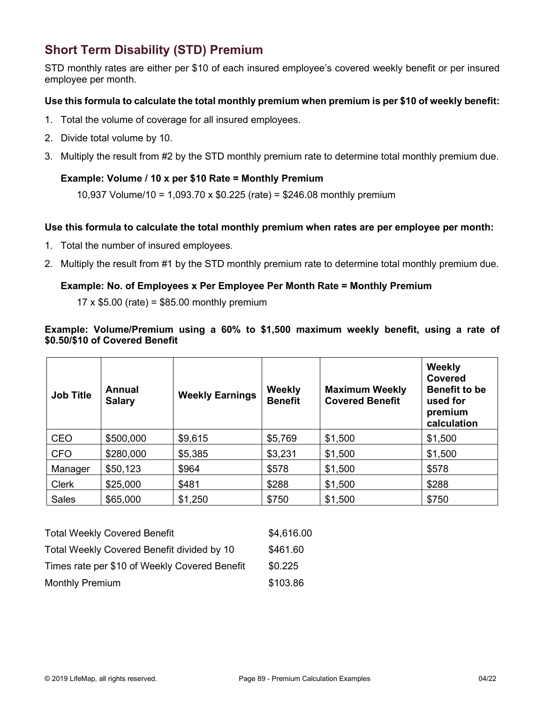# **Short Term Disability (STD) Premium**

STD monthly rates are either per \$10 of each insured employee's covered weekly benefit or per insured employee per month.

#### **Use this formula to calculate the total monthly premium when premium is per \$10 of weekly benefit:**

- 1. Total the volume of coverage for all insured employees.
- 2. Divide total volume by 10.
- 3. Multiply the result from #2 by the STD monthly premium rate to determine total monthly premium due.

#### **Example: Volume / 10 x per \$10 Rate = Monthly Premium**

10,937 Volume/10 = 1,093.70 x \$0.225 (rate) = \$246.08 monthly premium

#### **Use this formula to calculate the total monthly premium when rates are per employee per month:**

- 1. Total the number of insured employees.
- 2. Multiply the result from #1 by the STD monthly premium rate to determine total monthly premium due.

#### **Example: No. of Employees x Per Employee Per Month Rate = Monthly Premium**

 $17 \times $5.00$  (rate) = \$85.00 monthly premium

#### **Example: Volume/Premium using a 60% to \$1,500 maximum weekly benefit, using a rate of \$0.50/\$10 of Covered Benefit**

| <b>Job Title</b> | Annual<br><b>Salary</b> | <b>Weekly Earnings</b> | <b>Weekly</b><br><b>Benefit</b> | <b>Maximum Weekly</b><br><b>Covered Benefit</b> | Weekly<br>Covered<br><b>Benefit to be</b><br>used for<br>premium<br>calculation |
|------------------|-------------------------|------------------------|---------------------------------|-------------------------------------------------|---------------------------------------------------------------------------------|
| <b>CEO</b>       | \$500,000               | \$9,615                | \$5,769                         | \$1,500                                         | \$1,500                                                                         |
| <b>CFO</b>       | \$280,000               | \$5,385                | \$3,231                         | \$1,500                                         | \$1,500                                                                         |
| Manager          | \$50,123                | \$964                  | \$578                           | \$1,500                                         | \$578                                                                           |
| <b>Clerk</b>     | \$25,000                | \$481                  | \$288                           | \$1,500                                         | \$288                                                                           |
| <b>Sales</b>     | \$65,000                | \$1,250                | \$750                           | \$1,500                                         | \$750                                                                           |

| <b>Total Weekly Covered Benefit</b>           | \$4,616.00 |
|-----------------------------------------------|------------|
| Total Weekly Covered Benefit divided by 10    | \$461.60   |
| Times rate per \$10 of Weekly Covered Benefit | \$0.225    |
| <b>Monthly Premium</b>                        | \$103.86   |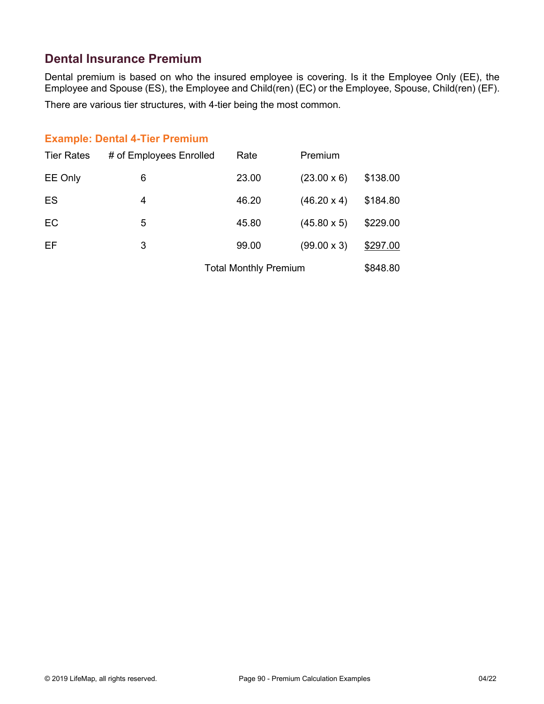# **Dental Insurance Premium**

Dental premium is based on who the insured employee is covering. Is it the Employee Only (EE), the Employee and Spouse (ES), the Employee and Child(ren) (EC) or the Employee, Spouse, Child(ren) (EF). There are various tier structures, with 4-tier being the most common.

### **Example: Dental 4-Tier Premium**

| <b>Tier Rates</b> | # of Employees Enrolled | Rate  | Premium            |          |
|-------------------|-------------------------|-------|--------------------|----------|
| EE Only           | 6                       | 23.00 | $(23.00 \times 6)$ | \$138.00 |
| ES                | 4                       | 46.20 | $(46.20 \times 4)$ | \$184.80 |
| EC                | 5                       | 45.80 | $(45.80 \times 5)$ | \$229.00 |
| EF                | 3                       | 99.00 | $(99.00 \times 3)$ | \$297.00 |
|                   |                         |       |                    |          |

Total Monthly Premium \$848.80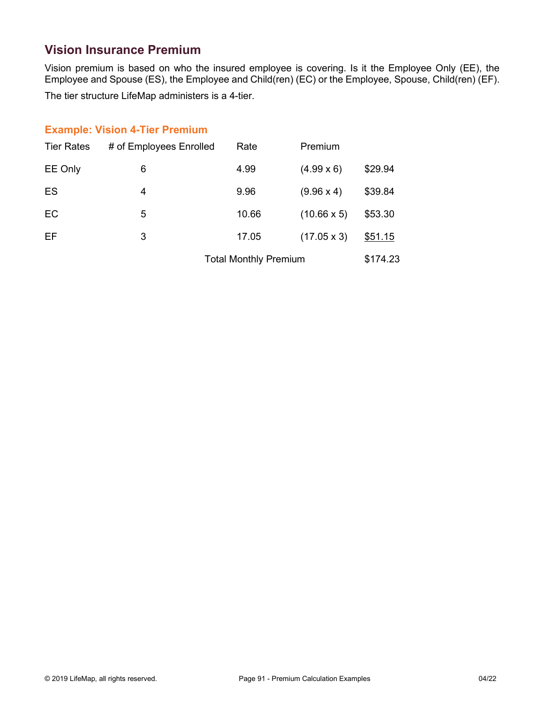# **Vision Insurance Premium**

Vision premium is based on who the insured employee is covering. Is it the Employee Only (EE), the Employee and Spouse (ES), the Employee and Child(ren) (EC) or the Employee, Spouse, Child(ren) (EF).

The tier structure LifeMap administers is a 4-tier.

### **Example: Vision 4-Tier Premium**

| <b>Tier Rates</b> | # of Employees Enrolled | Rate                         | Premium            |          |
|-------------------|-------------------------|------------------------------|--------------------|----------|
| EE Only           | 6                       | 4.99                         | $(4.99 \times 6)$  | \$29.94  |
| ES                | 4                       | 9.96                         | $(9.96 \times 4)$  | \$39.84  |
| EC                | 5                       | 10.66                        | $(10.66 \times 5)$ | \$53.30  |
| EF                | 3                       | 17.05                        | $(17.05 \times 3)$ | \$51.15  |
|                   |                         | <b>Total Monthly Premium</b> |                    | \$174.23 |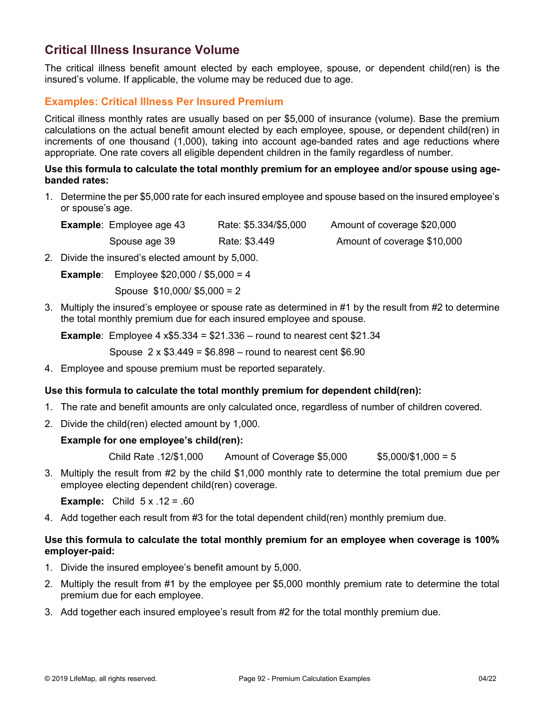# **Critical Illness Insurance Volume**

The critical illness benefit amount elected by each employee, spouse, or dependent child(ren) is the insured's volume. If applicable, the volume may be reduced due to age.

### **Examples: Critical Illness Per Insured Premium**

Critical illness monthly rates are usually based on per \$5,000 of insurance (volume). Base the premium calculations on the actual benefit amount elected by each employee, spouse, or dependent child(ren) in increments of one thousand (1,000), taking into account age-banded rates and age reductions where appropriate. One rate covers all eligible dependent children in the family regardless of number.

#### **Use this formula to calculate the total monthly premium for an employee and/or spouse using agebanded rates:**

1. Determine the per \$5,000 rate for each insured employee and spouse based on the insured employee's or spouse's age.

| <b>Example:</b> Employee age 43 | Rate: \$5.334/\$5,000 | Amount of coverage \$20,000 |
|---------------------------------|-----------------------|-----------------------------|
| Spouse age 39                   | Rate: \$3.449         | Amount of coverage \$10,000 |

2. Divide the insured's elected amount by 5,000.

**Example**: Employee \$20,000 / \$5,000 = 4

Spouse \$10,000/ \$5,000 = 2

3. Multiply the insured's employee or spouse rate as determined in #1 by the result from #2 to determine the total monthly premium due for each insured employee and spouse.

**Example**: Employee 4 x\$5.334 = \$21.336 – round to nearest cent \$21.34

Spouse  $2 \times $3.449 = $6.898 -$  round to nearest cent \$6.90

4. Employee and spouse premium must be reported separately.

#### **Use this formula to calculate the total monthly premium for dependent child(ren):**

- 1. The rate and benefit amounts are only calculated once, regardless of number of children covered.
- 2. Divide the child(ren) elected amount by 1,000.

#### **Example for one employee's child(ren):**

Child Rate .12/\$1,000 Amount of Coverage \$5,000 \$5,000/\$1,000 = 5

3. Multiply the result from #2 by the child \$1,000 monthly rate to determine the total premium due per employee electing dependent child(ren) coverage.

**Example:** Child  $5 \times .12 = .60$ 

4. Add together each result from #3 for the total dependent child(ren) monthly premium due.

#### **Use this formula to calculate the total monthly premium for an employee when coverage is 100% employer-paid:**

- 1. Divide the insured employee's benefit amount by 5,000.
- 2. Multiply the result from #1 by the employee per \$5,000 monthly premium rate to determine the total premium due for each employee.
- 3. Add together each insured employee's result from #2 for the total monthly premium due.